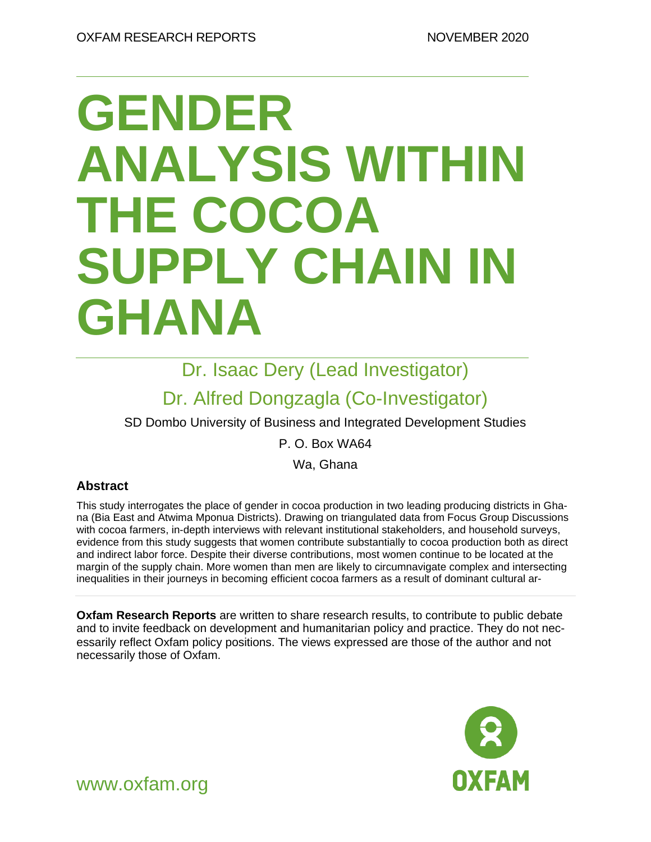# **GENDER ANALYSIS WITHIN THE COCOA SUPPLY CHAIN IN GHANA**

Dr. Isaac Dery (Lead Investigator)

### Dr. Alfred Dongzagla (Co-Investigator)

SD Dombo University of Business and Integrated Development Studies

P. O. Box WA64

Wa, Ghana

### **Abstract**

This study interrogates the place of gender in cocoa production in two leading producing districts in Ghana (Bia East and Atwima Mponua Districts). Drawing on triangulated data from Focus Group Discussions with cocoa farmers, in-depth interviews with relevant institutional stakeholders, and household surveys, evidence from this study suggests that women contribute substantially to cocoa production both as direct and indirect labor force. Despite their diverse contributions, most women continue to be located at the margin of the supply chain. More women than men are likely to circumnavigate complex and intersecting inequalities in their journeys in becoming efficient cocoa farmers as a result of dominant cultural ar-

**Oxfam Research Reports** are written to share research results, to contribute to public debate and to invite feedback on development and humanitarian policy and practice. They do not necessarily reflect Oxfam policy positions. The views expressed are those of the author and not necessarily those of Oxfam.



www.oxfam.org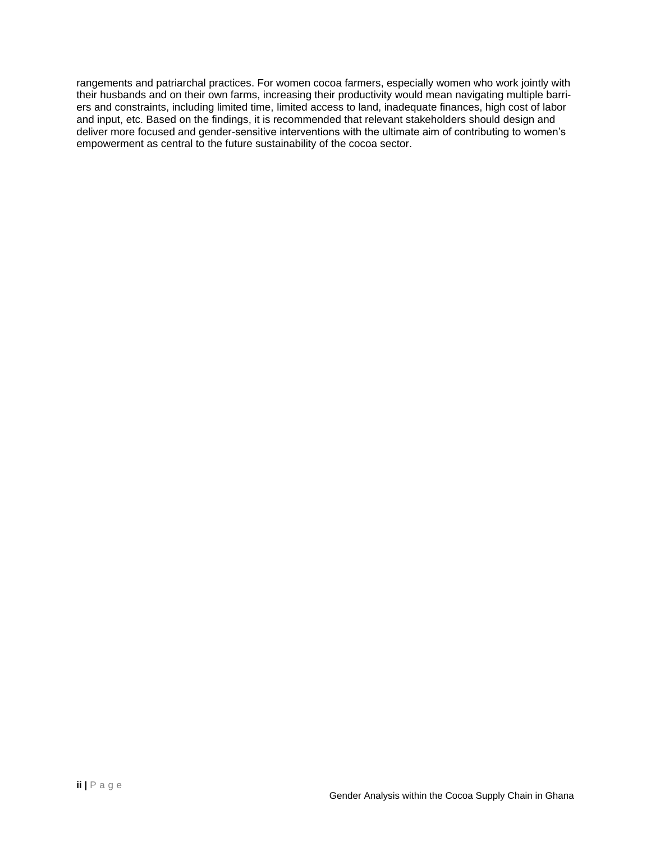rangements and patriarchal practices. For women cocoa farmers, especially women who work jointly with their husbands and on their own farms, increasing their productivity would mean navigating multiple barriers and constraints, including limited time, limited access to land, inadequate finances, high cost of labor and input, etc. Based on the findings, it is recommended that relevant stakeholders should design and deliver more focused and gender-sensitive interventions with the ultimate aim of contributing to women's empowerment as central to the future sustainability of the cocoa sector.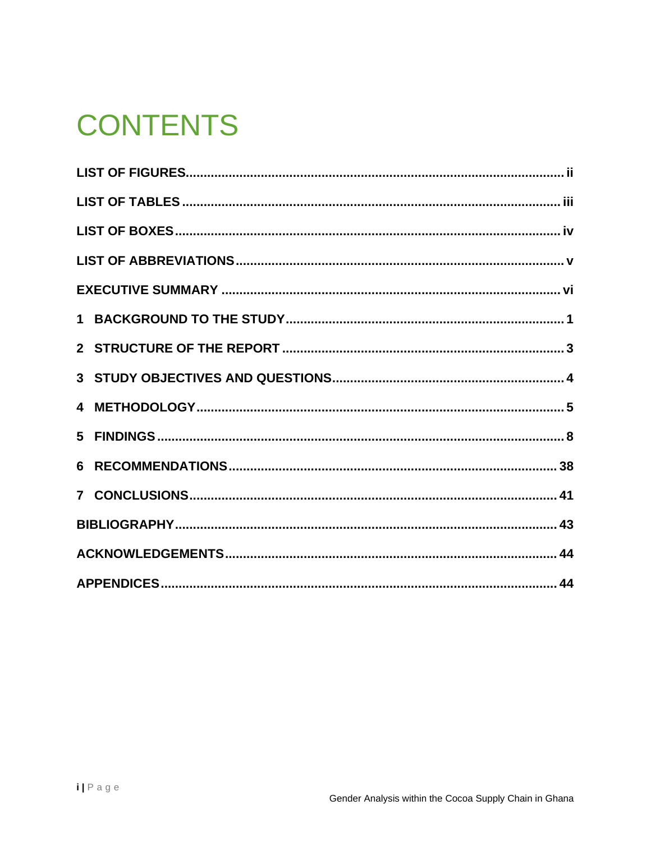## **CONTENTS**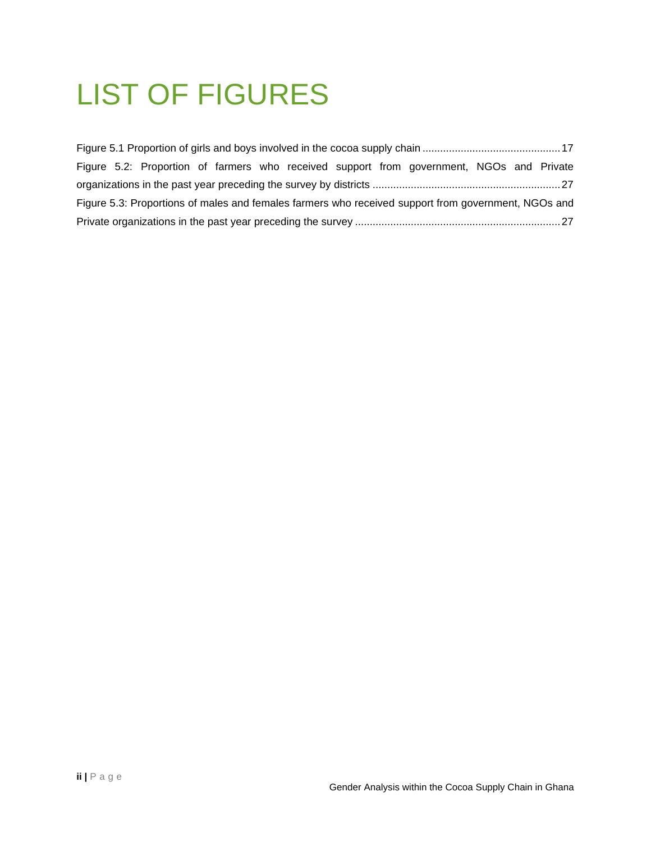## <span id="page-3-0"></span>LIST OF FIGURES

|                                                                                                     |  |  |  |  |  |  | Figure 5.2: Proportion of farmers who received support from government, NGOs and Private |  |  |
|-----------------------------------------------------------------------------------------------------|--|--|--|--|--|--|------------------------------------------------------------------------------------------|--|--|
|                                                                                                     |  |  |  |  |  |  |                                                                                          |  |  |
| Figure 5.3: Proportions of males and females farmers who received support from government, NGOs and |  |  |  |  |  |  |                                                                                          |  |  |
|                                                                                                     |  |  |  |  |  |  |                                                                                          |  |  |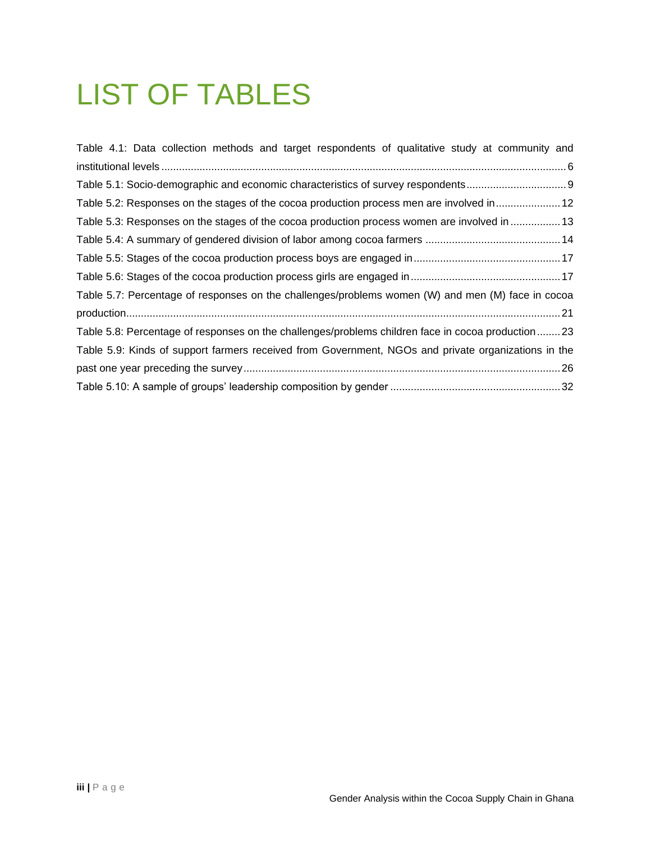## <span id="page-4-0"></span>LIST OF TABLES

| Table 4.1: Data collection methods and target respondents of qualitative study at community and     |
|-----------------------------------------------------------------------------------------------------|
|                                                                                                     |
| Table 5.1: Socio-demographic and economic characteristics of survey respondents                     |
| Table 5.2: Responses on the stages of the cocoa production process men are involved in 12           |
| Table 5.3: Responses on the stages of the cocoa production process women are involved in  13        |
|                                                                                                     |
|                                                                                                     |
|                                                                                                     |
| Table 5.7: Percentage of responses on the challenges/problems women (W) and men (M) face in cocoa   |
|                                                                                                     |
| Table 5.8: Percentage of responses on the challenges/problems children face in cocoa production 23  |
| Table 5.9: Kinds of support farmers received from Government, NGOs and private organizations in the |
|                                                                                                     |
|                                                                                                     |
|                                                                                                     |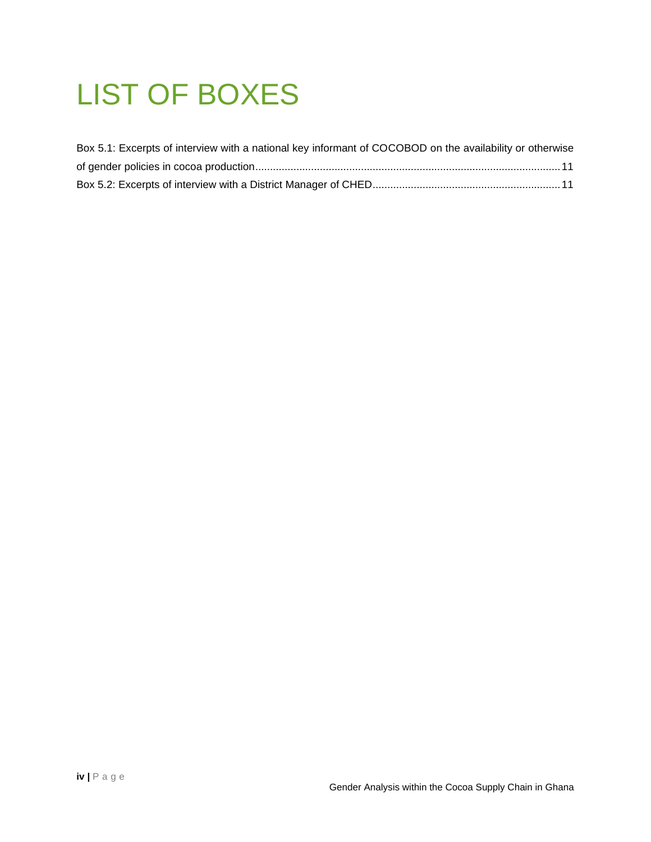## <span id="page-5-0"></span>LIST OF BOXES

| Box 5.1: Excerpts of interview with a national key informant of COCOBOD on the availability or otherwise |  |
|----------------------------------------------------------------------------------------------------------|--|
|                                                                                                          |  |
|                                                                                                          |  |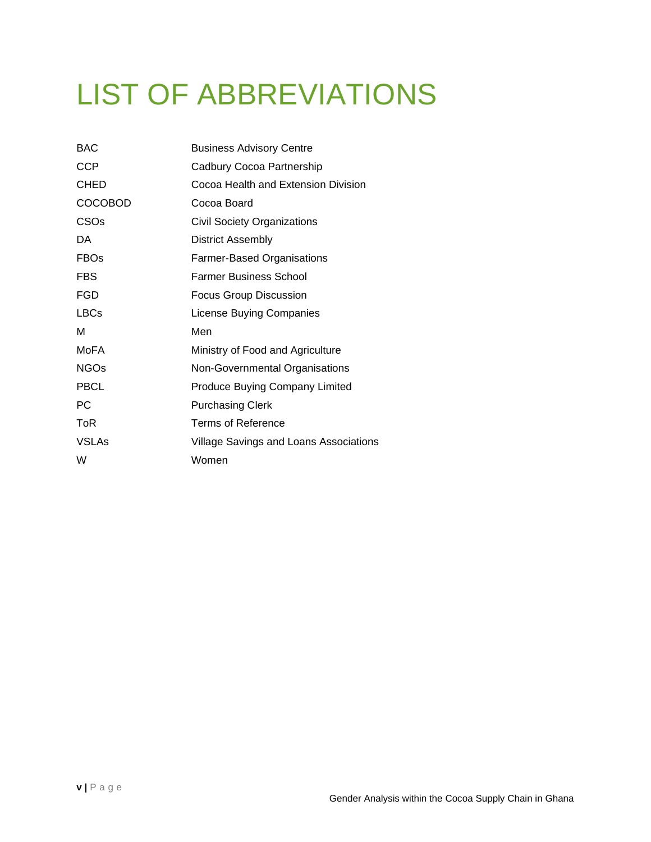## <span id="page-6-0"></span>LIST OF ABBREVIATIONS

| <b>BAC</b>       | <b>Business Advisory Centre</b>        |
|------------------|----------------------------------------|
| <b>CCP</b>       | Cadbury Cocoa Partnership              |
| <b>CHED</b>      | Cocoa Health and Extension Division    |
| <b>COCOBOD</b>   | Cocoa Board                            |
| CSO <sub>s</sub> | <b>Civil Society Organizations</b>     |
| DA               | <b>District Assembly</b>               |
| <b>FBOs</b>      | <b>Farmer-Based Organisations</b>      |
| FBS              | Farmer Business School                 |
| FGD              | <b>Focus Group Discussion</b>          |
| <b>LBCs</b>      | License Buying Companies               |
| м                | Men                                    |
| MoFA             | Ministry of Food and Agriculture       |
| <b>NGOs</b>      | Non-Governmental Organisations         |
| <b>PBCL</b>      | <b>Produce Buying Company Limited</b>  |
| РC               | <b>Purchasing Clerk</b>                |
| ToR              | Terms of Reference                     |
| <b>VSLAs</b>     | Village Savings and Loans Associations |
| W                | Women                                  |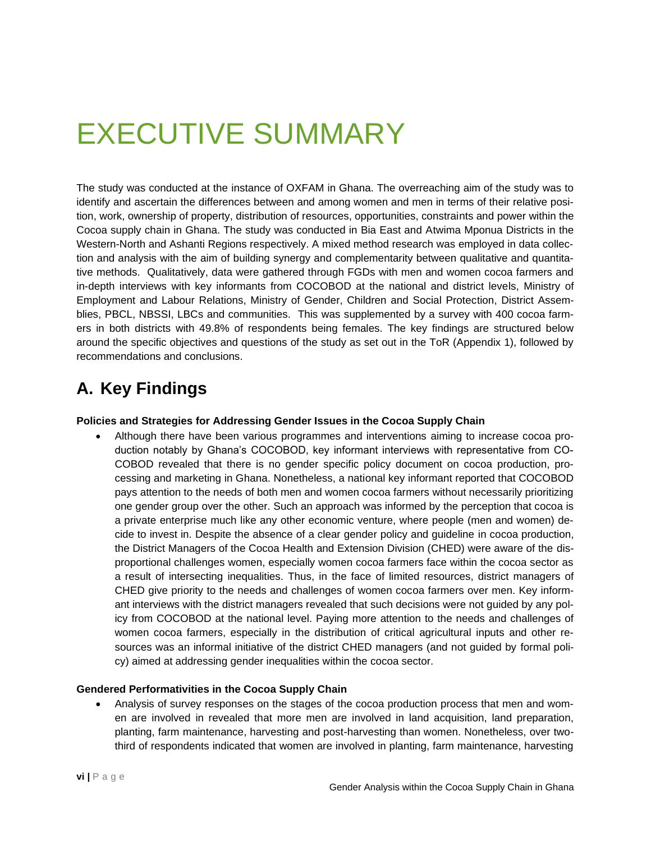## <span id="page-7-0"></span>EXECUTIVE SUMMARY

The study was conducted at the instance of OXFAM in Ghana. The overreaching aim of the study was to identify and ascertain the differences between and among women and men in terms of their relative position, work, ownership of property, distribution of resources, opportunities, constraints and power within the Cocoa supply chain in Ghana. The study was conducted in Bia East and Atwima Mponua Districts in the Western-North and Ashanti Regions respectively. A mixed method research was employed in data collection and analysis with the aim of building synergy and complementarity between qualitative and quantitative methods. Qualitatively, data were gathered through FGDs with men and women cocoa farmers and in-depth interviews with key informants from COCOBOD at the national and district levels, Ministry of Employment and Labour Relations, Ministry of Gender, Children and Social Protection, District Assemblies, PBCL, NBSSI, LBCs and communities. This was supplemented by a survey with 400 cocoa farmers in both districts with 49.8% of respondents being females. The key findings are structured below around the specific objectives and questions of the study as set out in the ToR (Appendix 1), followed by recommendations and conclusions.

### **A. Key Findings**

#### **Policies and Strategies for Addressing Gender Issues in the Cocoa Supply Chain**

• Although there have been various programmes and interventions aiming to increase cocoa production notably by Ghana's COCOBOD, key informant interviews with representative from CO-COBOD revealed that there is no gender specific policy document on cocoa production, processing and marketing in Ghana. Nonetheless, a national key informant reported that COCOBOD pays attention to the needs of both men and women cocoa farmers without necessarily prioritizing one gender group over the other. Such an approach was informed by the perception that cocoa is a private enterprise much like any other economic venture, where people (men and women) decide to invest in. Despite the absence of a clear gender policy and guideline in cocoa production, the District Managers of the Cocoa Health and Extension Division (CHED) were aware of the disproportional challenges women, especially women cocoa farmers face within the cocoa sector as a result of intersecting inequalities. Thus, in the face of limited resources, district managers of CHED give priority to the needs and challenges of women cocoa farmers over men. Key informant interviews with the district managers revealed that such decisions were not guided by any policy from COCOBOD at the national level. Paying more attention to the needs and challenges of women cocoa farmers, especially in the distribution of critical agricultural inputs and other resources was an informal initiative of the district CHED managers (and not guided by formal policy) aimed at addressing gender inequalities within the cocoa sector.

#### **Gendered Performativities in the Cocoa Supply Chain**

• Analysis of survey responses on the stages of the cocoa production process that men and women are involved in revealed that more men are involved in land acquisition, land preparation, planting, farm maintenance, harvesting and post-harvesting than women. Nonetheless, over twothird of respondents indicated that women are involved in planting, farm maintenance, harvesting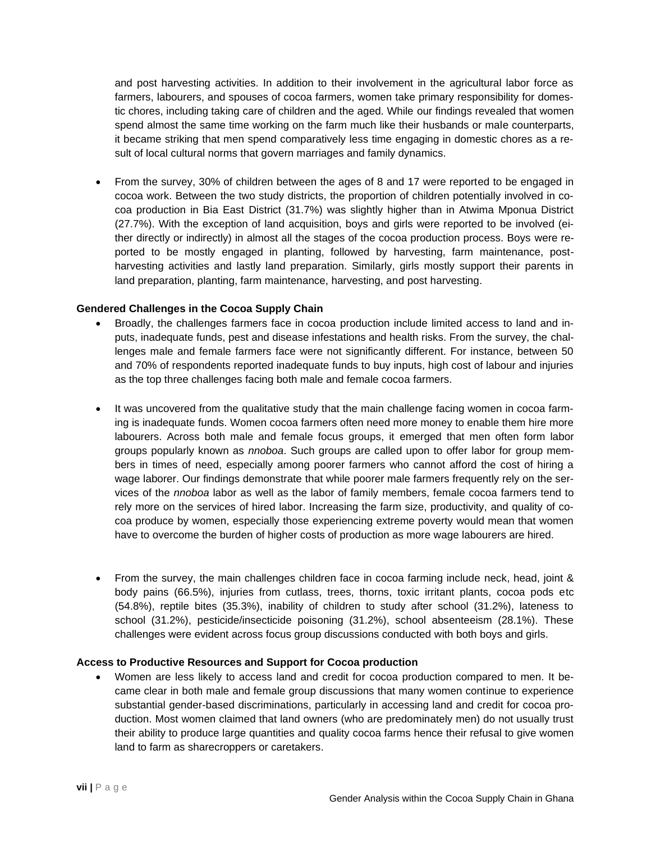and post harvesting activities. In addition to their involvement in the agricultural labor force as farmers, labourers, and spouses of cocoa farmers, women take primary responsibility for domestic chores, including taking care of children and the aged. While our findings revealed that women spend almost the same time working on the farm much like their husbands or male counterparts, it became striking that men spend comparatively less time engaging in domestic chores as a result of local cultural norms that govern marriages and family dynamics.

• From the survey, 30% of children between the ages of 8 and 17 were reported to be engaged in cocoa work. Between the two study districts, the proportion of children potentially involved in cocoa production in Bia East District (31.7%) was slightly higher than in Atwima Mponua District (27.7%). With the exception of land acquisition, boys and girls were reported to be involved (either directly or indirectly) in almost all the stages of the cocoa production process. Boys were reported to be mostly engaged in planting, followed by harvesting, farm maintenance, postharvesting activities and lastly land preparation. Similarly, girls mostly support their parents in land preparation, planting, farm maintenance, harvesting, and post harvesting.

#### **Gendered Challenges in the Cocoa Supply Chain**

- Broadly, the challenges farmers face in cocoa production include limited access to land and inputs, inadequate funds, pest and disease infestations and health risks. From the survey, the challenges male and female farmers face were not significantly different. For instance, between 50 and 70% of respondents reported inadequate funds to buy inputs, high cost of labour and injuries as the top three challenges facing both male and female cocoa farmers.
- It was uncovered from the qualitative study that the main challenge facing women in cocoa farming is inadequate funds. Women cocoa farmers often need more money to enable them hire more labourers. Across both male and female focus groups, it emerged that men often form labor groups popularly known as *nnoboa*. Such groups are called upon to offer labor for group members in times of need, especially among poorer farmers who cannot afford the cost of hiring a wage laborer. Our findings demonstrate that while poorer male farmers frequently rely on the services of the *nnoboa* labor as well as the labor of family members, female cocoa farmers tend to rely more on the services of hired labor. Increasing the farm size, productivity, and quality of cocoa produce by women, especially those experiencing extreme poverty would mean that women have to overcome the burden of higher costs of production as more wage labourers are hired.
- From the survey, the main challenges children face in cocoa farming include neck, head, joint & body pains (66.5%), injuries from cutlass, trees, thorns, toxic irritant plants, cocoa pods etc (54.8%), reptile bites (35.3%), inability of children to study after school (31.2%), lateness to school (31.2%), pesticide/insecticide poisoning (31.2%), school absenteeism (28.1%). These challenges were evident across focus group discussions conducted with both boys and girls.

#### **Access to Productive Resources and Support for Cocoa production**

• Women are less likely to access land and credit for cocoa production compared to men. It became clear in both male and female group discussions that many women continue to experience substantial gender-based discriminations, particularly in accessing land and credit for cocoa production. Most women claimed that land owners (who are predominately men) do not usually trust their ability to produce large quantities and quality cocoa farms hence their refusal to give women land to farm as sharecroppers or caretakers.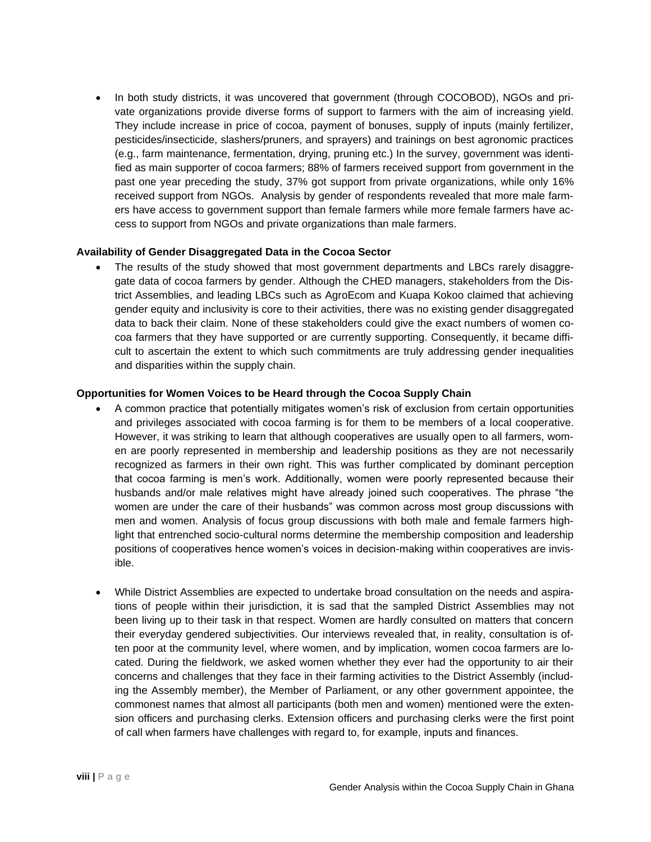• In both study districts, it was uncovered that government (through COCOBOD), NGOs and private organizations provide diverse forms of support to farmers with the aim of increasing yield. They include increase in price of cocoa, payment of bonuses, supply of inputs (mainly fertilizer, pesticides/insecticide, slashers/pruners, and sprayers) and trainings on best agronomic practices (e.g., farm maintenance, fermentation, drying, pruning etc.) In the survey, government was identified as main supporter of cocoa farmers; 88% of farmers received support from government in the past one year preceding the study, 37% got support from private organizations, while only 16% received support from NGOs. Analysis by gender of respondents revealed that more male farmers have access to government support than female farmers while more female farmers have access to support from NGOs and private organizations than male farmers.

#### **Availability of Gender Disaggregated Data in the Cocoa Sector**

The results of the study showed that most government departments and LBCs rarely disaggregate data of cocoa farmers by gender. Although the CHED managers, stakeholders from the District Assemblies, and leading LBCs such as AgroEcom and Kuapa Kokoo claimed that achieving gender equity and inclusivity is core to their activities, there was no existing gender disaggregated data to back their claim. None of these stakeholders could give the exact numbers of women cocoa farmers that they have supported or are currently supporting. Consequently, it became difficult to ascertain the extent to which such commitments are truly addressing gender inequalities and disparities within the supply chain.

#### **Opportunities for Women Voices to be Heard through the Cocoa Supply Chain**

- A common practice that potentially mitigates women's risk of exclusion from certain opportunities and privileges associated with cocoa farming is for them to be members of a local cooperative. However, it was striking to learn that although cooperatives are usually open to all farmers, women are poorly represented in membership and leadership positions as they are not necessarily recognized as farmers in their own right. This was further complicated by dominant perception that cocoa farming is men's work. Additionally, women were poorly represented because their husbands and/or male relatives might have already joined such cooperatives. The phrase "the women are under the care of their husbands" was common across most group discussions with men and women. Analysis of focus group discussions with both male and female farmers highlight that entrenched socio-cultural norms determine the membership composition and leadership positions of cooperatives hence women's voices in decision-making within cooperatives are invisible.
- While District Assemblies are expected to undertake broad consultation on the needs and aspirations of people within their jurisdiction, it is sad that the sampled District Assemblies may not been living up to their task in that respect. Women are hardly consulted on matters that concern their everyday gendered subjectivities. Our interviews revealed that, in reality, consultation is often poor at the community level, where women, and by implication, women cocoa farmers are located. During the fieldwork, we asked women whether they ever had the opportunity to air their concerns and challenges that they face in their farming activities to the District Assembly (including the Assembly member), the Member of Parliament, or any other government appointee, the commonest names that almost all participants (both men and women) mentioned were the extension officers and purchasing clerks. Extension officers and purchasing clerks were the first point of call when farmers have challenges with regard to, for example, inputs and finances.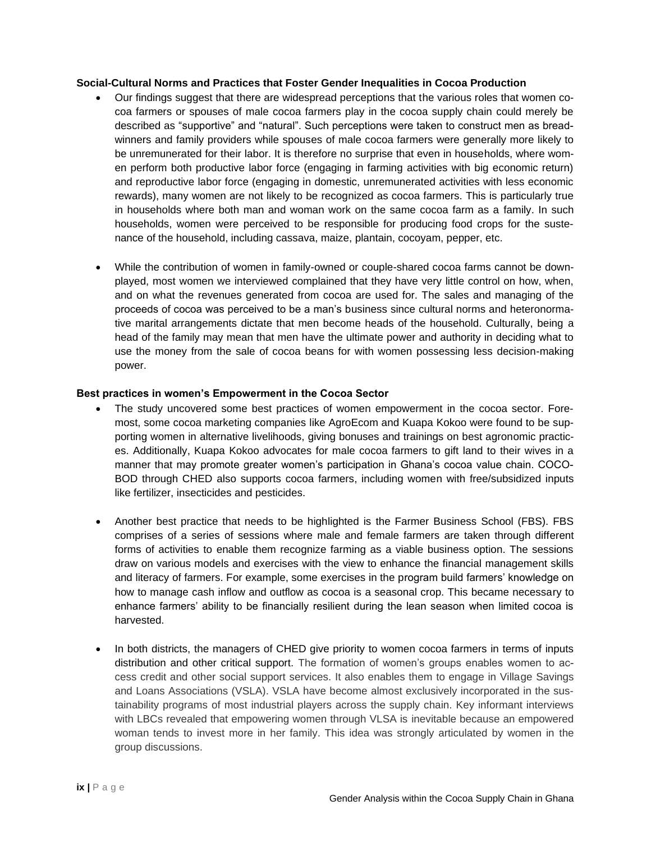#### **Social-Cultural Norms and Practices that Foster Gender Inequalities in Cocoa Production**

- Our findings suggest that there are widespread perceptions that the various roles that women cocoa farmers or spouses of male cocoa farmers play in the cocoa supply chain could merely be described as "supportive" and "natural". Such perceptions were taken to construct men as breadwinners and family providers while spouses of male cocoa farmers were generally more likely to be unremunerated for their labor. It is therefore no surprise that even in households, where women perform both productive labor force (engaging in farming activities with big economic return) and reproductive labor force (engaging in domestic, unremunerated activities with less economic rewards), many women are not likely to be recognized as cocoa farmers. This is particularly true in households where both man and woman work on the same cocoa farm as a family. In such households, women were perceived to be responsible for producing food crops for the sustenance of the household, including cassava, maize, plantain, cocoyam, pepper, etc.
- While the contribution of women in family-owned or couple-shared cocoa farms cannot be downplayed, most women we interviewed complained that they have very little control on how, when, and on what the revenues generated from cocoa are used for. The sales and managing of the proceeds of cocoa was perceived to be a man's business since cultural norms and heteronormative marital arrangements dictate that men become heads of the household. Culturally, being a head of the family may mean that men have the ultimate power and authority in deciding what to use the money from the sale of cocoa beans for with women possessing less decision-making power.

#### **Best practices in women's Empowerment in the Cocoa Sector**

- The study uncovered some best practices of women empowerment in the cocoa sector. Foremost, some cocoa marketing companies like AgroEcom and Kuapa Kokoo were found to be supporting women in alternative livelihoods, giving bonuses and trainings on best agronomic practices. Additionally, Kuapa Kokoo advocates for male cocoa farmers to gift land to their wives in a manner that may promote greater women's participation in Ghana's cocoa value chain. COCO-BOD through CHED also supports cocoa farmers, including women with free/subsidized inputs like fertilizer, insecticides and pesticides.
- Another best practice that needs to be highlighted is the Farmer Business School (FBS). FBS comprises of a series of sessions where male and female farmers are taken through different forms of activities to enable them recognize farming as a viable business option. The sessions draw on various models and exercises with the view to enhance the financial management skills and literacy of farmers. For example, some exercises in the program build farmers' knowledge on how to manage cash inflow and outflow as cocoa is a seasonal crop. This became necessary to enhance farmers' ability to be financially resilient during the lean season when limited cocoa is harvested.
- In both districts, the managers of CHED give priority to women cocoa farmers in terms of inputs distribution and other critical support. The formation of women's groups enables women to access credit and other social support services. It also enables them to engage in Village Savings and Loans Associations (VSLA). VSLA have become almost exclusively incorporated in the sustainability programs of most industrial players across the supply chain. Key informant interviews with LBCs revealed that empowering women through VLSA is inevitable because an empowered woman tends to invest more in her family. This idea was strongly articulated by women in the group discussions.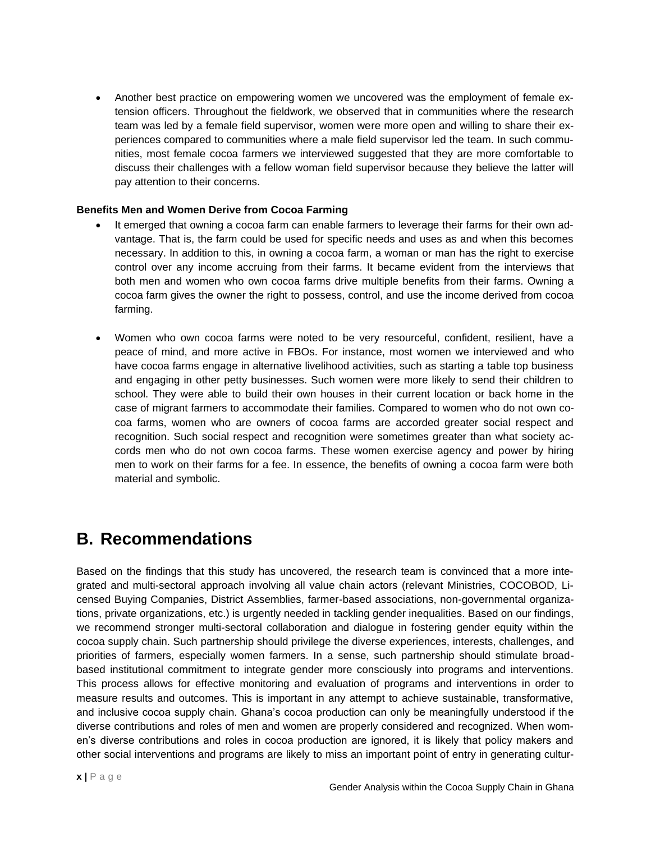• Another best practice on empowering women we uncovered was the employment of female extension officers. Throughout the fieldwork, we observed that in communities where the research team was led by a female field supervisor, women were more open and willing to share their experiences compared to communities where a male field supervisor led the team. In such communities, most female cocoa farmers we interviewed suggested that they are more comfortable to discuss their challenges with a fellow woman field supervisor because they believe the latter will pay attention to their concerns.

#### **Benefits Men and Women Derive from Cocoa Farming**

- It emerged that owning a cocoa farm can enable farmers to leverage their farms for their own advantage. That is, the farm could be used for specific needs and uses as and when this becomes necessary. In addition to this, in owning a cocoa farm, a woman or man has the right to exercise control over any income accruing from their farms. It became evident from the interviews that both men and women who own cocoa farms drive multiple benefits from their farms. Owning a cocoa farm gives the owner the right to possess, control, and use the income derived from cocoa farming.
- Women who own cocoa farms were noted to be very resourceful, confident, resilient, have a peace of mind, and more active in FBOs. For instance, most women we interviewed and who have cocoa farms engage in alternative livelihood activities, such as starting a table top business and engaging in other petty businesses. Such women were more likely to send their children to school. They were able to build their own houses in their current location or back home in the case of migrant farmers to accommodate their families. Compared to women who do not own cocoa farms, women who are owners of cocoa farms are accorded greater social respect and recognition. Such social respect and recognition were sometimes greater than what society accords men who do not own cocoa farms. These women exercise agency and power by hiring men to work on their farms for a fee. In essence, the benefits of owning a cocoa farm were both material and symbolic.

### **B. Recommendations**

Based on the findings that this study has uncovered, the research team is convinced that a more integrated and multi-sectoral approach involving all value chain actors (relevant Ministries, COCOBOD, Licensed Buying Companies, District Assemblies, farmer-based associations, non-governmental organizations, private organizations, etc.) is urgently needed in tackling gender inequalities. Based on our findings, we recommend stronger multi-sectoral collaboration and dialogue in fostering gender equity within the cocoa supply chain. Such partnership should privilege the diverse experiences, interests, challenges, and priorities of farmers, especially women farmers. In a sense, such partnership should stimulate broadbased institutional commitment to integrate gender more consciously into programs and interventions. This process allows for effective monitoring and evaluation of programs and interventions in order to measure results and outcomes. This is important in any attempt to achieve sustainable, transformative, and inclusive cocoa supply chain. Ghana's cocoa production can only be meaningfully understood if the diverse contributions and roles of men and women are properly considered and recognized. When women's diverse contributions and roles in cocoa production are ignored, it is likely that policy makers and other social interventions and programs are likely to miss an important point of entry in generating cultur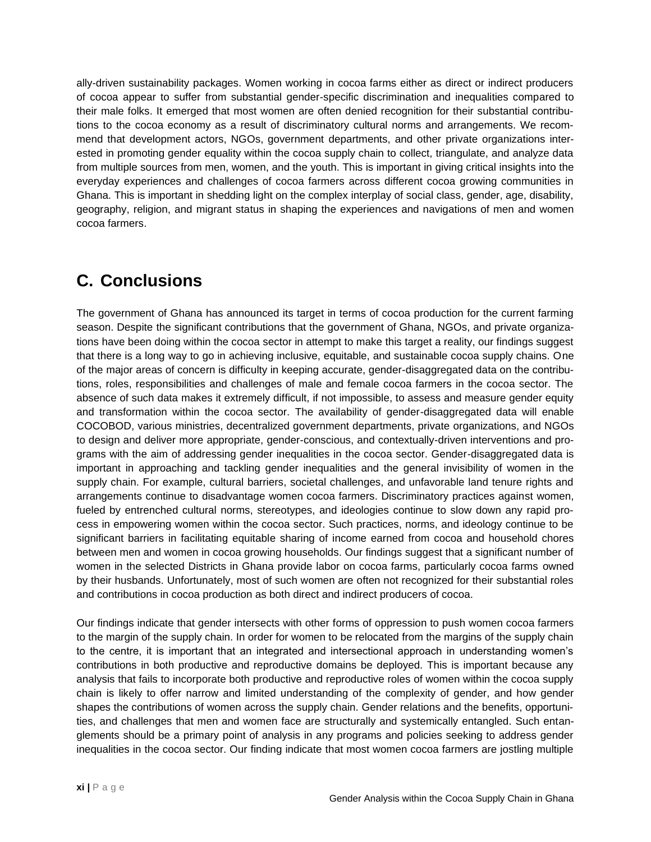ally-driven sustainability packages. Women working in cocoa farms either as direct or indirect producers of cocoa appear to suffer from substantial gender-specific discrimination and inequalities compared to their male folks. It emerged that most women are often denied recognition for their substantial contributions to the cocoa economy as a result of discriminatory cultural norms and arrangements. We recommend that development actors, NGOs, government departments, and other private organizations interested in promoting gender equality within the cocoa supply chain to collect, triangulate, and analyze data from multiple sources from men, women, and the youth. This is important in giving critical insights into the everyday experiences and challenges of cocoa farmers across different cocoa growing communities in Ghana. This is important in shedding light on the complex interplay of social class, gender, age, disability, geography, religion, and migrant status in shaping the experiences and navigations of men and women cocoa farmers.

### **C. Conclusions**

The government of Ghana has announced its target in terms of cocoa production for the current farming season. Despite the significant contributions that the government of Ghana, NGOs, and private organizations have been doing within the cocoa sector in attempt to make this target a reality, our findings suggest that there is a long way to go in achieving inclusive, equitable, and sustainable cocoa supply chains. One of the major areas of concern is difficulty in keeping accurate, gender-disaggregated data on the contributions, roles, responsibilities and challenges of male and female cocoa farmers in the cocoa sector. The absence of such data makes it extremely difficult, if not impossible, to assess and measure gender equity and transformation within the cocoa sector. The availability of gender-disaggregated data will enable COCOBOD, various ministries, decentralized government departments, private organizations, and NGOs to design and deliver more appropriate, gender-conscious, and contextually-driven interventions and programs with the aim of addressing gender inequalities in the cocoa sector. Gender-disaggregated data is important in approaching and tackling gender inequalities and the general invisibility of women in the supply chain. For example, cultural barriers, societal challenges, and unfavorable land tenure rights and arrangements continue to disadvantage women cocoa farmers. Discriminatory practices against women, fueled by entrenched cultural norms, stereotypes, and ideologies continue to slow down any rapid process in empowering women within the cocoa sector. Such practices, norms, and ideology continue to be significant barriers in facilitating equitable sharing of income earned from cocoa and household chores between men and women in cocoa growing households. Our findings suggest that a significant number of women in the selected Districts in Ghana provide labor on cocoa farms, particularly cocoa farms owned by their husbands. Unfortunately, most of such women are often not recognized for their substantial roles and contributions in cocoa production as both direct and indirect producers of cocoa.

Our findings indicate that gender intersects with other forms of oppression to push women cocoa farmers to the margin of the supply chain. In order for women to be relocated from the margins of the supply chain to the centre, it is important that an integrated and intersectional approach in understanding women's contributions in both productive and reproductive domains be deployed. This is important because any analysis that fails to incorporate both productive and reproductive roles of women within the cocoa supply chain is likely to offer narrow and limited understanding of the complexity of gender, and how gender shapes the contributions of women across the supply chain. Gender relations and the benefits, opportunities, and challenges that men and women face are structurally and systemically entangled. Such entanglements should be a primary point of analysis in any programs and policies seeking to address gender inequalities in the cocoa sector. Our finding indicate that most women cocoa farmers are jostling multiple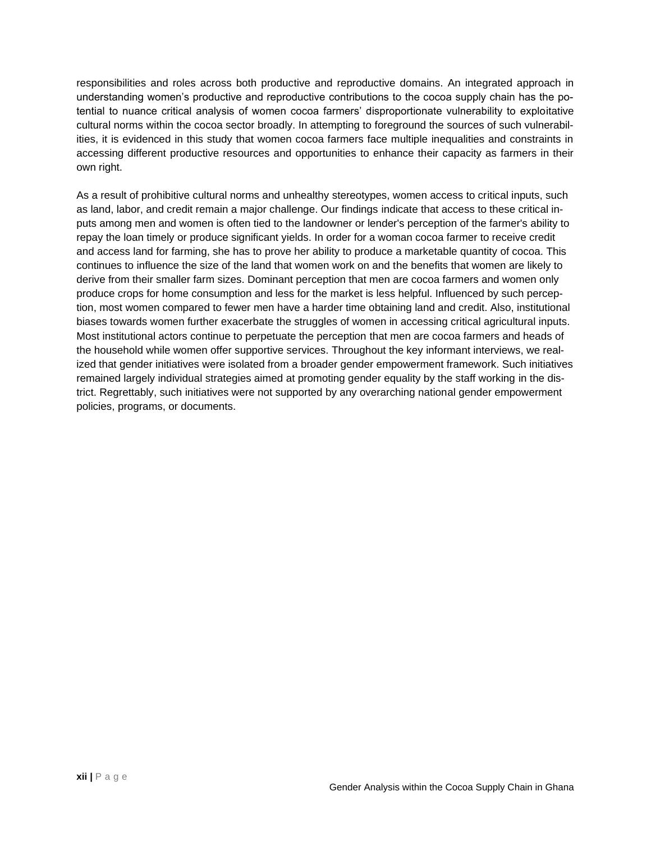responsibilities and roles across both productive and reproductive domains. An integrated approach in understanding women's productive and reproductive contributions to the cocoa supply chain has the potential to nuance critical analysis of women cocoa farmers' disproportionate vulnerability to exploitative cultural norms within the cocoa sector broadly. In attempting to foreground the sources of such vulnerabilities, it is evidenced in this study that women cocoa farmers face multiple inequalities and constraints in accessing different productive resources and opportunities to enhance their capacity as farmers in their own right.

As a result of prohibitive cultural norms and unhealthy stereotypes, women access to critical inputs, such as land, labor, and credit remain a major challenge. Our findings indicate that access to these critical inputs among men and women is often tied to the landowner or lender's perception of the farmer's ability to repay the loan timely or produce significant yields. In order for a woman cocoa farmer to receive credit and access land for farming, she has to prove her ability to produce a marketable quantity of cocoa. This continues to influence the size of the land that women work on and the benefits that women are likely to derive from their smaller farm sizes. Dominant perception that men are cocoa farmers and women only produce crops for home consumption and less for the market is less helpful. Influenced by such perception, most women compared to fewer men have a harder time obtaining land and credit. Also, institutional biases towards women further exacerbate the struggles of women in accessing critical agricultural inputs. Most institutional actors continue to perpetuate the perception that men are cocoa farmers and heads of the household while women offer supportive services. Throughout the key informant interviews, we realized that gender initiatives were isolated from a broader gender empowerment framework. Such initiatives remained largely individual strategies aimed at promoting gender equality by the staff working in the district. Regrettably, such initiatives were not supported by any overarching national gender empowerment policies, programs, or documents.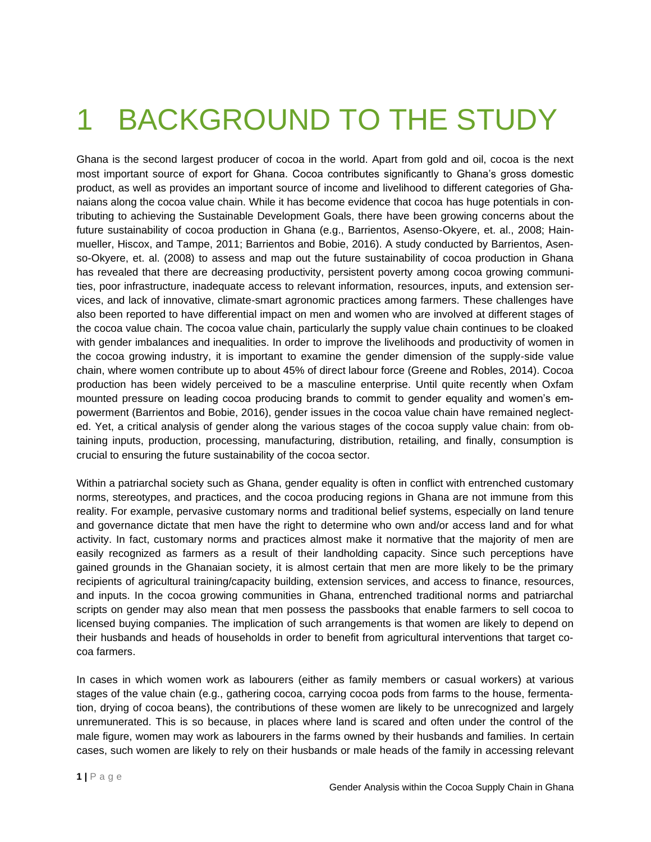## <span id="page-14-0"></span>1 BACKGROUND TO THE STUDY

Ghana is the second largest producer of cocoa in the world. Apart from gold and oil, cocoa is the next most important source of export for Ghana. Cocoa contributes significantly to Ghana's gross domestic product, as well as provides an important source of income and livelihood to different categories of Ghanaians along the cocoa value chain. While it has become evidence that cocoa has huge potentials in contributing to achieving the Sustainable Development Goals, there have been growing concerns about the future sustainability of cocoa production in Ghana (e.g., Barrientos, Asenso-Okyere, et. al., 2008; Hainmueller, Hiscox, and Tampe, 2011; Barrientos and Bobie, 2016). A study conducted by Barrientos, Asenso-Okyere, et. al. (2008) to assess and map out the future sustainability of cocoa production in Ghana has revealed that there are decreasing productivity, persistent poverty among cocoa growing communities, poor infrastructure, inadequate access to relevant information, resources, inputs, and extension services, and lack of innovative, climate-smart agronomic practices among farmers. These challenges have also been reported to have differential impact on men and women who are involved at different stages of the cocoa value chain. The cocoa value chain, particularly the supply value chain continues to be cloaked with gender imbalances and inequalities. In order to improve the livelihoods and productivity of women in the cocoa growing industry, it is important to examine the gender dimension of the supply-side value chain, where women contribute up to about 45% of direct labour force (Greene and Robles, 2014). Cocoa production has been widely perceived to be a masculine enterprise. Until quite recently when Oxfam mounted pressure on leading cocoa producing brands to commit to gender equality and women's empowerment (Barrientos and Bobie, 2016), gender issues in the cocoa value chain have remained neglected. Yet, a critical analysis of gender along the various stages of the cocoa supply value chain: from obtaining inputs, production, processing, manufacturing, distribution, retailing, and finally, consumption is crucial to ensuring the future sustainability of the cocoa sector.

Within a patriarchal society such as Ghana, gender equality is often in conflict with entrenched customary norms, stereotypes, and practices, and the cocoa producing regions in Ghana are not immune from this reality. For example, pervasive customary norms and traditional belief systems, especially on land tenure and governance dictate that men have the right to determine who own and/or access land and for what activity. In fact, customary norms and practices almost make it normative that the majority of men are easily recognized as farmers as a result of their landholding capacity. Since such perceptions have gained grounds in the Ghanaian society, it is almost certain that men are more likely to be the primary recipients of agricultural training/capacity building, extension services, and access to finance, resources, and inputs. In the cocoa growing communities in Ghana, entrenched traditional norms and patriarchal scripts on gender may also mean that men possess the passbooks that enable farmers to sell cocoa to licensed buying companies. The implication of such arrangements is that women are likely to depend on their husbands and heads of households in order to benefit from agricultural interventions that target cocoa farmers.

In cases in which women work as labourers (either as family members or casual workers) at various stages of the value chain (e.g., gathering cocoa, carrying cocoa pods from farms to the house, fermentation, drying of cocoa beans), the contributions of these women are likely to be unrecognized and largely unremunerated. This is so because, in places where land is scared and often under the control of the male figure, women may work as labourers in the farms owned by their husbands and families. In certain cases, such women are likely to rely on their husbands or male heads of the family in accessing relevant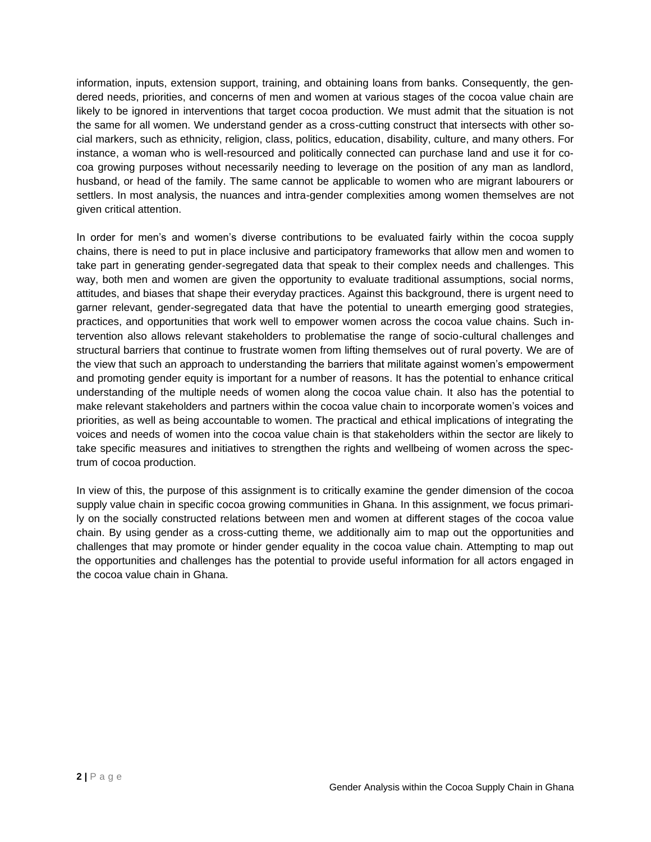information, inputs, extension support, training, and obtaining loans from banks. Consequently, the gendered needs, priorities, and concerns of men and women at various stages of the cocoa value chain are likely to be ignored in interventions that target cocoa production. We must admit that the situation is not the same for all women. We understand gender as a cross-cutting construct that intersects with other social markers, such as ethnicity, religion, class, politics, education, disability, culture, and many others. For instance, a woman who is well-resourced and politically connected can purchase land and use it for cocoa growing purposes without necessarily needing to leverage on the position of any man as landlord, husband, or head of the family. The same cannot be applicable to women who are migrant labourers or settlers. In most analysis, the nuances and intra-gender complexities among women themselves are not given critical attention.

In order for men's and women's diverse contributions to be evaluated fairly within the cocoa supply chains, there is need to put in place inclusive and participatory frameworks that allow men and women to take part in generating gender-segregated data that speak to their complex needs and challenges. This way, both men and women are given the opportunity to evaluate traditional assumptions, social norms, attitudes, and biases that shape their everyday practices. Against this background, there is urgent need to garner relevant, gender-segregated data that have the potential to unearth emerging good strategies, practices, and opportunities that work well to empower women across the cocoa value chains. Such intervention also allows relevant stakeholders to problematise the range of socio-cultural challenges and structural barriers that continue to frustrate women from lifting themselves out of rural poverty. We are of the view that such an approach to understanding the barriers that militate against women's empowerment and promoting gender equity is important for a number of reasons. It has the potential to enhance critical understanding of the multiple needs of women along the cocoa value chain. It also has the potential to make relevant stakeholders and partners within the cocoa value chain to incorporate women's voices and priorities, as well as being accountable to women. The practical and ethical implications of integrating the voices and needs of women into the cocoa value chain is that stakeholders within the sector are likely to take specific measures and initiatives to strengthen the rights and wellbeing of women across the spectrum of cocoa production.

In view of this, the purpose of this assignment is to critically examine the gender dimension of the cocoa supply value chain in specific cocoa growing communities in Ghana. In this assignment, we focus primarily on the socially constructed relations between men and women at different stages of the cocoa value chain. By using gender as a cross-cutting theme, we additionally aim to map out the opportunities and challenges that may promote or hinder gender equality in the cocoa value chain. Attempting to map out the opportunities and challenges has the potential to provide useful information for all actors engaged in the cocoa value chain in Ghana.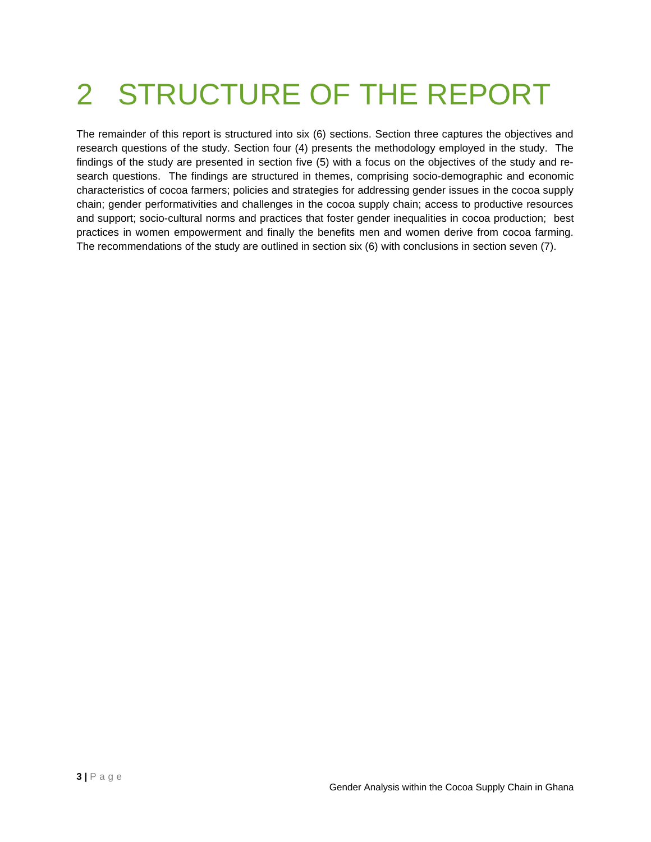## <span id="page-16-0"></span>2 STRUCTURE OF THE REPORT

The remainder of this report is structured into six (6) sections. Section three captures the objectives and research questions of the study. Section four (4) presents the methodology employed in the study. The findings of the study are presented in section five (5) with a focus on the objectives of the study and research questions. The findings are structured in themes, comprising socio-demographic and economic characteristics of cocoa farmers; policies and strategies for addressing gender issues in the cocoa supply chain; gender performativities and challenges in the cocoa supply chain; access to productive resources and support; socio-cultural norms and practices that foster gender inequalities in cocoa production; best practices in women empowerment and finally the benefits men and women derive from cocoa farming. The recommendations of the study are outlined in section six (6) with conclusions in section seven (7).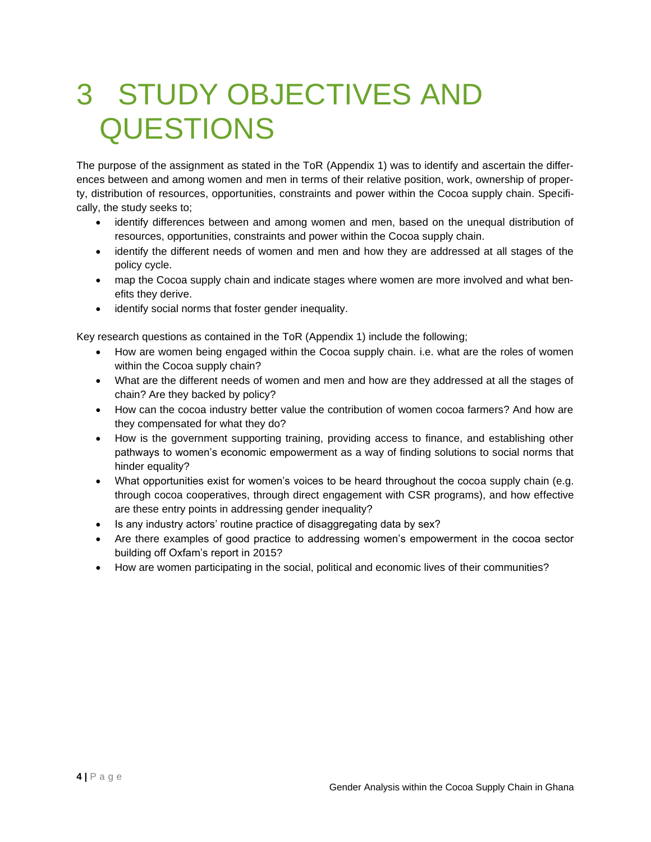## <span id="page-17-0"></span>3 STUDY OBJECTIVES AND QUESTIONS

The purpose of the assignment as stated in the ToR (Appendix 1) was to identify and ascertain the differences between and among women and men in terms of their relative position, work, ownership of property, distribution of resources, opportunities, constraints and power within the Cocoa supply chain. Specifically, the study seeks to;

- identify differences between and among women and men, based on the unequal distribution of resources, opportunities, constraints and power within the Cocoa supply chain.
- identify the different needs of women and men and how they are addressed at all stages of the policy cycle.
- map the Cocoa supply chain and indicate stages where women are more involved and what benefits they derive.
- identify social norms that foster gender inequality.

Key research questions as contained in the ToR (Appendix 1) include the following;

- How are women being engaged within the Cocoa supply chain. i.e. what are the roles of women within the Cocoa supply chain?
- What are the different needs of women and men and how are they addressed at all the stages of chain? Are they backed by policy?
- How can the cocoa industry better value the contribution of women cocoa farmers? And how are they compensated for what they do?
- How is the government supporting training, providing access to finance, and establishing other pathways to women's economic empowerment as a way of finding solutions to social norms that hinder equality?
- What opportunities exist for women's voices to be heard throughout the cocoa supply chain (e.g. through cocoa cooperatives, through direct engagement with CSR programs), and how effective are these entry points in addressing gender inequality?
- Is any industry actors' routine practice of disaggregating data by sex?
- Are there examples of good practice to addressing women's empowerment in the cocoa sector building off Oxfam's report in 2015?
- How are women participating in the social, political and economic lives of their communities?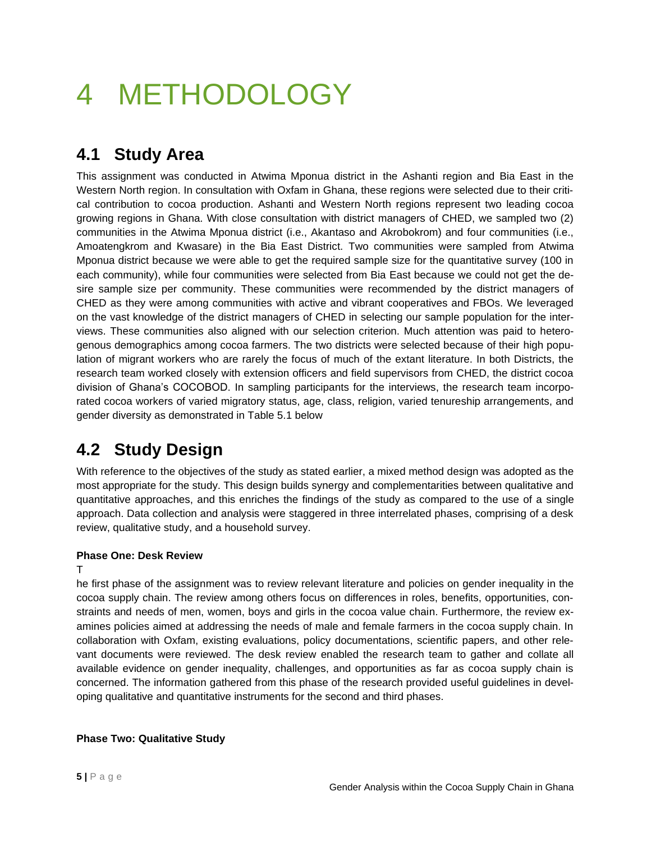## <span id="page-18-0"></span>4 METHODOLOGY

### **4.1 Study Area**

This assignment was conducted in Atwima Mponua district in the Ashanti region and Bia East in the Western North region. In consultation with Oxfam in Ghana, these regions were selected due to their critical contribution to cocoa production. Ashanti and Western North regions represent two leading cocoa growing regions in Ghana. With close consultation with district managers of CHED, we sampled two (2) communities in the Atwima Mponua district (i.e., Akantaso and Akrobokrom) and four communities (i.e., Amoatengkrom and Kwasare) in the Bia East District. Two communities were sampled from Atwima Mponua district because we were able to get the required sample size for the quantitative survey (100 in each community), while four communities were selected from Bia East because we could not get the desire sample size per community. These communities were recommended by the district managers of CHED as they were among communities with active and vibrant cooperatives and FBOs. We leveraged on the vast knowledge of the district managers of CHED in selecting our sample population for the interviews. These communities also aligned with our selection criterion. Much attention was paid to heterogenous demographics among cocoa farmers. The two districts were selected because of their high population of migrant workers who are rarely the focus of much of the extant literature. In both Districts, the research team worked closely with extension officers and field supervisors from CHED, the district cocoa division of Ghana's COCOBOD. In sampling participants for the interviews, the research team incorporated cocoa workers of varied migratory status, age, class, religion, varied tenureship arrangements, and gender diversity as demonstrated in Table 5.1 below

### **4.2 Study Design**

With reference to the objectives of the study as stated earlier, a mixed method design was adopted as the most appropriate for the study. This design builds synergy and complementarities between qualitative and quantitative approaches, and this enriches the findings of the study as compared to the use of a single approach. Data collection and analysis were staggered in three interrelated phases, comprising of a desk review, qualitative study, and a household survey.

### **Phase One: Desk Review**

T

he first phase of the assignment was to review relevant literature and policies on gender inequality in the cocoa supply chain. The review among others focus on differences in roles, benefits, opportunities, constraints and needs of men, women, boys and girls in the cocoa value chain. Furthermore, the review examines policies aimed at addressing the needs of male and female farmers in the cocoa supply chain. In collaboration with Oxfam, existing evaluations, policy documentations, scientific papers, and other relevant documents were reviewed. The desk review enabled the research team to gather and collate all available evidence on gender inequality, challenges, and opportunities as far as cocoa supply chain is concerned. The information gathered from this phase of the research provided useful guidelines in developing qualitative and quantitative instruments for the second and third phases.

### **Phase Two: Qualitative Study**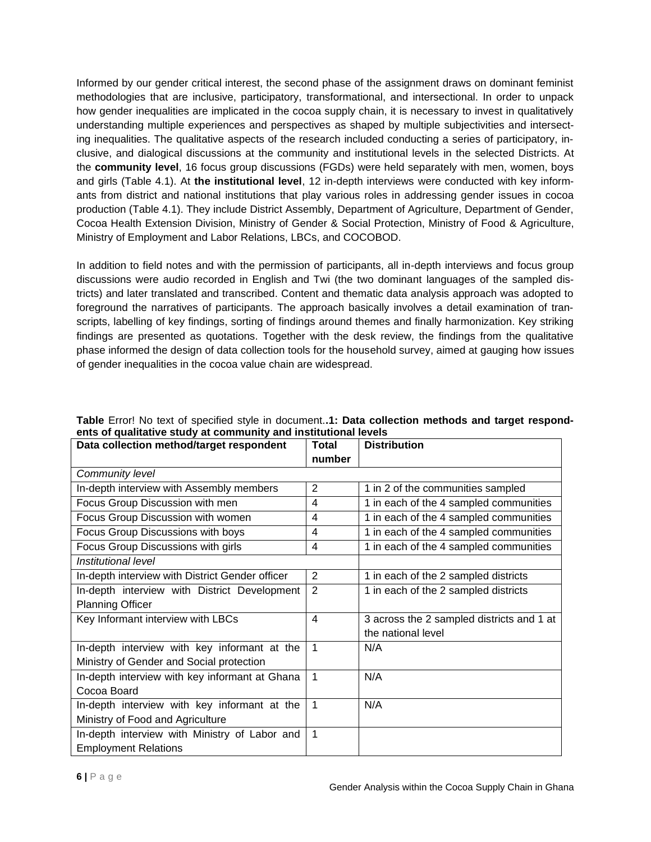Informed by our gender critical interest, the second phase of the assignment draws on dominant feminist methodologies that are inclusive, participatory, transformational, and intersectional. In order to unpack how gender inequalities are implicated in the cocoa supply chain, it is necessary to invest in qualitatively understanding multiple experiences and perspectives as shaped by multiple subjectivities and intersecting inequalities. The qualitative aspects of the research included conducting a series of participatory, inclusive, and dialogical discussions at the community and institutional levels in the selected Districts. At the **community level**, 16 focus group discussions (FGDs) were held separately with men, women, boys and girls (Table 4.1). At **the institutional level**, 12 in-depth interviews were conducted with key informants from district and national institutions that play various roles in addressing gender issues in cocoa production (Table 4.1). They include District Assembly, Department of Agriculture, Department of Gender, Cocoa Health Extension Division, Ministry of Gender & Social Protection, Ministry of Food & Agriculture, Ministry of Employment and Labor Relations, LBCs, and COCOBOD.

In addition to field notes and with the permission of participants, all in-depth interviews and focus group discussions were audio recorded in English and Twi (the two dominant languages of the sampled districts) and later translated and transcribed. Content and thematic data analysis approach was adopted to foreground the narratives of participants. The approach basically involves a detail examination of transcripts, labelling of key findings, sorting of findings around themes and finally harmonization. Key striking findings are presented as quotations. Together with the desk review, the findings from the qualitative phase informed the design of data collection tools for the household survey, aimed at gauging how issues of gender inequalities in the cocoa value chain are widespread.

| Data collection method/target respondent        | <b>Total</b>            | <b>Distribution</b>                       |
|-------------------------------------------------|-------------------------|-------------------------------------------|
|                                                 | number                  |                                           |
| Community level                                 |                         |                                           |
| In-depth interview with Assembly members        | $\overline{2}$          | 1 in 2 of the communities sampled         |
| Focus Group Discussion with men                 | 4                       | 1 in each of the 4 sampled communities    |
| Focus Group Discussion with women               | 4                       | 1 in each of the 4 sampled communities    |
| Focus Group Discussions with boys               | 4                       | 1 in each of the 4 sampled communities    |
| Focus Group Discussions with girls              | 4                       | 1 in each of the 4 sampled communities    |
| Institutional level                             |                         |                                           |
| In-depth interview with District Gender officer | $\overline{2}$          | 1 in each of the 2 sampled districts      |
| In-depth interview with District Development    | $\overline{2}$          | 1 in each of the 2 sampled districts      |
| <b>Planning Officer</b>                         |                         |                                           |
| Key Informant interview with LBCs               | $\overline{\mathbf{4}}$ | 3 across the 2 sampled districts and 1 at |
|                                                 |                         | the national level                        |
| In-depth interview with key informant at the    | 1                       | N/A                                       |
| Ministry of Gender and Social protection        |                         |                                           |
| In-depth interview with key informant at Ghana  | 1                       | N/A                                       |
| Cocoa Board                                     |                         |                                           |
| In-depth interview with key informant at the    | 1                       | N/A                                       |
| Ministry of Food and Agriculture                |                         |                                           |
| In-depth interview with Ministry of Labor and   | 1                       |                                           |
| <b>Employment Relations</b>                     |                         |                                           |

<span id="page-19-0"></span>**Table** Error! No text of specified style in document.**.1: Data collection methods and target respondents of qualitative study at community and institutional levels**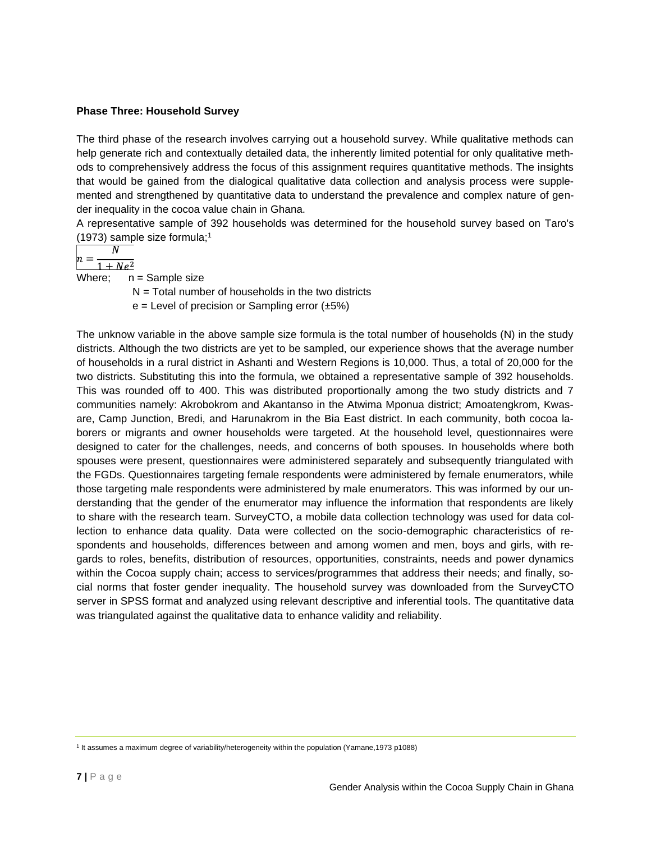### **Phase Three: Household Survey**

The third phase of the research involves carrying out a household survey. While qualitative methods can help generate rich and contextually detailed data, the inherently limited potential for only qualitative methods to comprehensively address the focus of this assignment requires quantitative methods. The insights that would be gained from the dialogical qualitative data collection and analysis process were supplemented and strengthened by quantitative data to understand the prevalence and complex nature of gender inequality in the cocoa value chain in Ghana.

A representative sample of 392 households was determined for the household survey based on Taro's (1973) sample size formula;<sup>1</sup>

$$
n = \frac{N}{}
$$

 $-\frac{1}{1 + Ne^2}$ Where:  $n =$  Sample size

 $N =$  Total number of households in the two districts

 $e =$  Level of precision or Sampling error  $(\pm 5\%)$ 

The unknow variable in the above sample size formula is the total number of households (N) in the study districts. Although the two districts are yet to be sampled, our experience shows that the average number of households in a rural district in Ashanti and Western Regions is 10,000. Thus, a total of 20,000 for the two districts. Substituting this into the formula, we obtained a representative sample of 392 households. This was rounded off to 400. This was distributed proportionally among the two study districts and 7 communities namely: Akrobokrom and Akantanso in the Atwima Mponua district; Amoatengkrom, Kwasare, Camp Junction, Bredi, and Harunakrom in the Bia East district. In each community, both cocoa laborers or migrants and owner households were targeted. At the household level, questionnaires were designed to cater for the challenges, needs, and concerns of both spouses. In households where both spouses were present, questionnaires were administered separately and subsequently triangulated with the FGDs. Questionnaires targeting female respondents were administered by female enumerators, while those targeting male respondents were administered by male enumerators. This was informed by our understanding that the gender of the enumerator may influence the information that respondents are likely to share with the research team. SurveyCTO, a mobile data collection technology was used for data collection to enhance data quality. Data were collected on the socio-demographic characteristics of respondents and households, differences between and among women and men, boys and girls, with regards to roles, benefits, distribution of resources, opportunities, constraints, needs and power dynamics within the Cocoa supply chain; access to services/programmes that address their needs; and finally, social norms that foster gender inequality. The household survey was downloaded from the SurveyCTO server in SPSS format and analyzed using relevant descriptive and inferential tools. The quantitative data was triangulated against the qualitative data to enhance validity and reliability.

<sup>1</sup> It assumes a maximum degree of variability/heterogeneity within the population (Yamane,1973 p1088)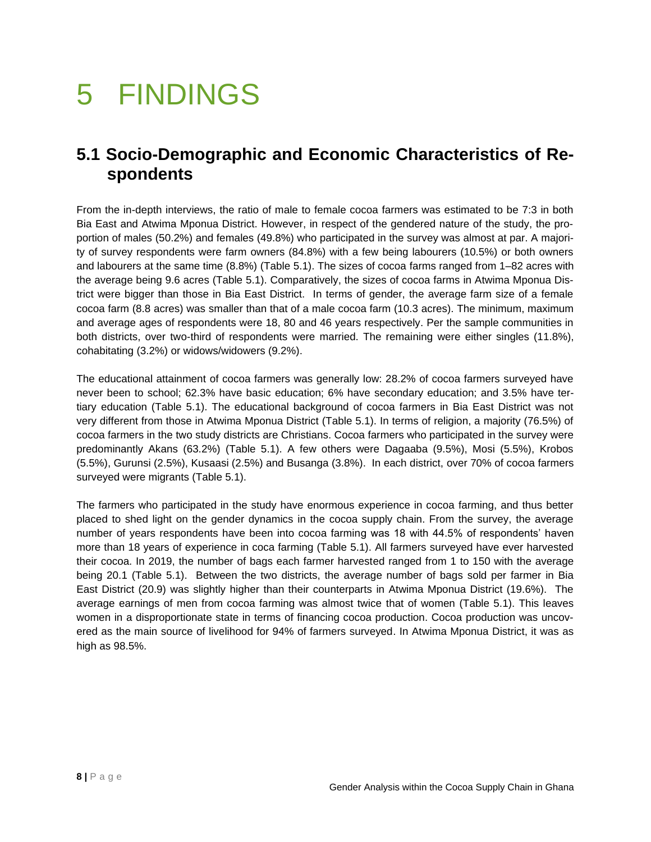### <span id="page-21-0"></span>5 FINDINGS

### **5.1 Socio-Demographic and Economic Characteristics of Respondents**

From the in-depth interviews, the ratio of male to female cocoa farmers was estimated to be 7:3 in both Bia East and Atwima Mponua District. However, in respect of the gendered nature of the study, the proportion of males (50.2%) and females (49.8%) who participated in the survey was almost at par. A majority of survey respondents were farm owners (84.8%) with a few being labourers (10.5%) or both owners and labourers at the same time (8.8%) (Table 5.1). The sizes of cocoa farms ranged from 1–82 acres with the average being 9.6 acres (Table 5.1). Comparatively, the sizes of cocoa farms in Atwima Mponua District were bigger than those in Bia East District. In terms of gender, the average farm size of a female cocoa farm (8.8 acres) was smaller than that of a male cocoa farm (10.3 acres). The minimum, maximum and average ages of respondents were 18, 80 and 46 years respectively. Per the sample communities in both districts, over two-third of respondents were married. The remaining were either singles (11.8%), cohabitating (3.2%) or widows/widowers (9.2%).

The educational attainment of cocoa farmers was generally low: 28.2% of cocoa farmers surveyed have never been to school; 62.3% have basic education; 6% have secondary education; and 3.5% have tertiary education (Table 5.1). The educational background of cocoa farmers in Bia East District was not very different from those in Atwima Mponua District (Table 5.1). In terms of religion, a majority (76.5%) of cocoa farmers in the two study districts are Christians. Cocoa farmers who participated in the survey were predominantly Akans (63.2%) (Table 5.1). A few others were Dagaaba (9.5%), Mosi (5.5%), Krobos (5.5%), Gurunsi (2.5%), Kusaasi (2.5%) and Busanga (3.8%). In each district, over 70% of cocoa farmers surveyed were migrants (Table 5.1).

The farmers who participated in the study have enormous experience in cocoa farming, and thus better placed to shed light on the gender dynamics in the cocoa supply chain. From the survey, the average number of years respondents have been into cocoa farming was 18 with 44.5% of respondents' haven more than 18 years of experience in coca farming (Table 5.1). All farmers surveyed have ever harvested their cocoa. In 2019, the number of bags each farmer harvested ranged from 1 to 150 with the average being 20.1 (Table 5.1). Between the two districts, the average number of bags sold per farmer in Bia East District (20.9) was slightly higher than their counterparts in Atwima Mponua District (19.6%). The average earnings of men from cocoa farming was almost twice that of women (Table 5.1). This leaves women in a disproportionate state in terms of financing cocoa production. Cocoa production was uncovered as the main source of livelihood for 94% of farmers surveyed. In Atwima Mponua District, it was as high as 98.5%.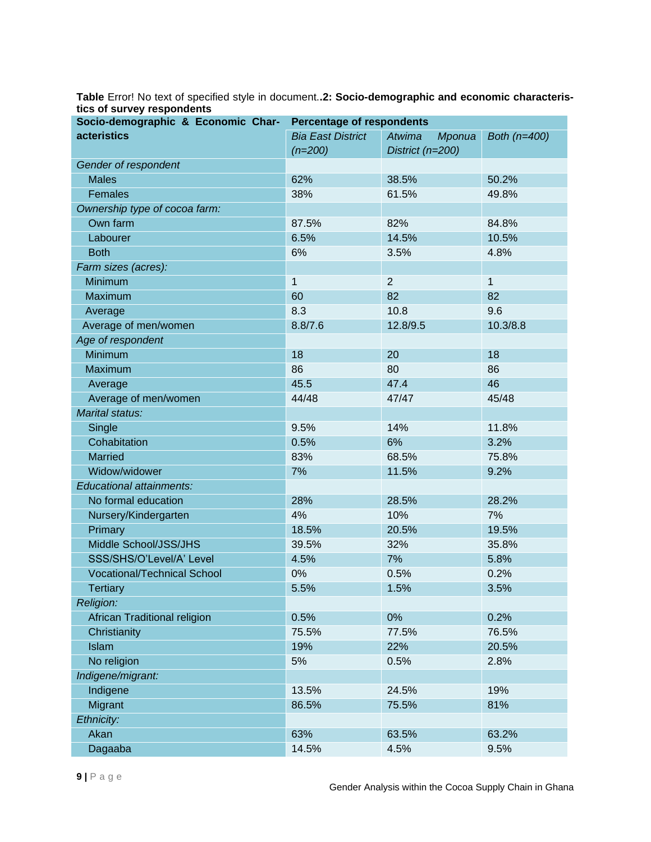<span id="page-22-0"></span>**Table** Error! No text of specified style in document.**.2: Socio-demographic and economic characteristics of survey respondents**

| Socio-demographic & Economic Char- | <b>Percentage of respondents</b> |                  |              |  |
|------------------------------------|----------------------------------|------------------|--------------|--|
| <b>acteristics</b>                 | <b>Bia East District</b>         | Atwima<br>Mponua | Both (n=400) |  |
|                                    | $(n=200)$                        | District (n=200) |              |  |
| Gender of respondent               |                                  |                  |              |  |
| <b>Males</b>                       | 62%                              | 38.5%            | 50.2%        |  |
| Females                            | 38%                              | 61.5%            | 49.8%        |  |
| Ownership type of cocoa farm:      |                                  |                  |              |  |
| Own farm                           | 87.5%                            | 82%              | 84.8%        |  |
| Labourer                           | 6.5%                             | 14.5%            | 10.5%        |  |
| <b>Both</b>                        | 6%                               | 3.5%             | 4.8%         |  |
| Farm sizes (acres):                |                                  |                  |              |  |
| Minimum                            | $\mathbf 1$                      | $\overline{2}$   | 1            |  |
| Maximum                            | 60                               | 82               | 82           |  |
| Average                            | 8.3                              | 10.8             | 9.6          |  |
| Average of men/women               | 8.8/7.6                          | 12.8/9.5         | 10.3/8.8     |  |
| Age of respondent                  |                                  |                  |              |  |
| Minimum                            | 18                               | 20               | 18           |  |
| Maximum                            | 86                               | 80               | 86           |  |
| Average                            | 45.5                             | 47.4             | 46           |  |
| Average of men/women               | 44/48                            | 47/47            | 45/48        |  |
| Marital status:                    |                                  |                  |              |  |
| Single                             | 9.5%                             | 14%              | 11.8%        |  |
| Cohabitation                       | 0.5%                             | 6%               | 3.2%         |  |
| <b>Married</b>                     | 83%                              | 68.5%            | 75.8%        |  |
| Widow/widower                      | 7%                               | 11.5%            | 9.2%         |  |
| Educational attainments:           |                                  |                  |              |  |
| No formal education                | 28%                              | 28.5%            | 28.2%        |  |
| Nursery/Kindergarten               | 4%                               | 10%              | 7%           |  |
| Primary                            | 18.5%                            | 20.5%            | 19.5%        |  |
| Middle School/JSS/JHS              | 39.5%                            | 32%              | 35.8%        |  |
| SSS/SHS/O'Level/A' Level           | 4.5%                             | 7%               | 5.8%         |  |
| <b>Vocational/Technical School</b> | 0%                               | 0.5%             | 0.2%         |  |
| <b>Tertiary</b>                    | 5.5%                             | 1.5%             | 3.5%         |  |
| Religion:                          |                                  |                  |              |  |
| African Traditional religion       | 0.5%                             | 0%               | 0.2%         |  |
| Christianity                       | 75.5%                            | 77.5%            | 76.5%        |  |
| Islam                              | 19%                              | 22%              | 20.5%        |  |
| No religion                        | 5%                               | 0.5%             | 2.8%         |  |
| Indigene/migrant:                  |                                  |                  |              |  |
| Indigene                           | 13.5%                            | 24.5%            | 19%          |  |
| Migrant                            | 86.5%                            | 75.5%            | 81%          |  |
| Ethnicity:                         |                                  |                  |              |  |
| Akan                               | 63%                              | 63.5%            | 63.2%        |  |
| Dagaaba                            | 14.5%                            | 4.5%             | 9.5%         |  |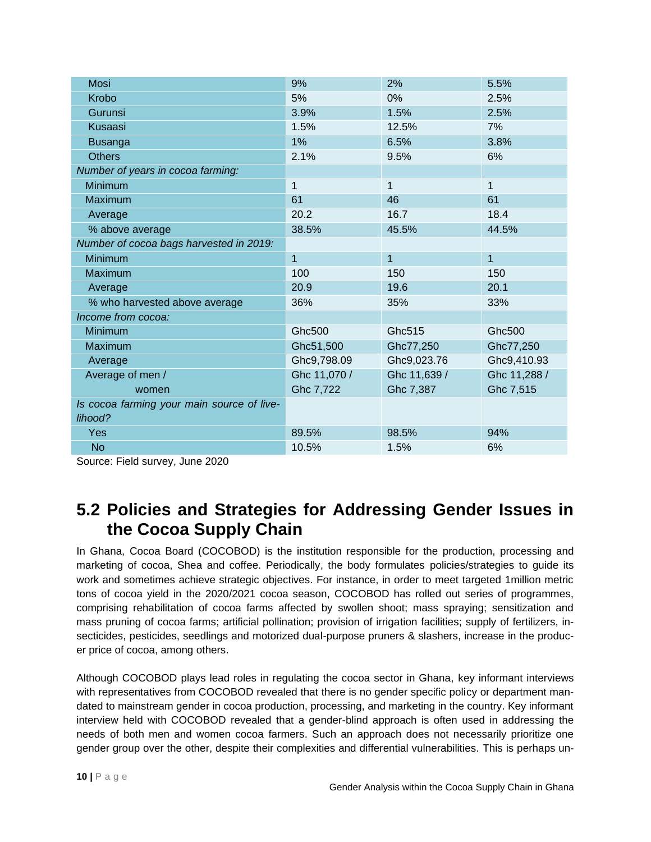| <b>Mosi</b>                                | 9%           | 2%           | 5.5%         |
|--------------------------------------------|--------------|--------------|--------------|
| Krobo                                      | 5%           | 0%           | 2.5%         |
| Gurunsi                                    | 3.9%         | 1.5%         | 2.5%         |
| Kusaasi                                    | 1.5%         | 12.5%        | 7%           |
| <b>Busanga</b>                             | 1%           | 6.5%         | 3.8%         |
| <b>Others</b>                              | 2.1%         | 9.5%         | 6%           |
| Number of years in cocoa farming:          |              |              |              |
| <b>Minimum</b>                             | 1            | $\mathbf{1}$ | $\mathbf{1}$ |
| Maximum                                    | 61           | 46           | 61           |
| Average                                    | 20.2         | 16.7         | 18.4         |
| % above average                            | 38.5%        | 45.5%        | 44.5%        |
| Number of cocoa bags harvested in 2019:    |              |              |              |
| Minimum                                    | $\mathbf{1}$ | $\mathbf{1}$ | $\mathbf{1}$ |
| Maximum                                    | 100          | 150          | 150          |
| Average                                    | 20.9         | 19.6         | 20.1         |
| % who harvested above average              | 36%          | 35%          | 33%          |
| Income from cocoa:                         |              |              |              |
| <b>Minimum</b>                             | Ghc500       | Ghc515       | Ghc500       |
| Maximum                                    | Ghc51,500    | Ghc77,250    | Ghc77,250    |
| Average                                    | Ghc9,798.09  | Ghc9,023.76  | Ghc9,410.93  |
| Average of men /                           | Ghc 11,070 / | Ghc 11,639 / | Ghc 11,288 / |
| women                                      | Ghc 7,722    | Ghc 7,387    | Ghc 7,515    |
| Is cocoa farming your main source of live- |              |              |              |
| lihood?                                    |              |              |              |
| Yes                                        | 89.5%        | 98.5%        | 94%          |
| <b>No</b>                                  | 10.5%        | 1.5%         | 6%           |

Source: Field survey, June 2020

### **5.2 Policies and Strategies for Addressing Gender Issues in the Cocoa Supply Chain**

In Ghana, Cocoa Board (COCOBOD) is the institution responsible for the production, processing and marketing of cocoa, Shea and coffee. Periodically, the body formulates policies/strategies to guide its work and sometimes achieve strategic objectives. For instance, in order to meet targeted 1million metric tons of cocoa yield in the 2020/2021 cocoa season, COCOBOD has rolled out series of programmes, comprising rehabilitation of cocoa farms affected by swollen shoot; mass spraying; sensitization and mass pruning of cocoa farms; artificial pollination; provision of irrigation facilities; supply of fertilizers, insecticides, pesticides, seedlings and motorized dual-purpose pruners & slashers, increase in the producer price of cocoa, among others.

Although COCOBOD plays lead roles in regulating the cocoa sector in Ghana, key informant interviews with representatives from COCOBOD revealed that there is no gender specific policy or department mandated to mainstream gender in cocoa production, processing, and marketing in the country. Key informant interview held with COCOBOD revealed that a gender-blind approach is often used in addressing the needs of both men and women cocoa farmers. Such an approach does not necessarily prioritize one gender group over the other, despite their complexities and differential vulnerabilities. This is perhaps un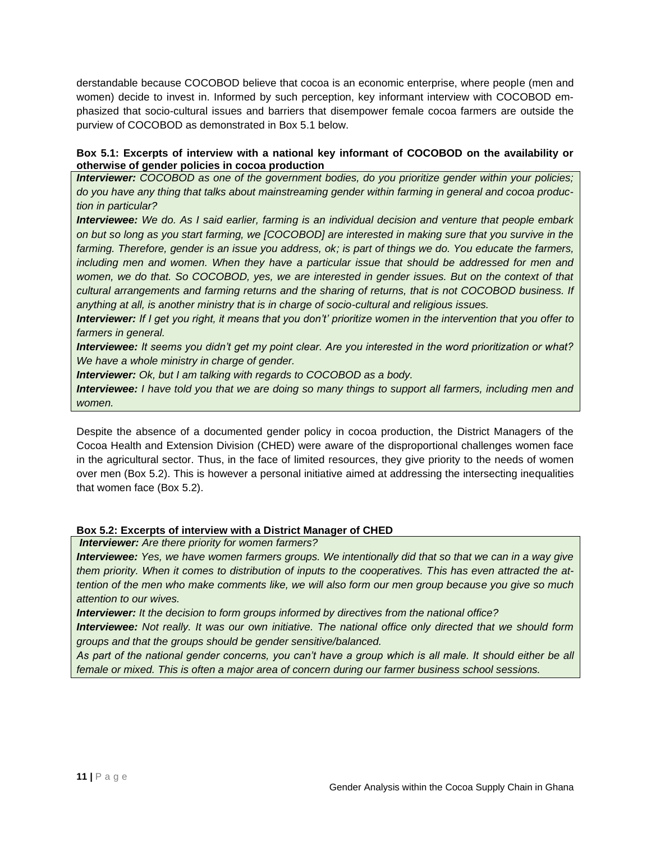derstandable because COCOBOD believe that cocoa is an economic enterprise, where people (men and women) decide to invest in. Informed by such perception, key informant interview with COCOBOD emphasized that socio-cultural issues and barriers that disempower female cocoa farmers are outside the purview of COCOBOD as demonstrated in Box 5.1 below.

#### <span id="page-24-0"></span>**Box 5.1: Excerpts of interview with a national key informant of COCOBOD on the availability or otherwise of gender policies in cocoa production**

*Interviewer: COCOBOD as one of the government bodies, do you prioritize gender within your policies; do you have any thing that talks about mainstreaming gender within farming in general and cocoa production in particular?*

*Interviewee: We do. As I said earlier, farming is an individual decision and venture that people embark on but so long as you start farming, we [COCOBOD] are interested in making sure that you survive in the farming. Therefore, gender is an issue you address, ok; is part of things we do. You educate the farmers, including men and women. When they have a particular issue that should be addressed for men and women, we do that. So COCOBOD, yes, we are interested in gender issues. But on the context of that cultural arrangements and farming returns and the sharing of returns, that is not COCOBOD business. If anything at all, is another ministry that is in charge of socio-cultural and religious issues.*

*Interviewer: If I get you right, it means that you don't' prioritize women in the intervention that you offer to farmers in general.*

*Interviewee: It seems you didn't get my point clear. Are you interested in the word prioritization or what? We have a whole ministry in charge of gender.*

*Interviewer: Ok, but I am talking with regards to COCOBOD as a body.*

*Interviewee: I have told you that we are doing so many things to support all farmers, including men and women.*

Despite the absence of a documented gender policy in cocoa production, the District Managers of the Cocoa Health and Extension Division (CHED) were aware of the disproportional challenges women face in the agricultural sector. Thus, in the face of limited resources, they give priority to the needs of women over men (Box 5.2). This is however a personal initiative aimed at addressing the intersecting inequalities that women face (Box 5.2).

### <span id="page-24-1"></span>**Box 5.2: Excerpts of interview with a District Manager of CHED**

*Interviewer: Are there priority for women farmers?*

*Interviewee: Yes, we have women farmers groups. We intentionally did that so that we can in a way give them priority. When it comes to distribution of inputs to the cooperatives. This has even attracted the attention of the men who make comments like, we will also form our men group because you give so much attention to our wives.*

*Interviewer: It the decision to form groups informed by directives from the national office?*

*Interviewee: Not really. It was our own initiative. The national office only directed that we should form groups and that the groups should be gender sensitive/balanced.*

*As part of the national gender concerns, you can't have a group which is all male. It should either be all female or mixed. This is often a major area of concern during our farmer business school sessions.*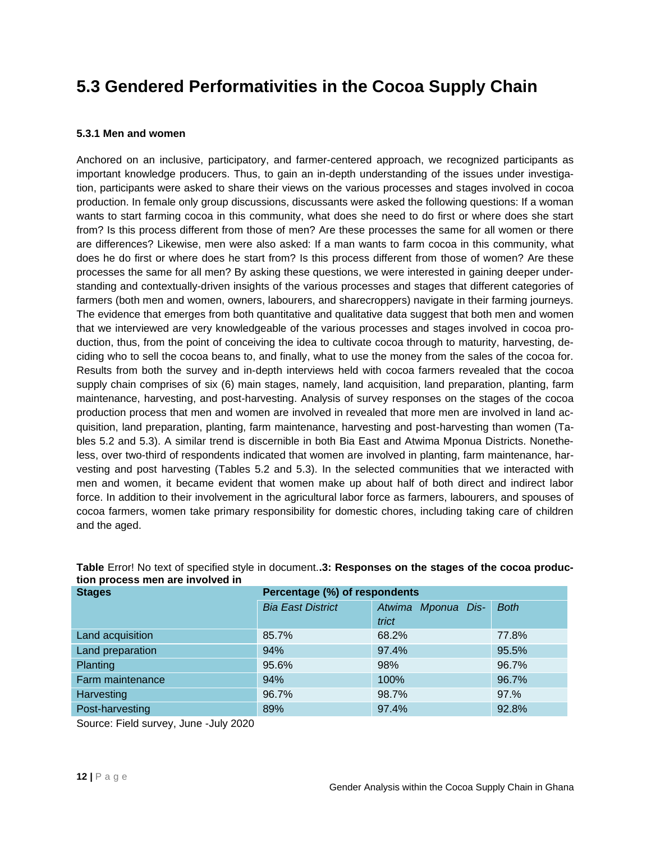### **5.3 Gendered Performativities in the Cocoa Supply Chain**

#### **5.3.1 Men and women**

Anchored on an inclusive, participatory, and farmer-centered approach, we recognized participants as important knowledge producers. Thus, to gain an in-depth understanding of the issues under investigation, participants were asked to share their views on the various processes and stages involved in cocoa production. In female only group discussions, discussants were asked the following questions: If a woman wants to start farming cocoa in this community, what does she need to do first or where does she start from? Is this process different from those of men? Are these processes the same for all women or there are differences? Likewise, men were also asked: If a man wants to farm cocoa in this community, what does he do first or where does he start from? Is this process different from those of women? Are these processes the same for all men? By asking these questions, we were interested in gaining deeper understanding and contextually-driven insights of the various processes and stages that different categories of farmers (both men and women, owners, labourers, and sharecroppers) navigate in their farming journeys. The evidence that emerges from both quantitative and qualitative data suggest that both men and women that we interviewed are very knowledgeable of the various processes and stages involved in cocoa production, thus, from the point of conceiving the idea to cultivate cocoa through to maturity, harvesting, deciding who to sell the cocoa beans to, and finally, what to use the money from the sales of the cocoa for. Results from both the survey and in-depth interviews held with cocoa farmers revealed that the cocoa supply chain comprises of six (6) main stages, namely, land acquisition, land preparation, planting, farm maintenance, harvesting, and post-harvesting. Analysis of survey responses on the stages of the cocoa production process that men and women are involved in revealed that more men are involved in land acquisition, land preparation, planting, farm maintenance, harvesting and post-harvesting than women (Tables 5.2 and 5.3). A similar trend is discernible in both Bia East and Atwima Mponua Districts. Nonetheless, over two-third of respondents indicated that women are involved in planting, farm maintenance, harvesting and post harvesting (Tables 5.2 and 5.3). In the selected communities that we interacted with men and women, it became evident that women make up about half of both direct and indirect labor force. In addition to their involvement in the agricultural labor force as farmers, labourers, and spouses of cocoa farmers, women take primary responsibility for domestic chores, including taking care of children and the aged.

| <b>Stages</b>    | Percentage (%) of respondents |                    |             |  |  |  |  |
|------------------|-------------------------------|--------------------|-------------|--|--|--|--|
|                  | <b>Bia East District</b>      | Atwima Mponua Dis- | <b>Both</b> |  |  |  |  |
|                  |                               | trict              |             |  |  |  |  |
| Land acquisition | 85.7%                         | 68.2%              | 77.8%       |  |  |  |  |
| Land preparation | 94%                           | 97.4%              | 95.5%       |  |  |  |  |
| <b>Planting</b>  | 95.6%                         | 98%                | 96.7%       |  |  |  |  |
| Farm maintenance | 94%                           | 100%               | 96.7%       |  |  |  |  |
| Harvesting       | 96.7%                         | 98.7%              | 97.%        |  |  |  |  |
| Post-harvesting  | 89%                           | 97.4%              | 92.8%       |  |  |  |  |

<span id="page-25-0"></span>**Table** Error! No text of specified style in document.**.3: Responses on the stages of the cocoa production process men are involved in**

Source: Field survey, June -July 2020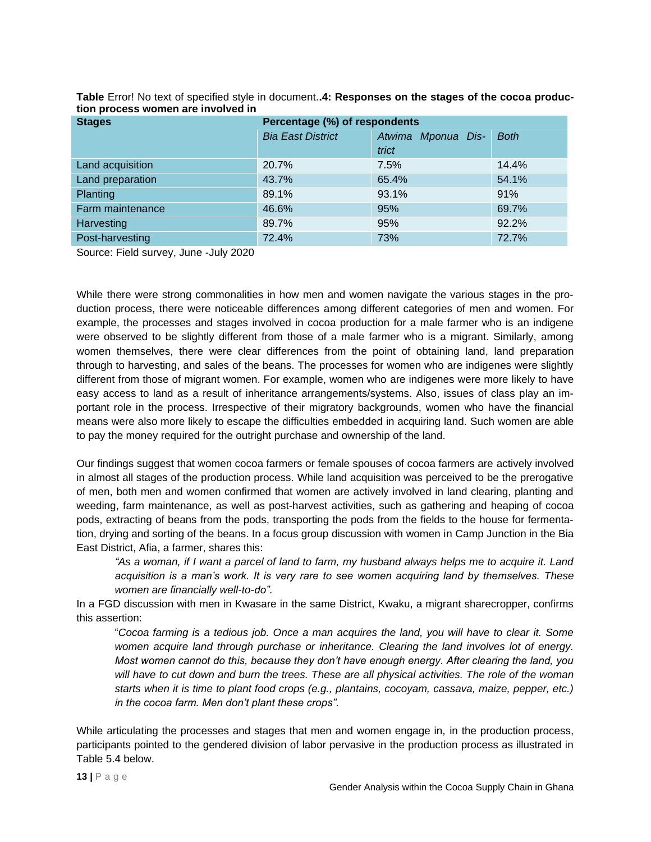| <b>Stages</b>    | Percentage (%) of respondents |                    |             |  |
|------------------|-------------------------------|--------------------|-------------|--|
|                  | <b>Bia East District</b>      | Atwima Mponua Dis- | <b>Both</b> |  |
|                  |                               | trict              |             |  |
| Land acquisition | 20.7%                         | 7.5%               | 14.4%       |  |
| Land preparation | 43.7%                         | 65.4%              | 54.1%       |  |
| <b>Planting</b>  | 89.1%                         | 93.1%              | 91%         |  |
| Farm maintenance | 46.6%                         | 95%                | 69.7%       |  |
| Harvesting       | 89.7%                         | 95%                | 92.2%       |  |
| Post-harvesting  | 72.4%                         | 73%                | 72.7%       |  |

<span id="page-26-0"></span>**Table** Error! No text of specified style in document.**.4: Responses on the stages of the cocoa production process women are involved in**

Source: Field survey, June -July 2020

While there were strong commonalities in how men and women navigate the various stages in the production process, there were noticeable differences among different categories of men and women. For example, the processes and stages involved in cocoa production for a male farmer who is an indigene were observed to be slightly different from those of a male farmer who is a migrant. Similarly, among women themselves, there were clear differences from the point of obtaining land, land preparation through to harvesting, and sales of the beans. The processes for women who are indigenes were slightly different from those of migrant women. For example, women who are indigenes were more likely to have easy access to land as a result of inheritance arrangements/systems. Also, issues of class play an important role in the process. Irrespective of their migratory backgrounds, women who have the financial means were also more likely to escape the difficulties embedded in acquiring land. Such women are able to pay the money required for the outright purchase and ownership of the land.

Our findings suggest that women cocoa farmers or female spouses of cocoa farmers are actively involved in almost all stages of the production process. While land acquisition was perceived to be the prerogative of men, both men and women confirmed that women are actively involved in land clearing, planting and weeding, farm maintenance, as well as post-harvest activities, such as gathering and heaping of cocoa pods, extracting of beans from the pods, transporting the pods from the fields to the house for fermentation, drying and sorting of the beans. In a focus group discussion with women in Camp Junction in the Bia East District, Afia, a farmer, shares this:

*"As a woman, if I want a parcel of land to farm, my husband always helps me to acquire it. Land acquisition is a man's work. It is very rare to see women acquiring land by themselves. These women are financially well-to-do".* 

In a FGD discussion with men in Kwasare in the same District, Kwaku, a migrant sharecropper, confirms this assertion:

"*Cocoa farming is a tedious job. Once a man acquires the land, you will have to clear it. Some women acquire land through purchase or inheritance. Clearing the land involves lot of energy. Most women cannot do this, because they don't have enough energy. After clearing the land, you will have to cut down and burn the trees. These are all physical activities. The role of the woman starts when it is time to plant food crops (e.g., plantains, cocoyam, cassava, maize, pepper, etc.) in the cocoa farm. Men don't plant these crops".*

While articulating the processes and stages that men and women engage in, in the production process, participants pointed to the gendered division of labor pervasive in the production process as illustrated in Table 5.4 below.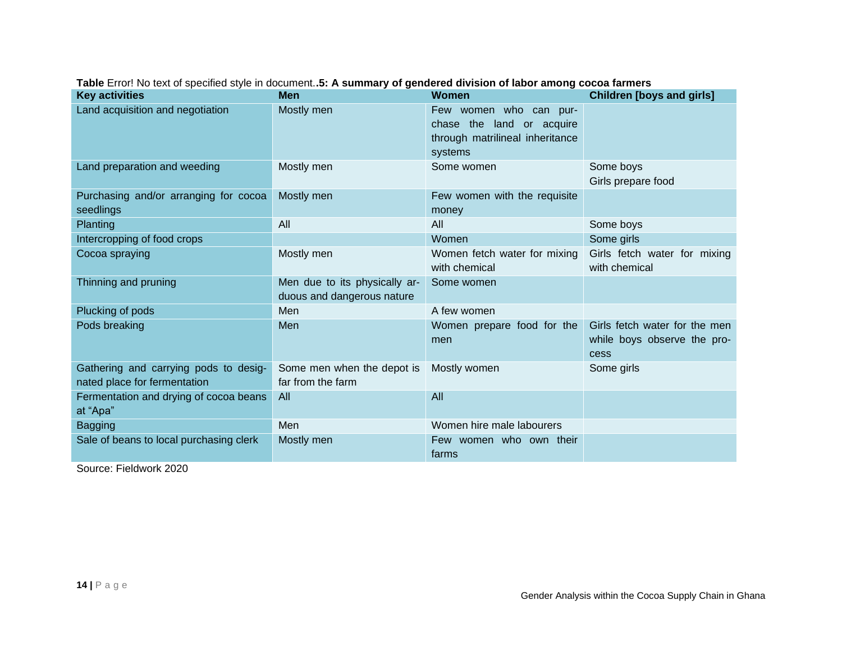<span id="page-27-0"></span>

| <b>Key activities</b>                                                 | <b>Men</b>                                                  | <b>Women</b>                                                                                      | <b>Children [boys and girls]</b>                                     |
|-----------------------------------------------------------------------|-------------------------------------------------------------|---------------------------------------------------------------------------------------------------|----------------------------------------------------------------------|
| Land acquisition and negotiation                                      | Mostly men                                                  | Few women who can pur-<br>chase the land or acquire<br>through matrilineal inheritance<br>systems |                                                                      |
| Land preparation and weeding                                          | Mostly men                                                  | Some women                                                                                        | Some boys<br>Girls prepare food                                      |
| Purchasing and/or arranging for cocoa<br>seedlings                    | Mostly men                                                  | Few women with the requisite<br>money                                                             |                                                                      |
| Planting                                                              | All                                                         | All                                                                                               | Some boys                                                            |
| Intercropping of food crops                                           |                                                             | Women                                                                                             | Some girls                                                           |
| Cocoa spraying                                                        | Mostly men                                                  | Women fetch water for mixing<br>with chemical                                                     | Girls fetch water for mixing<br>with chemical                        |
| Thinning and pruning                                                  | Men due to its physically ar-<br>duous and dangerous nature | Some women                                                                                        |                                                                      |
| Plucking of pods                                                      | Men                                                         | A few women                                                                                       |                                                                      |
| Pods breaking                                                         | <b>Men</b>                                                  | Women prepare food for the<br>men                                                                 | Girls fetch water for the men<br>while boys observe the pro-<br>cess |
| Gathering and carrying pods to desig-<br>nated place for fermentation | Some men when the depot is<br>far from the farm             | Mostly women                                                                                      | Some girls                                                           |
| Fermentation and drying of cocoa beans<br>at "Apa"                    | All                                                         | All                                                                                               |                                                                      |
| <b>Bagging</b>                                                        | Men                                                         | Women hire male labourers                                                                         |                                                                      |
| Sale of beans to local purchasing clerk                               | Mostly men                                                  | Few women who own their<br>farms                                                                  |                                                                      |

**Table** Error! No text of specified style in document.**.5: A summary of gendered division of labor among cocoa farmers**

Source: Fieldwork 2020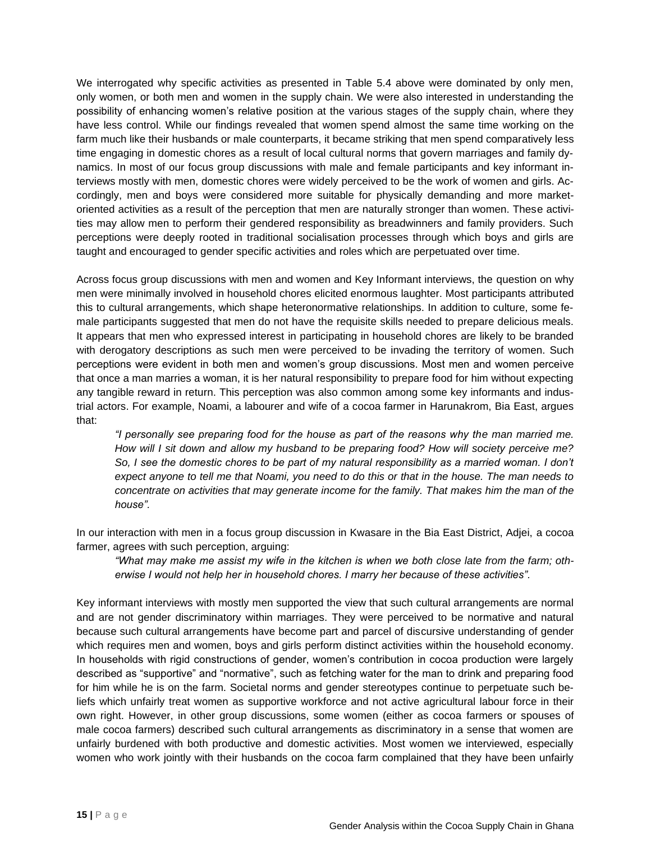We interrogated why specific activities as presented in Table 5.4 above were dominated by only men, only women, or both men and women in the supply chain. We were also interested in understanding the possibility of enhancing women's relative position at the various stages of the supply chain, where they have less control. While our findings revealed that women spend almost the same time working on the farm much like their husbands or male counterparts, it became striking that men spend comparatively less time engaging in domestic chores as a result of local cultural norms that govern marriages and family dynamics. In most of our focus group discussions with male and female participants and key informant interviews mostly with men, domestic chores were widely perceived to be the work of women and girls. Accordingly, men and boys were considered more suitable for physically demanding and more marketoriented activities as a result of the perception that men are naturally stronger than women. These activities may allow men to perform their gendered responsibility as breadwinners and family providers. Such perceptions were deeply rooted in traditional socialisation processes through which boys and girls are taught and encouraged to gender specific activities and roles which are perpetuated over time.

Across focus group discussions with men and women and Key Informant interviews, the question on why men were minimally involved in household chores elicited enormous laughter. Most participants attributed this to cultural arrangements, which shape heteronormative relationships. In addition to culture, some female participants suggested that men do not have the requisite skills needed to prepare delicious meals. It appears that men who expressed interest in participating in household chores are likely to be branded with derogatory descriptions as such men were perceived to be invading the territory of women. Such perceptions were evident in both men and women's group discussions. Most men and women perceive that once a man marries a woman, it is her natural responsibility to prepare food for him without expecting any tangible reward in return. This perception was also common among some key informants and industrial actors. For example, Noami, a labourer and wife of a cocoa farmer in Harunakrom, Bia East, argues that:

*"I personally see preparing food for the house as part of the reasons why the man married me. How will I sit down and allow my husband to be preparing food? How will society perceive me?*  So, I see the domestic chores to be part of my natural responsibility as a married woman. I don't *expect anyone to tell me that Noami, you need to do this or that in the house. The man needs to concentrate on activities that may generate income for the family. That makes him the man of the house".* 

In our interaction with men in a focus group discussion in Kwasare in the Bia East District, Adjei, a cocoa farmer, agrees with such perception, arguing:

*"What may make me assist my wife in the kitchen is when we both close late from the farm; otherwise I would not help her in household chores. I marry her because of these activities".* 

Key informant interviews with mostly men supported the view that such cultural arrangements are normal and are not gender discriminatory within marriages. They were perceived to be normative and natural because such cultural arrangements have become part and parcel of discursive understanding of gender which requires men and women, boys and girls perform distinct activities within the household economy. In households with rigid constructions of gender, women's contribution in cocoa production were largely described as "supportive" and "normative", such as fetching water for the man to drink and preparing food for him while he is on the farm. Societal norms and gender stereotypes continue to perpetuate such beliefs which unfairly treat women as supportive workforce and not active agricultural labour force in their own right. However, in other group discussions, some women (either as cocoa farmers or spouses of male cocoa farmers) described such cultural arrangements as discriminatory in a sense that women are unfairly burdened with both productive and domestic activities. Most women we interviewed, especially women who work jointly with their husbands on the cocoa farm complained that they have been unfairly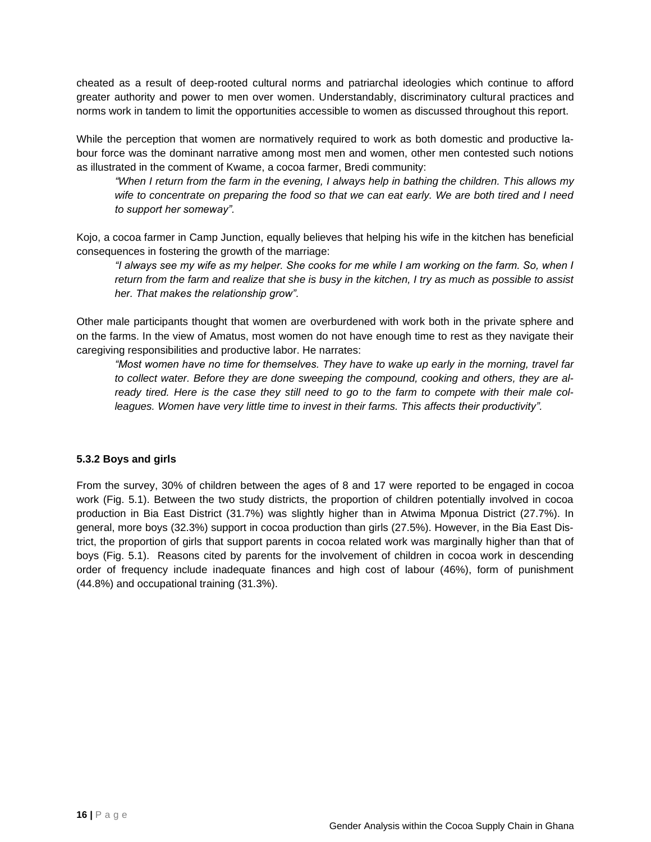cheated as a result of deep-rooted cultural norms and patriarchal ideologies which continue to afford greater authority and power to men over women. Understandably, discriminatory cultural practices and norms work in tandem to limit the opportunities accessible to women as discussed throughout this report.

While the perception that women are normatively required to work as both domestic and productive labour force was the dominant narrative among most men and women, other men contested such notions as illustrated in the comment of Kwame, a cocoa farmer, Bredi community:

*"When I return from the farm in the evening, I always help in bathing the children. This allows my wife to concentrate on preparing the food so that we can eat early. We are both tired and I need to support her someway".* 

Kojo, a cocoa farmer in Camp Junction, equally believes that helping his wife in the kitchen has beneficial consequences in fostering the growth of the marriage:

*"I always see my wife as my helper. She cooks for me while I am working on the farm. So, when I return from the farm and realize that she is busy in the kitchen, I try as much as possible to assist her. That makes the relationship grow".* 

Other male participants thought that women are overburdened with work both in the private sphere and on the farms. In the view of Amatus, most women do not have enough time to rest as they navigate their caregiving responsibilities and productive labor. He narrates:

*"Most women have no time for themselves. They have to wake up early in the morning, travel far to collect water. Before they are done sweeping the compound, cooking and others, they are already tired. Here is the case they still need to go to the farm to compete with their male colleagues. Women have very little time to invest in their farms. This affects their productivity".* 

### **5.3.2 Boys and girls**

From the survey, 30% of children between the ages of 8 and 17 were reported to be engaged in cocoa work (Fig. 5.1). Between the two study districts, the proportion of children potentially involved in cocoa production in Bia East District (31.7%) was slightly higher than in Atwima Mponua District (27.7%). In general, more boys (32.3%) support in cocoa production than girls (27.5%). However, in the Bia East District, the proportion of girls that support parents in cocoa related work was marginally higher than that of boys (Fig. 5.1). Reasons cited by parents for the involvement of children in cocoa work in descending order of frequency include inadequate finances and high cost of labour (46%), form of punishment (44.8%) and occupational training (31.3%).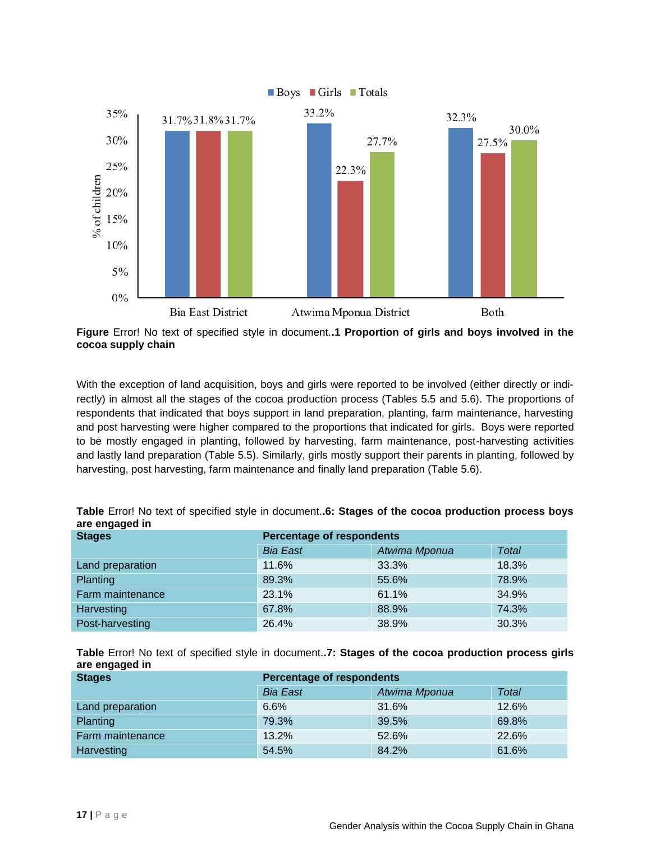

<span id="page-30-0"></span>**Figure** Error! No text of specified style in document.**.1 Proportion of girls and boys involved in the cocoa supply chain**

With the exception of land acquisition, boys and girls were reported to be involved (either directly or indirectly) in almost all the stages of the cocoa production process (Tables 5.5 and 5.6). The proportions of respondents that indicated that boys support in land preparation, planting, farm maintenance, harvesting and post harvesting were higher compared to the proportions that indicated for girls. Boys were reported to be mostly engaged in planting, followed by harvesting, farm maintenance, post-harvesting activities and lastly land preparation (Table 5.5). Similarly, girls mostly support their parents in planting, followed by harvesting, post harvesting, farm maintenance and finally land preparation (Table 5.6).

| are engagea m    |                                  |               |       |  |  |  |
|------------------|----------------------------------|---------------|-------|--|--|--|
| <b>Stages</b>    | <b>Percentage of respondents</b> |               |       |  |  |  |
|                  | <b>Bia East</b>                  | Atwima Mponua | Total |  |  |  |
| Land preparation | 11.6%                            | 33.3%         | 18.3% |  |  |  |
| <b>Planting</b>  | 89.3%                            | 55.6%         | 78.9% |  |  |  |
| Farm maintenance | 23.1%                            | 61.1%         | 34.9% |  |  |  |
| Harvesting       | 67.8%                            | 88.9%         | 74.3% |  |  |  |
| Post-harvesting  | 26.4%                            | 38.9%         | 30.3% |  |  |  |

<span id="page-30-1"></span>

|                | Table Error! No text of specified style in document6: Stages of the cocoa production process boys |
|----------------|---------------------------------------------------------------------------------------------------|
| are engaged in |                                                                                                   |

<span id="page-30-2"></span>**Table** Error! No text of specified style in document.**.7: Stages of the cocoa production process girls are engaged in**

| <b>Stages</b>    | <b>Percentage of respondents</b> |               |              |  |  |
|------------------|----------------------------------|---------------|--------------|--|--|
|                  | <b>Bia East</b>                  | Atwima Mponua | <b>Total</b> |  |  |
| Land preparation | 6.6%                             | 31.6%         | 12.6%        |  |  |
| <b>Planting</b>  | 79.3%                            | 39.5%         | 69.8%        |  |  |
| Farm maintenance | 13.2%                            | 52.6%         | 22.6%        |  |  |
| Harvesting       | 54.5%                            | 84.2%         | 61.6%        |  |  |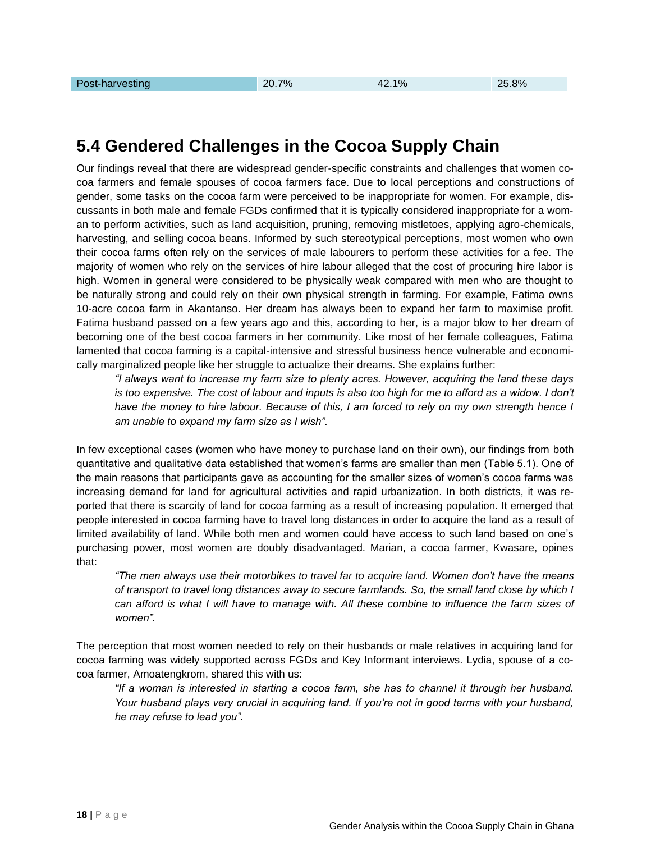### **5.4 Gendered Challenges in the Cocoa Supply Chain**

Our findings reveal that there are widespread gender-specific constraints and challenges that women cocoa farmers and female spouses of cocoa farmers face. Due to local perceptions and constructions of gender, some tasks on the cocoa farm were perceived to be inappropriate for women. For example, discussants in both male and female FGDs confirmed that it is typically considered inappropriate for a woman to perform activities, such as land acquisition, pruning, removing mistletoes, applying agro-chemicals, harvesting, and selling cocoa beans. Informed by such stereotypical perceptions, most women who own their cocoa farms often rely on the services of male labourers to perform these activities for a fee. The majority of women who rely on the services of hire labour alleged that the cost of procuring hire labor is high. Women in general were considered to be physically weak compared with men who are thought to be naturally strong and could rely on their own physical strength in farming. For example, Fatima owns 10-acre cocoa farm in Akantanso. Her dream has always been to expand her farm to maximise profit. Fatima husband passed on a few years ago and this, according to her, is a major blow to her dream of becoming one of the best cocoa farmers in her community. Like most of her female colleagues, Fatima lamented that cocoa farming is a capital-intensive and stressful business hence vulnerable and economically marginalized people like her struggle to actualize their dreams. She explains further:

*"I always want to increase my farm size to plenty acres. However, acquiring the land these days is too expensive. The cost of labour and inputs is also too high for me to afford as a widow. I don't have the money to hire labour. Because of this, I am forced to rely on my own strength hence I am unable to expand my farm size as I wish".* 

In few exceptional cases (women who have money to purchase land on their own), our findings from both quantitative and qualitative data established that women's farms are smaller than men (Table 5.1). One of the main reasons that participants gave as accounting for the smaller sizes of women's cocoa farms was increasing demand for land for agricultural activities and rapid urbanization. In both districts, it was reported that there is scarcity of land for cocoa farming as a result of increasing population. It emerged that people interested in cocoa farming have to travel long distances in order to acquire the land as a result of limited availability of land. While both men and women could have access to such land based on one's purchasing power, most women are doubly disadvantaged. Marian, a cocoa farmer, Kwasare, opines that:

*"The men always use their motorbikes to travel far to acquire land. Women don't have the means of transport to travel long distances away to secure farmlands. So, the small land close by which I can afford is what I will have to manage with. All these combine to influence the farm sizes of women".* 

The perception that most women needed to rely on their husbands or male relatives in acquiring land for cocoa farming was widely supported across FGDs and Key Informant interviews. Lydia, spouse of a cocoa farmer, Amoatengkrom, shared this with us:

*"If a woman is interested in starting a cocoa farm, she has to channel it through her husband. Your husband plays very crucial in acquiring land. If you're not in good terms with your husband, he may refuse to lead you".*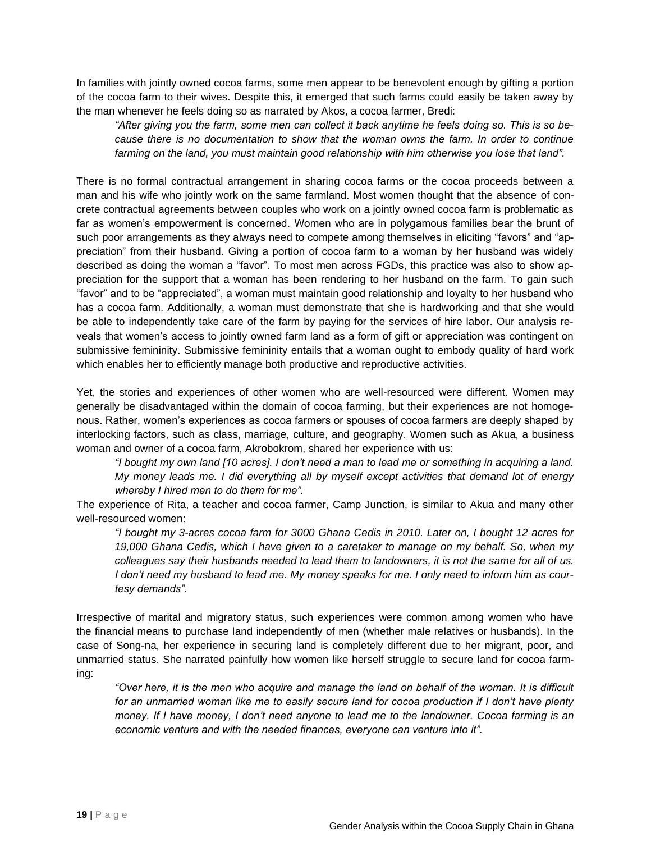In families with jointly owned cocoa farms, some men appear to be benevolent enough by gifting a portion of the cocoa farm to their wives. Despite this, it emerged that such farms could easily be taken away by the man whenever he feels doing so as narrated by Akos, a cocoa farmer, Bredi:

*"After giving you the farm, some men can collect it back anytime he feels doing so. This is so because there is no documentation to show that the woman owns the farm. In order to continue farming on the land, you must maintain good relationship with him otherwise you lose that land".*

There is no formal contractual arrangement in sharing cocoa farms or the cocoa proceeds between a man and his wife who jointly work on the same farmland. Most women thought that the absence of concrete contractual agreements between couples who work on a jointly owned cocoa farm is problematic as far as women's empowerment is concerned. Women who are in polygamous families bear the brunt of such poor arrangements as they always need to compete among themselves in eliciting "favors" and "appreciation" from their husband. Giving a portion of cocoa farm to a woman by her husband was widely described as doing the woman a "favor". To most men across FGDs, this practice was also to show appreciation for the support that a woman has been rendering to her husband on the farm. To gain such "favor" and to be "appreciated", a woman must maintain good relationship and loyalty to her husband who has a cocoa farm. Additionally, a woman must demonstrate that she is hardworking and that she would be able to independently take care of the farm by paying for the services of hire labor. Our analysis reveals that women's access to jointly owned farm land as a form of gift or appreciation was contingent on submissive femininity. Submissive femininity entails that a woman ought to embody quality of hard work which enables her to efficiently manage both productive and reproductive activities.

Yet, the stories and experiences of other women who are well-resourced were different. Women may generally be disadvantaged within the domain of cocoa farming, but their experiences are not homogenous. Rather, women's experiences as cocoa farmers or spouses of cocoa farmers are deeply shaped by interlocking factors, such as class, marriage, culture, and geography. Women such as Akua, a business woman and owner of a cocoa farm, Akrobokrom, shared her experience with us:

*"I bought my own land [10 acres]. I don't need a man to lead me or something in acquiring a land. My money leads me. I did everything all by myself except activities that demand lot of energy whereby I hired men to do them for me".* 

The experience of Rita, a teacher and cocoa farmer, Camp Junction, is similar to Akua and many other well-resourced women:

*"I bought my 3-acres cocoa farm for 3000 Ghana Cedis in 2010. Later on, I bought 12 acres for 19,000 Ghana Cedis, which I have given to a caretaker to manage on my behalf. So, when my colleagues say their husbands needed to lead them to landowners, it is not the same for all of us. I don't need my husband to lead me. My money speaks for me. I only need to inform him as courtesy demands".* 

Irrespective of marital and migratory status, such experiences were common among women who have the financial means to purchase land independently of men (whether male relatives or husbands). In the case of Song-na, her experience in securing land is completely different due to her migrant, poor, and unmarried status. She narrated painfully how women like herself struggle to secure land for cocoa farming:

*"Over here, it is the men who acquire and manage the land on behalf of the woman. It is difficult*  for an unmarried woman like me to easily secure land for cocoa production if I don't have plenty *money. If I have money, I don't need anyone to lead me to the landowner. Cocoa farming is an economic venture and with the needed finances, everyone can venture into it".*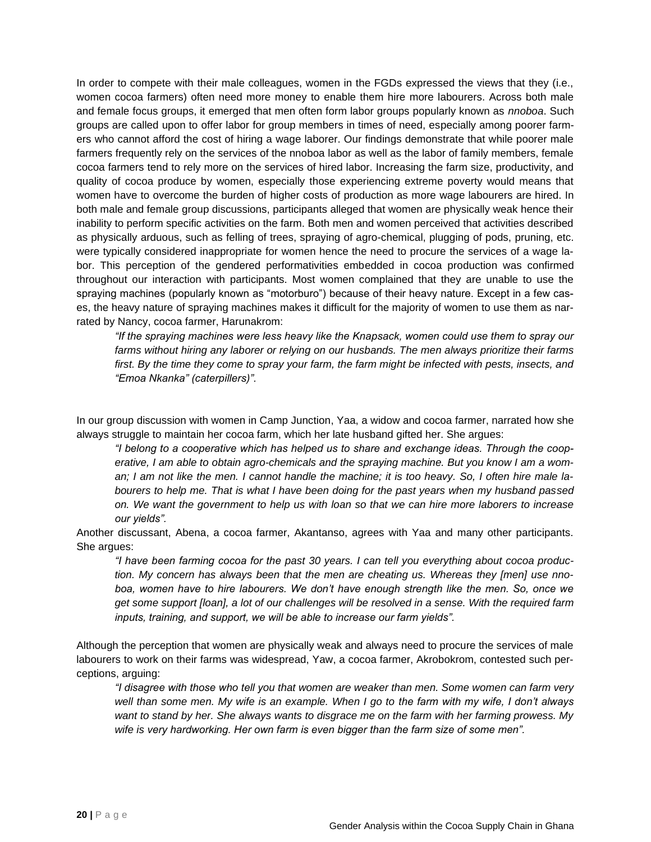In order to compete with their male colleagues, women in the FGDs expressed the views that they (i.e., women cocoa farmers) often need more money to enable them hire more labourers. Across both male and female focus groups, it emerged that men often form labor groups popularly known as *nnoboa*. Such groups are called upon to offer labor for group members in times of need, especially among poorer farmers who cannot afford the cost of hiring a wage laborer. Our findings demonstrate that while poorer male farmers frequently rely on the services of the nnoboa labor as well as the labor of family members, female cocoa farmers tend to rely more on the services of hired labor. Increasing the farm size, productivity, and quality of cocoa produce by women, especially those experiencing extreme poverty would means that women have to overcome the burden of higher costs of production as more wage labourers are hired. In both male and female group discussions, participants alleged that women are physically weak hence their inability to perform specific activities on the farm. Both men and women perceived that activities described as physically arduous, such as felling of trees, spraying of agro-chemical, plugging of pods, pruning, etc. were typically considered inappropriate for women hence the need to procure the services of a wage labor. This perception of the gendered performativities embedded in cocoa production was confirmed throughout our interaction with participants. Most women complained that they are unable to use the spraying machines (popularly known as "motorburo") because of their heavy nature. Except in a few cases, the heavy nature of spraying machines makes it difficult for the majority of women to use them as narrated by Nancy, cocoa farmer, Harunakrom:

*"If the spraying machines were less heavy like the Knapsack, women could use them to spray our farms without hiring any laborer or relying on our husbands. The men always prioritize their farms first. By the time they come to spray your farm, the farm might be infected with pests, insects, and "Emoa Nkanka" (caterpillers)".*

In our group discussion with women in Camp Junction, Yaa, a widow and cocoa farmer, narrated how she always struggle to maintain her cocoa farm, which her late husband gifted her. She argues:

*"I belong to a cooperative which has helped us to share and exchange ideas. Through the cooperative, I am able to obtain agro-chemicals and the spraying machine. But you know I am a woman; I am not like the men. I cannot handle the machine; it is too heavy. So, I often hire male labourers to help me. That is what I have been doing for the past years when my husband passed on. We want the government to help us with loan so that we can hire more laborers to increase our yields".*

Another discussant, Abena, a cocoa farmer, Akantanso, agrees with Yaa and many other participants. She argues:

*"I have been farming cocoa for the past 30 years. I can tell you everything about cocoa production. My concern has always been that the men are cheating us. Whereas they [men] use nnoboa, women have to hire labourers. We don't have enough strength like the men. So, once we get some support [loan], a lot of our challenges will be resolved in a sense. With the required farm inputs, training, and support, we will be able to increase our farm yields".* 

Although the perception that women are physically weak and always need to procure the services of male labourers to work on their farms was widespread, Yaw, a cocoa farmer, Akrobokrom, contested such perceptions, arguing:

*"I disagree with those who tell you that women are weaker than men. Some women can farm very well than some men. My wife is an example. When I go to the farm with my wife, I don't always want to stand by her. She always wants to disgrace me on the farm with her farming prowess. My wife is very hardworking. Her own farm is even bigger than the farm size of some men".*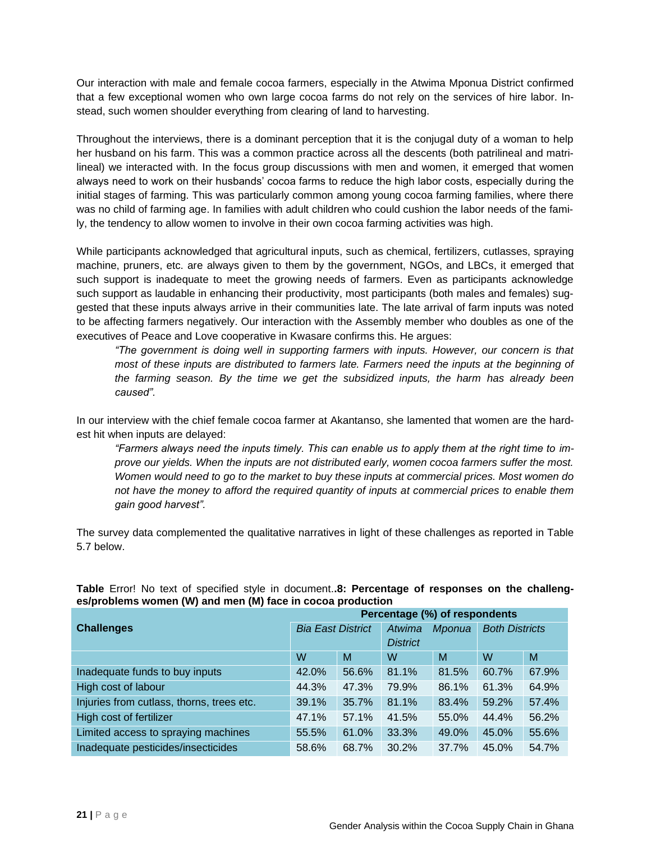Our interaction with male and female cocoa farmers, especially in the Atwima Mponua District confirmed that a few exceptional women who own large cocoa farms do not rely on the services of hire labor. Instead, such women shoulder everything from clearing of land to harvesting.

Throughout the interviews, there is a dominant perception that it is the conjugal duty of a woman to help her husband on his farm. This was a common practice across all the descents (both patrilineal and matrilineal) we interacted with. In the focus group discussions with men and women, it emerged that women always need to work on their husbands' cocoa farms to reduce the high labor costs, especially during the initial stages of farming. This was particularly common among young cocoa farming families, where there was no child of farming age. In families with adult children who could cushion the labor needs of the family, the tendency to allow women to involve in their own cocoa farming activities was high.

While participants acknowledged that agricultural inputs, such as chemical, fertilizers, cutlasses, spraying machine, pruners, etc. are always given to them by the government, NGOs, and LBCs, it emerged that such support is inadequate to meet the growing needs of farmers. Even as participants acknowledge such support as laudable in enhancing their productivity, most participants (both males and females) suggested that these inputs always arrive in their communities late. The late arrival of farm inputs was noted to be affecting farmers negatively. Our interaction with the Assembly member who doubles as one of the executives of Peace and Love cooperative in Kwasare confirms this. He argues:

*"The government is doing well in supporting farmers with inputs. However, our concern is that most of these inputs are distributed to farmers late. Farmers need the inputs at the beginning of the farming season. By the time we get the subsidized inputs, the harm has already been caused".* 

In our interview with the chief female cocoa farmer at Akantanso, she lamented that women are the hardest hit when inputs are delayed:

*"Farmers always need the inputs timely. This can enable us to apply them at the right time to improve our yields. When the inputs are not distributed early, women cocoa farmers suffer the most. Women would need to go to the market to buy these inputs at commercial prices. Most women do not have the money to afford the required quantity of inputs at commercial prices to enable them gain good harvest".*

The survey data complemented the qualitative narratives in light of these challenges as reported in Table 5.7 below.

|                                           | Percentage (%) of respondents |       |                  |       |                       |       |  |
|-------------------------------------------|-------------------------------|-------|------------------|-------|-----------------------|-------|--|
| <b>Challenges</b>                         | <b>Bia East District</b>      |       | Atwima<br>Mponua |       | <b>Both Districts</b> |       |  |
|                                           |                               |       | <b>District</b>  |       |                       |       |  |
|                                           | W                             | M     | W                | M     | W                     | M     |  |
| Inadequate funds to buy inputs            | 42.0%                         | 56.6% | 81.1%            | 81.5% | 60.7%                 | 67.9% |  |
| High cost of labour                       | 44.3%                         | 47.3% | 79.9%            | 86.1% | 61.3%                 | 64.9% |  |
| Injuries from cutlass, thorns, trees etc. | 39.1%                         | 35.7% | 81.1%            | 83.4% | 59.2%                 | 57.4% |  |
| High cost of fertilizer                   | 47.1%                         | 57.1% | 41.5%            | 55.0% | 44.4%                 | 56.2% |  |
| Limited access to spraying machines       | 55.5%                         | 61.0% | 33.3%            | 49.0% | 45.0%                 | 55.6% |  |
| Inadequate pesticides/insecticides        | 58.6%                         | 68.7% | 30.2%            | 37.7% | 45.0%                 | 54.7% |  |

### <span id="page-34-0"></span>**Table** Error! No text of specified style in document.**.8: Percentage of responses on the challenges/problems women (W) and men (M) face in cocoa production**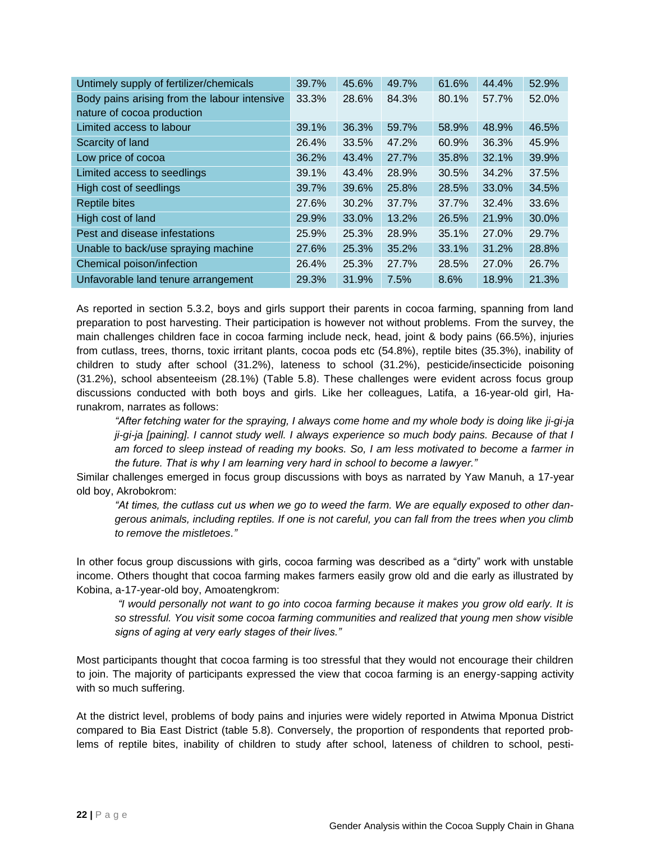| Untimely supply of fertilizer/chemicals      | 39.7% | 45.6% | 49.7% | 61.6% | 44.4% | 52.9% |
|----------------------------------------------|-------|-------|-------|-------|-------|-------|
| Body pains arising from the labour intensive | 33.3% | 28.6% | 84.3% | 80.1% | 57.7% | 52.0% |
| nature of cocoa production                   |       |       |       |       |       |       |
| Limited access to labour                     | 39.1% | 36.3% | 59.7% | 58.9% | 48.9% | 46.5% |
| Scarcity of land                             | 26.4% | 33.5% | 47.2% | 60.9% | 36.3% | 45.9% |
| Low price of cocoa                           | 36.2% | 43.4% | 27.7% | 35.8% | 32.1% | 39.9% |
| Limited access to seedlings                  | 39.1% | 43.4% | 28.9% | 30.5% | 34.2% | 37.5% |
| High cost of seedlings                       | 39.7% | 39.6% | 25.8% | 28.5% | 33.0% | 34.5% |
| <b>Reptile bites</b>                         | 27.6% | 30.2% | 37.7% | 37.7% | 32.4% | 33.6% |
| High cost of land                            | 29.9% | 33.0% | 13.2% | 26.5% | 21.9% | 30.0% |
| Pest and disease infestations                | 25.9% | 25.3% | 28.9% | 35.1% | 27.0% | 29.7% |
| Unable to back/use spraying machine          | 27.6% | 25.3% | 35.2% | 33.1% | 31.2% | 28.8% |
| Chemical poison/infection                    | 26.4% | 25.3% | 27.7% | 28.5% | 27.0% | 26.7% |
| Unfavorable land tenure arrangement          | 29.3% | 31.9% | 7.5%  | 8.6%  | 18.9% | 21.3% |

As reported in section 5.3.2, boys and girls support their parents in cocoa farming, spanning from land preparation to post harvesting. Their participation is however not without problems. From the survey, the main challenges children face in cocoa farming include neck, head, joint & body pains (66.5%), injuries from cutlass, trees, thorns, toxic irritant plants, cocoa pods etc (54.8%), reptile bites (35.3%), inability of children to study after school (31.2%), lateness to school (31.2%), pesticide/insecticide poisoning (31.2%), school absenteeism (28.1%) (Table 5.8). These challenges were evident across focus group discussions conducted with both boys and girls. Like her colleagues, Latifa, a 16-year-old girl, Harunakrom, narrates as follows:

*"After fetching water for the spraying, I always come home and my whole body is doing like ji-gi-ja ji-gi-ja [paining]. I cannot study well. I always experience so much body pains. Because of that I am forced to sleep instead of reading my books. So, I am less motivated to become a farmer in the future. That is why I am learning very hard in school to become a lawyer."* 

Similar challenges emerged in focus group discussions with boys as narrated by Yaw Manuh, a 17-year old boy, Akrobokrom:

*"At times, the cutlass cut us when we go to weed the farm. We are equally exposed to other dangerous animals, including reptiles. If one is not careful, you can fall from the trees when you climb to remove the mistletoes."* 

In other focus group discussions with girls, cocoa farming was described as a "dirty" work with unstable income. Others thought that cocoa farming makes farmers easily grow old and die early as illustrated by Kobina, a-17-year-old boy, Amoatengkrom:

*"I would personally not want to go into cocoa farming because it makes you grow old early. It is so stressful. You visit some cocoa farming communities and realized that young men show visible signs of aging at very early stages of their lives."* 

Most participants thought that cocoa farming is too stressful that they would not encourage their children to join. The majority of participants expressed the view that cocoa farming is an energy-sapping activity with so much suffering.

At the district level, problems of body pains and injuries were widely reported in Atwima Mponua District compared to Bia East District (table 5.8). Conversely, the proportion of respondents that reported problems of reptile bites, inability of children to study after school, lateness of children to school, pesti-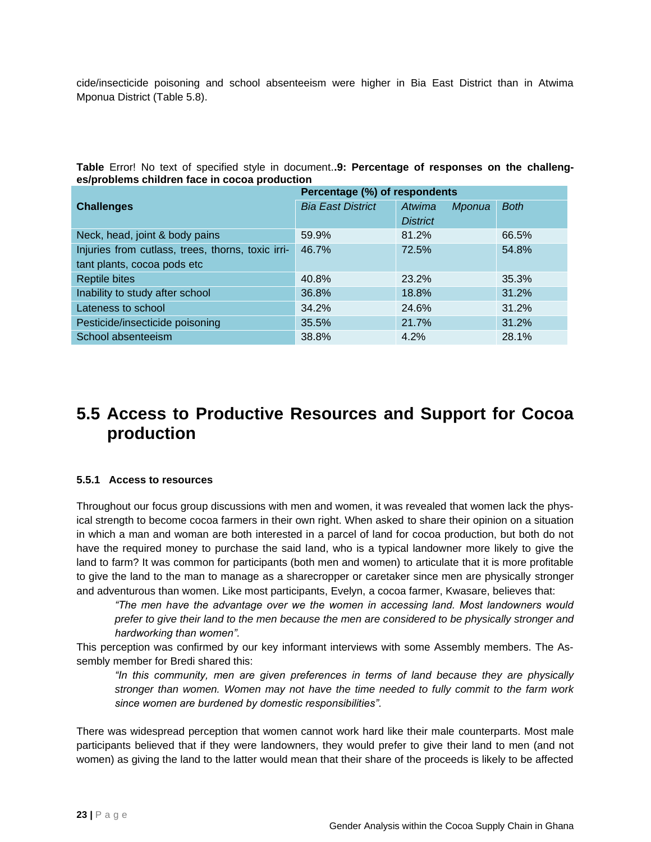cide/insecticide poisoning and school absenteeism were higher in Bia East District than in Atwima Mponua District (Table 5.8).

**Table** Error! No text of specified style in document.**.9: Percentage of responses on the challenges/problems children face in cocoa production**

|                                                   | Percentage (%) of respondents |                  |             |
|---------------------------------------------------|-------------------------------|------------------|-------------|
| <b>Challenges</b>                                 | <b>Bia East District</b>      | Atwima<br>Mponua | <b>Both</b> |
|                                                   |                               | <b>District</b>  |             |
| Neck, head, joint & body pains                    | 59.9%                         | 81.2%            | 66.5%       |
| Injuries from cutlass, trees, thorns, toxic irri- | 46.7%                         | 72.5%            | 54.8%       |
| tant plants, cocoa pods etc                       |                               |                  |             |
| <b>Reptile bites</b>                              | 40.8%                         | 23.2%            | 35.3%       |
| Inability to study after school                   | 36.8%                         | 18.8%            | 31.2%       |
| Lateness to school                                | 34.2%                         | 24.6%            | 31.2%       |
| Pesticide/insecticide poisoning                   | 35.5%                         | 21.7%            | 31.2%       |
| School absenteeism                                | 38.8%                         | 4.2%             | 28.1%       |

### **5.5 Access to Productive Resources and Support for Cocoa production**

#### **5.5.1 Access to resources**

Throughout our focus group discussions with men and women, it was revealed that women lack the physical strength to become cocoa farmers in their own right. When asked to share their opinion on a situation in which a man and woman are both interested in a parcel of land for cocoa production, but both do not have the required money to purchase the said land, who is a typical landowner more likely to give the land to farm? It was common for participants (both men and women) to articulate that it is more profitable to give the land to the man to manage as a sharecropper or caretaker since men are physically stronger and adventurous than women. Like most participants, Evelyn, a cocoa farmer, Kwasare, believes that:

*"The men have the advantage over we the women in accessing land. Most landowners would prefer to give their land to the men because the men are considered to be physically stronger and hardworking than women".* 

This perception was confirmed by our key informant interviews with some Assembly members. The Assembly member for Bredi shared this:

*"In this community, men are given preferences in terms of land because they are physically stronger than women. Women may not have the time needed to fully commit to the farm work since women are burdened by domestic responsibilities".* 

There was widespread perception that women cannot work hard like their male counterparts. Most male participants believed that if they were landowners, they would prefer to give their land to men (and not women) as giving the land to the latter would mean that their share of the proceeds is likely to be affected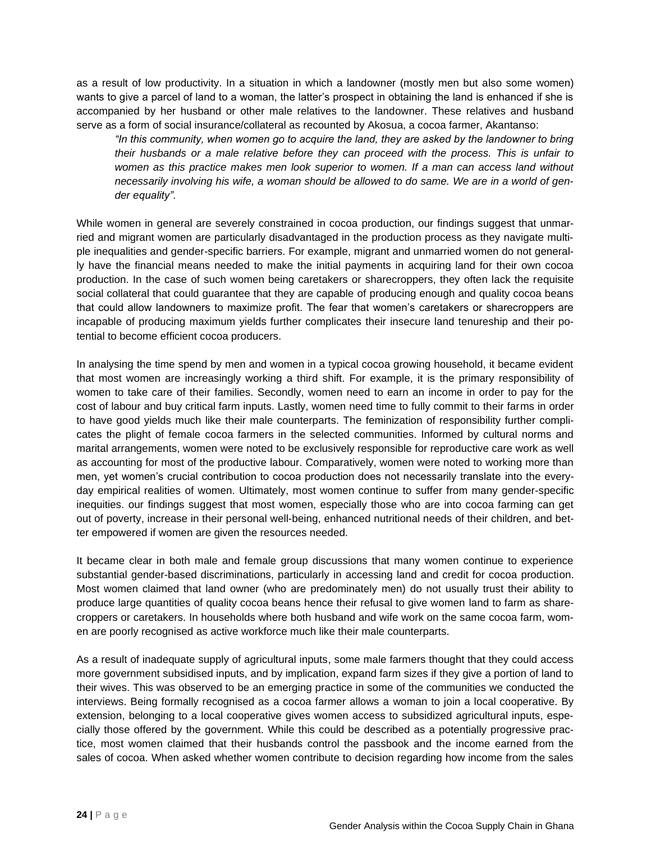as a result of low productivity. In a situation in which a landowner (mostly men but also some women) wants to give a parcel of land to a woman, the latter's prospect in obtaining the land is enhanced if she is accompanied by her husband or other male relatives to the landowner. These relatives and husband serve as a form of social insurance/collateral as recounted by Akosua, a cocoa farmer, Akantanso:

*"In this community, when women go to acquire the land, they are asked by the landowner to bring their husbands or a male relative before they can proceed with the process. This is unfair to women as this practice makes men look superior to women. If a man can access land without necessarily involving his wife, a woman should be allowed to do same. We are in a world of gender equality".* 

While women in general are severely constrained in cocoa production, our findings suggest that unmarried and migrant women are particularly disadvantaged in the production process as they navigate multiple inequalities and gender-specific barriers. For example, migrant and unmarried women do not generally have the financial means needed to make the initial payments in acquiring land for their own cocoa production. In the case of such women being caretakers or sharecroppers, they often lack the requisite social collateral that could guarantee that they are capable of producing enough and quality cocoa beans that could allow landowners to maximize profit. The fear that women's caretakers or sharecroppers are incapable of producing maximum yields further complicates their insecure land tenureship and their potential to become efficient cocoa producers.

In analysing the time spend by men and women in a typical cocoa growing household, it became evident that most women are increasingly working a third shift. For example, it is the primary responsibility of women to take care of their families. Secondly, women need to earn an income in order to pay for the cost of labour and buy critical farm inputs. Lastly, women need time to fully commit to their farms in order to have good yields much like their male counterparts. The feminization of responsibility further complicates the plight of female cocoa farmers in the selected communities. Informed by cultural norms and marital arrangements, women were noted to be exclusively responsible for reproductive care work as well as accounting for most of the productive labour. Comparatively, women were noted to working more than men, yet women's crucial contribution to cocoa production does not necessarily translate into the everyday empirical realities of women. Ultimately, most women continue to suffer from many gender-specific inequities. our findings suggest that most women, especially those who are into cocoa farming can get out of poverty, increase in their personal well-being, enhanced nutritional needs of their children, and better empowered if women are given the resources needed.

It became clear in both male and female group discussions that many women continue to experience substantial gender-based discriminations, particularly in accessing land and credit for cocoa production. Most women claimed that land owner (who are predominately men) do not usually trust their ability to produce large quantities of quality cocoa beans hence their refusal to give women land to farm as sharecroppers or caretakers. In households where both husband and wife work on the same cocoa farm, women are poorly recognised as active workforce much like their male counterparts.

As a result of inadequate supply of agricultural inputs, some male farmers thought that they could access more government subsidised inputs, and by implication, expand farm sizes if they give a portion of land to their wives. This was observed to be an emerging practice in some of the communities we conducted the interviews. Being formally recognised as a cocoa farmer allows a woman to join a local cooperative. By extension, belonging to a local cooperative gives women access to subsidized agricultural inputs, especially those offered by the government. While this could be described as a potentially progressive practice, most women claimed that their husbands control the passbook and the income earned from the sales of cocoa. When asked whether women contribute to decision regarding how income from the sales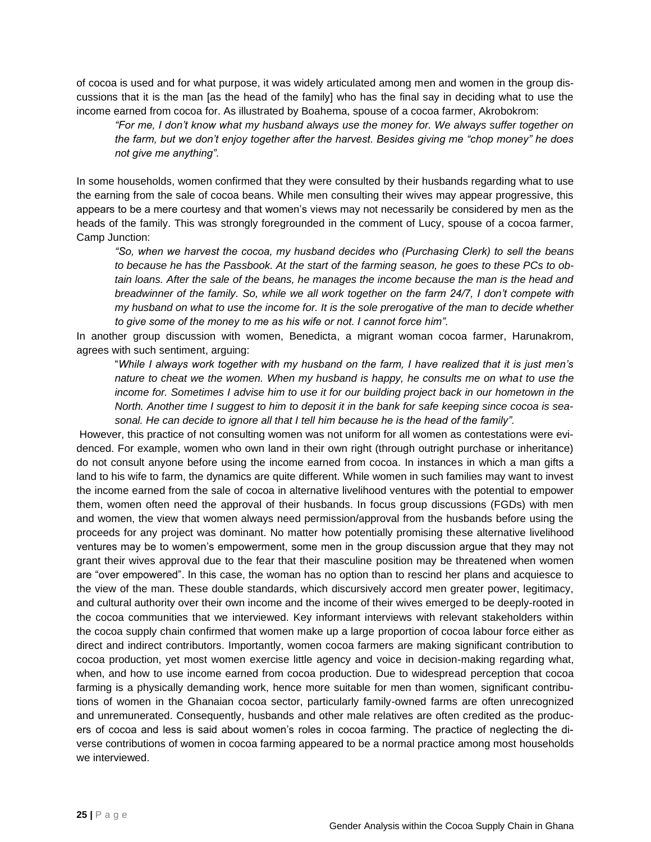of cocoa is used and for what purpose, it was widely articulated among men and women in the group discussions that it is the man [as the head of the family] who has the final say in deciding what to use the income earned from cocoa for. As illustrated by Boahema, spouse of a cocoa farmer, Akrobokrom:

*"For me, I don't know what my husband always use the money for. We always suffer together on the farm, but we don't enjoy together after the harvest. Besides giving me "chop money" he does not give me anything".* 

In some households, women confirmed that they were consulted by their husbands regarding what to use the earning from the sale of cocoa beans. While men consulting their wives may appear progressive, this appears to be a mere courtesy and that women's views may not necessarily be considered by men as the heads of the family. This was strongly foregrounded in the comment of Lucy, spouse of a cocoa farmer, Camp Junction:

*"So, when we harvest the cocoa, my husband decides who (Purchasing Clerk) to sell the beans to because he has the Passbook. At the start of the farming season, he goes to these PCs to obtain loans. After the sale of the beans, he manages the income because the man is the head and breadwinner of the family. So, while we all work together on the farm 24/7, I don't compete with my husband on what to use the income for. It is the sole prerogative of the man to decide whether to give some of the money to me as his wife or not. I cannot force him".*

In another group discussion with women, Benedicta, a migrant woman cocoa farmer, Harunakrom, agrees with such sentiment, arguing:

"*While I always work together with my husband on the farm, I have realized that it is just men's nature to cheat we the women. When my husband is happy, he consults me on what to use the income for. Sometimes I advise him to use it for our building project back in our hometown in the North. Another time I suggest to him to deposit it in the bank for safe keeping since cocoa is seasonal. He can decide to ignore all that I tell him because he is the head of the family".*

However, this practice of not consulting women was not uniform for all women as contestations were evidenced. For example, women who own land in their own right (through outright purchase or inheritance) do not consult anyone before using the income earned from cocoa. In instances in which a man gifts a land to his wife to farm, the dynamics are quite different. While women in such families may want to invest the income earned from the sale of cocoa in alternative livelihood ventures with the potential to empower them, women often need the approval of their husbands. In focus group discussions (FGDs) with men and women, the view that women always need permission/approval from the husbands before using the proceeds for any project was dominant. No matter how potentially promising these alternative livelihood ventures may be to women's empowerment, some men in the group discussion argue that they may not grant their wives approval due to the fear that their masculine position may be threatened when women are "over empowered". In this case, the woman has no option than to rescind her plans and acquiesce to the view of the man. These double standards, which discursively accord men greater power, legitimacy, and cultural authority over their own income and the income of their wives emerged to be deeply-rooted in the cocoa communities that we interviewed. Key informant interviews with relevant stakeholders within the cocoa supply chain confirmed that women make up a large proportion of cocoa labour force either as direct and indirect contributors. Importantly, women cocoa farmers are making significant contribution to cocoa production, yet most women exercise little agency and voice in decision-making regarding what, when, and how to use income earned from cocoa production. Due to widespread perception that cocoa farming is a physically demanding work, hence more suitable for men than women, significant contributions of women in the Ghanaian cocoa sector, particularly family-owned farms are often unrecognized and unremunerated. Consequently, husbands and other male relatives are often credited as the producers of cocoa and less is said about women's roles in cocoa farming. The practice of neglecting the diverse contributions of women in cocoa farming appeared to be a normal practice among most households we interviewed.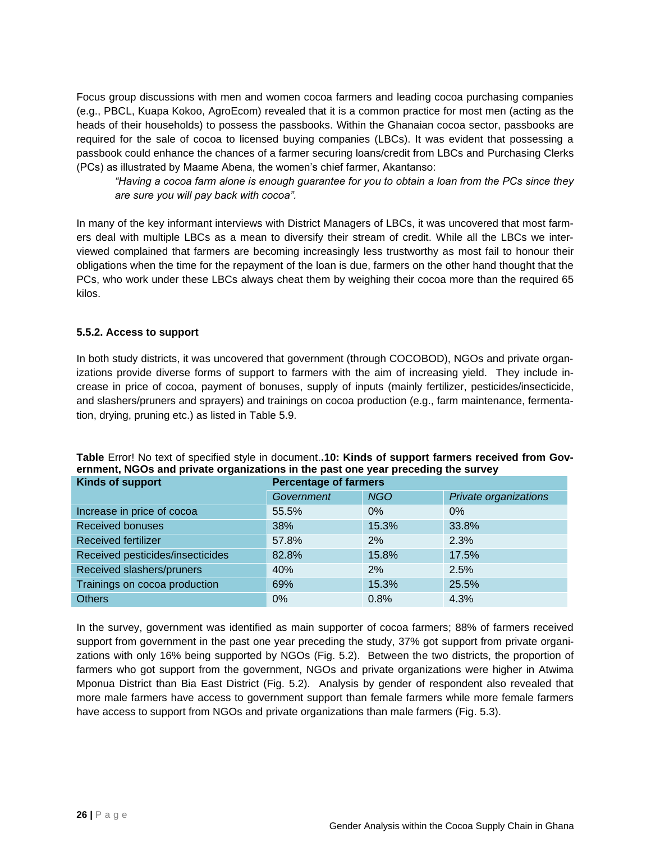Focus group discussions with men and women cocoa farmers and leading cocoa purchasing companies (e.g., PBCL, Kuapa Kokoo, AgroEcom) revealed that it is a common practice for most men (acting as the heads of their households) to possess the passbooks. Within the Ghanaian cocoa sector, passbooks are required for the sale of cocoa to licensed buying companies (LBCs). It was evident that possessing a passbook could enhance the chances of a farmer securing loans/credit from LBCs and Purchasing Clerks (PCs) as illustrated by Maame Abena, the women's chief farmer, Akantanso:

*"Having a cocoa farm alone is enough guarantee for you to obtain a loan from the PCs since they are sure you will pay back with cocoa".* 

In many of the key informant interviews with District Managers of LBCs, it was uncovered that most farmers deal with multiple LBCs as a mean to diversify their stream of credit. While all the LBCs we interviewed complained that farmers are becoming increasingly less trustworthy as most fail to honour their obligations when the time for the repayment of the loan is due, farmers on the other hand thought that the PCs, who work under these LBCs always cheat them by weighing their cocoa more than the required 65 kilos.

#### **5.5.2. Access to support**

In both study districts, it was uncovered that government (through COCOBOD), NGOs and private organizations provide diverse forms of support to farmers with the aim of increasing yield. They include increase in price of cocoa, payment of bonuses, supply of inputs (mainly fertilizer, pesticides/insecticide, and slashers/pruners and sprayers) and trainings on cocoa production (e.g., farm maintenance, fermentation, drying, pruning etc.) as listed in Table 5.9.

| Kinds of support                 | <b>Percentage of farmers</b> |            |                       |  |
|----------------------------------|------------------------------|------------|-----------------------|--|
|                                  | Government                   | <b>NGO</b> | Private organizations |  |
| Increase in price of cocoa       | 55.5%                        | $0\%$      | $0\%$                 |  |
| <b>Received bonuses</b>          | 38%                          | 15.3%      | 33.8%                 |  |
| <b>Received fertilizer</b>       | 57.8%                        | 2%         | 2.3%                  |  |
| Received pesticides/insecticides | 82.8%                        | 15.8%      | 17.5%                 |  |
| Received slashers/pruners        | 40%                          | 2%         | 2.5%                  |  |
| Trainings on cocoa production    | 69%                          | 15.3%      | 25.5%                 |  |
| <b>Others</b>                    | $0\%$                        | 0.8%       | 4.3%                  |  |

#### **Table** Error! No text of specified style in document.**.10: Kinds of support farmers received from Government, NGOs and private organizations in the past one year preceding the survey**

In the survey, government was identified as main supporter of cocoa farmers; 88% of farmers received support from government in the past one year preceding the study, 37% got support from private organizations with only 16% being supported by NGOs (Fig. 5.2). Between the two districts, the proportion of farmers who got support from the government, NGOs and private organizations were higher in Atwima Mponua District than Bia East District (Fig. 5.2). Analysis by gender of respondent also revealed that more male farmers have access to government support than female farmers while more female farmers have access to support from NGOs and private organizations than male farmers (Fig. 5.3).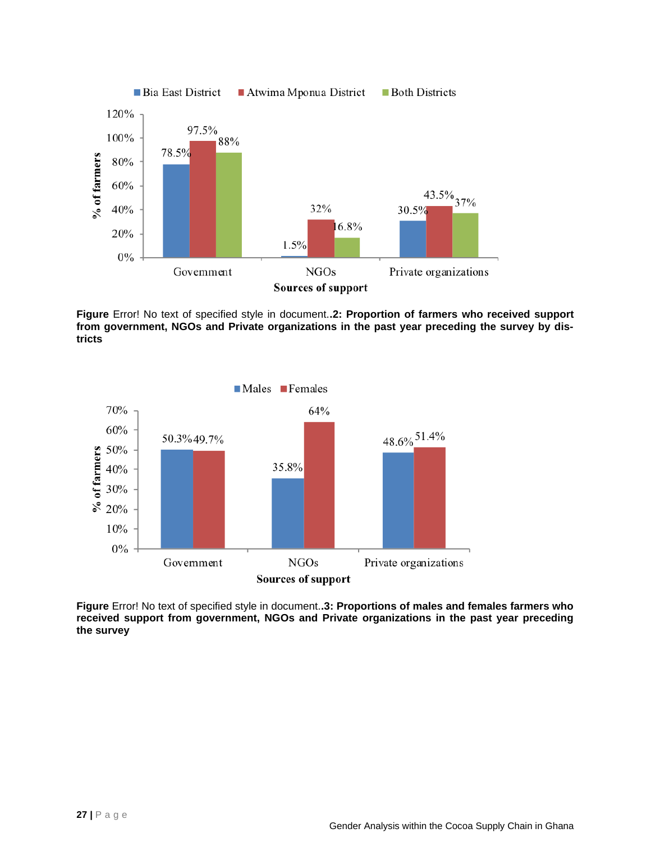

**Figure** Error! No text of specified style in document.**.2: Proportion of farmers who received support from government, NGOs and Private organizations in the past year preceding the survey by districts**



**Figure** Error! No text of specified style in document.**.3: Proportions of males and females farmers who received support from government, NGOs and Private organizations in the past year preceding the survey**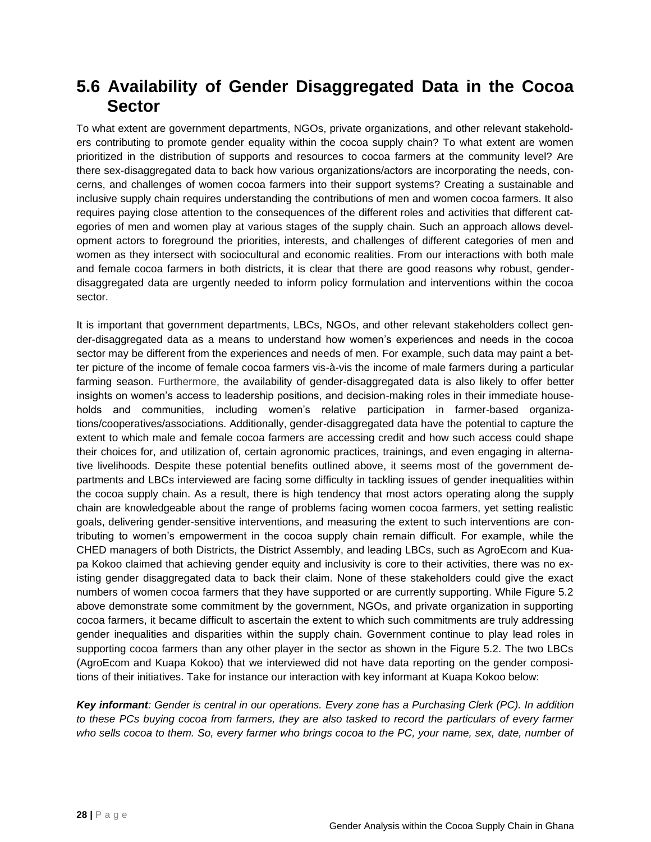### **5.6 Availability of Gender Disaggregated Data in the Cocoa Sector**

To what extent are government departments, NGOs, private organizations, and other relevant stakeholders contributing to promote gender equality within the cocoa supply chain? To what extent are women prioritized in the distribution of supports and resources to cocoa farmers at the community level? Are there sex-disaggregated data to back how various organizations/actors are incorporating the needs, concerns, and challenges of women cocoa farmers into their support systems? Creating a sustainable and inclusive supply chain requires understanding the contributions of men and women cocoa farmers. It also requires paying close attention to the consequences of the different roles and activities that different categories of men and women play at various stages of the supply chain. Such an approach allows development actors to foreground the priorities, interests, and challenges of different categories of men and women as they intersect with sociocultural and economic realities. From our interactions with both male and female cocoa farmers in both districts, it is clear that there are good reasons why robust, genderdisaggregated data are urgently needed to inform policy formulation and interventions within the cocoa sector.

It is important that government departments, LBCs, NGOs, and other relevant stakeholders collect gender-disaggregated data as a means to understand how women's experiences and needs in the cocoa sector may be different from the experiences and needs of men. For example, such data may paint a better picture of the income of female cocoa farmers vis-à-vis the income of male farmers during a particular farming season. Furthermore, the availability of gender-disaggregated data is also likely to offer better insights on women's access to leadership positions, and decision-making roles in their immediate households and communities, including women's relative participation in farmer-based organizations/cooperatives/associations. Additionally, gender-disaggregated data have the potential to capture the extent to which male and female cocoa farmers are accessing credit and how such access could shape their choices for, and utilization of, certain agronomic practices, trainings, and even engaging in alternative livelihoods. Despite these potential benefits outlined above, it seems most of the government departments and LBCs interviewed are facing some difficulty in tackling issues of gender inequalities within the cocoa supply chain. As a result, there is high tendency that most actors operating along the supply chain are knowledgeable about the range of problems facing women cocoa farmers, yet setting realistic goals, delivering gender-sensitive interventions, and measuring the extent to such interventions are contributing to women's empowerment in the cocoa supply chain remain difficult. For example, while the CHED managers of both Districts, the District Assembly, and leading LBCs, such as AgroEcom and Kuapa Kokoo claimed that achieving gender equity and inclusivity is core to their activities, there was no existing gender disaggregated data to back their claim. None of these stakeholders could give the exact numbers of women cocoa farmers that they have supported or are currently supporting. While Figure 5.2 above demonstrate some commitment by the government, NGOs, and private organization in supporting cocoa farmers, it became difficult to ascertain the extent to which such commitments are truly addressing gender inequalities and disparities within the supply chain. Government continue to play lead roles in supporting cocoa farmers than any other player in the sector as shown in the Figure 5.2. The two LBCs (AgroEcom and Kuapa Kokoo) that we interviewed did not have data reporting on the gender compositions of their initiatives. Take for instance our interaction with key informant at Kuapa Kokoo below:

*Key informant: Gender is central in our operations. Every zone has a Purchasing Clerk (PC). In addition to these PCs buying cocoa from farmers, they are also tasked to record the particulars of every farmer who sells cocoa to them. So, every farmer who brings cocoa to the PC, your name, sex, date, number of*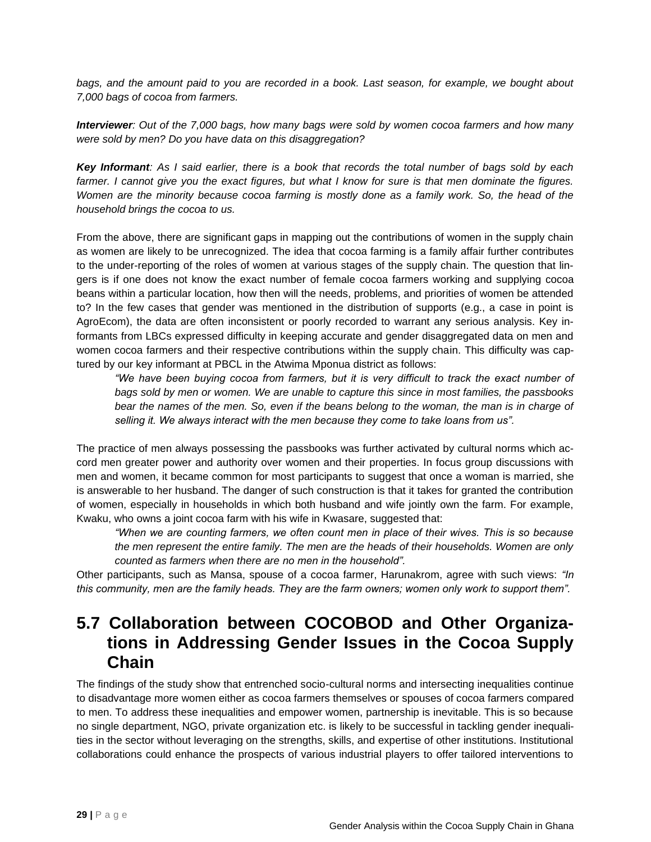bags, and the amount paid to you are recorded in a book. Last season, for example, we bought about *7,000 bags of cocoa from farmers.*

*Interviewer: Out of the 7,000 bags, how many bags were sold by women cocoa farmers and how many were sold by men? Do you have data on this disaggregation?* 

*Key Informant: As I said earlier, there is a book that records the total number of bags sold by each farmer. I cannot give you the exact figures, but what I know for sure is that men dominate the figures. Women are the minority because cocoa farming is mostly done as a family work. So, the head of the household brings the cocoa to us.* 

From the above, there are significant gaps in mapping out the contributions of women in the supply chain as women are likely to be unrecognized. The idea that cocoa farming is a family affair further contributes to the under-reporting of the roles of women at various stages of the supply chain. The question that lingers is if one does not know the exact number of female cocoa farmers working and supplying cocoa beans within a particular location, how then will the needs, problems, and priorities of women be attended to? In the few cases that gender was mentioned in the distribution of supports (e.g., a case in point is AgroEcom), the data are often inconsistent or poorly recorded to warrant any serious analysis. Key informants from LBCs expressed difficulty in keeping accurate and gender disaggregated data on men and women cocoa farmers and their respective contributions within the supply chain. This difficulty was captured by our key informant at PBCL in the Atwima Mponua district as follows:

*"We have been buying cocoa from farmers, but it is very difficult to track the exact number of bags sold by men or women. We are unable to capture this since in most families, the passbooks*  bear the names of the men. So, even if the beans belong to the woman, the man is in charge of *selling it. We always interact with the men because they come to take loans from us".*

The practice of men always possessing the passbooks was further activated by cultural norms which accord men greater power and authority over women and their properties. In focus group discussions with men and women, it became common for most participants to suggest that once a woman is married, she is answerable to her husband. The danger of such construction is that it takes for granted the contribution of women, especially in households in which both husband and wife jointly own the farm. For example, Kwaku, who owns a joint cocoa farm with his wife in Kwasare, suggested that:

*"When we are counting farmers, we often count men in place of their wives. This is so because the men represent the entire family. The men are the heads of their households. Women are only counted as farmers when there are no men in the household".* 

Other participants, such as Mansa, spouse of a cocoa farmer, Harunakrom, agree with such views: *"In this community, men are the family heads. They are the farm owners; women only work to support them".*

### **5.7 Collaboration between COCOBOD and Other Organizations in Addressing Gender Issues in the Cocoa Supply Chain**

The findings of the study show that entrenched socio-cultural norms and intersecting inequalities continue to disadvantage more women either as cocoa farmers themselves or spouses of cocoa farmers compared to men. To address these inequalities and empower women, partnership is inevitable. This is so because no single department, NGO, private organization etc. is likely to be successful in tackling gender inequalities in the sector without leveraging on the strengths, skills, and expertise of other institutions. Institutional collaborations could enhance the prospects of various industrial players to offer tailored interventions to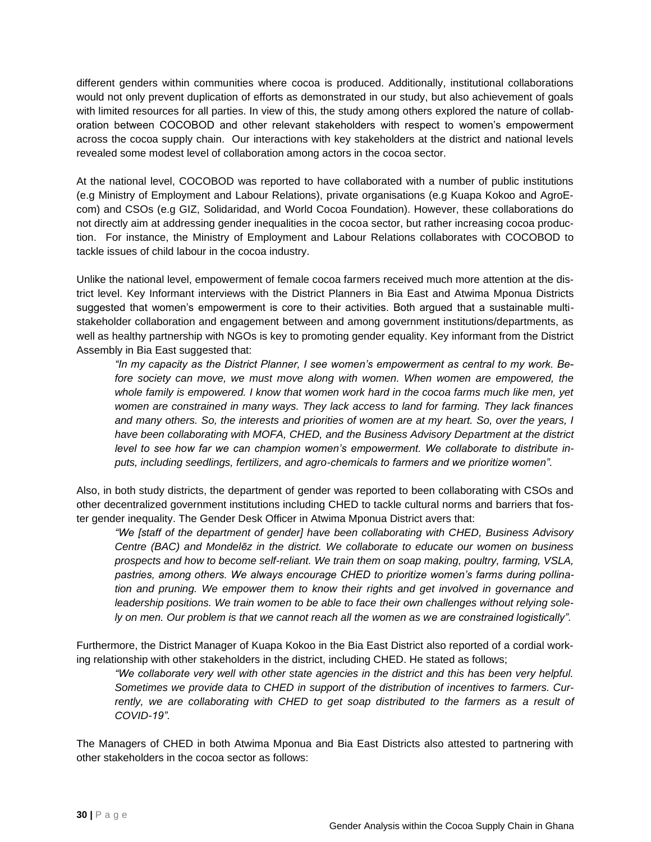different genders within communities where cocoa is produced. Additionally, institutional collaborations would not only prevent duplication of efforts as demonstrated in our study, but also achievement of goals with limited resources for all parties. In view of this, the study among others explored the nature of collaboration between COCOBOD and other relevant stakeholders with respect to women's empowerment across the cocoa supply chain. Our interactions with key stakeholders at the district and national levels revealed some modest level of collaboration among actors in the cocoa sector.

At the national level, COCOBOD was reported to have collaborated with a number of public institutions (e.g Ministry of Employment and Labour Relations), private organisations (e.g Kuapa Kokoo and AgroEcom) and CSOs (e.g GIZ, Solidaridad, and World Cocoa Foundation). However, these collaborations do not directly aim at addressing gender inequalities in the cocoa sector, but rather increasing cocoa production. For instance, the Ministry of Employment and Labour Relations collaborates with COCOBOD to tackle issues of child labour in the cocoa industry.

Unlike the national level, empowerment of female cocoa farmers received much more attention at the district level. Key Informant interviews with the District Planners in Bia East and Atwima Mponua Districts suggested that women's empowerment is core to their activities. Both argued that a sustainable multistakeholder collaboration and engagement between and among government institutions/departments, as well as healthy partnership with NGOs is key to promoting gender equality. Key informant from the District Assembly in Bia East suggested that:

*"In my capacity as the District Planner, I see women's empowerment as central to my work. Before society can move, we must move along with women. When women are empowered, the whole family is empowered. I know that women work hard in the cocoa farms much like men, yet women are constrained in many ways. They lack access to land for farming. They lack finances and many others. So, the interests and priorities of women are at my heart. So, over the years, I have been collaborating with MOFA, CHED, and the Business Advisory Department at the district level to see how far we can champion women's empowerment. We collaborate to distribute inputs, including seedlings, fertilizers, and agro-chemicals to farmers and we prioritize women".*

Also, in both study districts, the department of gender was reported to been collaborating with CSOs and other decentralized government institutions including CHED to tackle cultural norms and barriers that foster gender inequality. The Gender Desk Officer in Atwima Mponua District avers that:

*"We [staff of the department of gender] have been collaborating with CHED, Business Advisory Centre (BAC) and Mondelēz in the district. We collaborate to educate our women on business prospects and how to become self-reliant. We train them on soap making, poultry, farming, VSLA, pastries, among others. We always encourage CHED to prioritize women's farms during pollination and pruning. We empower them to know their rights and get involved in governance and leadership positions. We train women to be able to face their own challenges without relying solely on men. Our problem is that we cannot reach all the women as we are constrained logistically".* 

Furthermore, the District Manager of Kuapa Kokoo in the Bia East District also reported of a cordial working relationship with other stakeholders in the district, including CHED. He stated as follows;

*"We collaborate very well with other state agencies in the district and this has been very helpful. Sometimes we provide data to CHED in support of the distribution of incentives to farmers. Cur*rently, we are collaborating with CHED to get soap distributed to the farmers as a result of *COVID-19".*

The Managers of CHED in both Atwima Mponua and Bia East Districts also attested to partnering with other stakeholders in the cocoa sector as follows: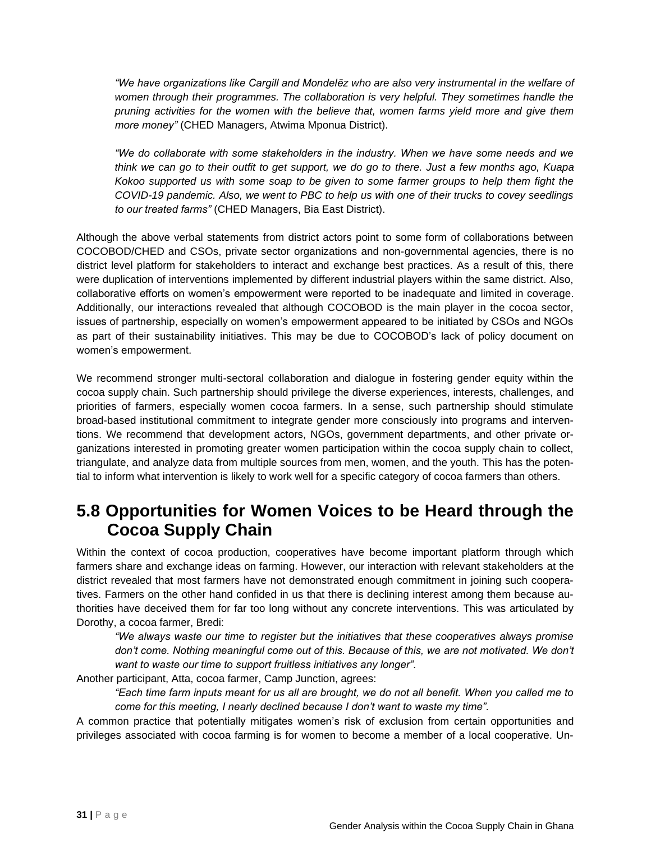*"We have organizations like Cargill and Mondelēz who are also very instrumental in the welfare of women through their programmes. The collaboration is very helpful. They sometimes handle the pruning activities for the women with the believe that, women farms yield more and give them more money"* (CHED Managers, Atwima Mponua District).

*"We do collaborate with some stakeholders in the industry. When we have some needs and we think we can go to their outfit to get support, we do go to there. Just a few months ago, Kuapa Kokoo supported us with some soap to be given to some farmer groups to help them fight the COVID-19 pandemic. Also, we went to PBC to help us with one of their trucks to covey seedlings to our treated farms"* (CHED Managers, Bia East District).

Although the above verbal statements from district actors point to some form of collaborations between COCOBOD/CHED and CSOs, private sector organizations and non-governmental agencies, there is no district level platform for stakeholders to interact and exchange best practices. As a result of this, there were duplication of interventions implemented by different industrial players within the same district. Also, collaborative efforts on women's empowerment were reported to be inadequate and limited in coverage. Additionally, our interactions revealed that although COCOBOD is the main player in the cocoa sector, issues of partnership, especially on women's empowerment appeared to be initiated by CSOs and NGOs as part of their sustainability initiatives. This may be due to COCOBOD's lack of policy document on women's empowerment.

We recommend stronger multi-sectoral collaboration and dialogue in fostering gender equity within the cocoa supply chain. Such partnership should privilege the diverse experiences, interests, challenges, and priorities of farmers, especially women cocoa farmers. In a sense, such partnership should stimulate broad-based institutional commitment to integrate gender more consciously into programs and interventions. We recommend that development actors, NGOs, government departments, and other private organizations interested in promoting greater women participation within the cocoa supply chain to collect, triangulate, and analyze data from multiple sources from men, women, and the youth. This has the potential to inform what intervention is likely to work well for a specific category of cocoa farmers than others.

#### **5.8 Opportunities for Women Voices to be Heard through the Cocoa Supply Chain**

Within the context of cocoa production, cooperatives have become important platform through which farmers share and exchange ideas on farming. However, our interaction with relevant stakeholders at the district revealed that most farmers have not demonstrated enough commitment in joining such cooperatives. Farmers on the other hand confided in us that there is declining interest among them because authorities have deceived them for far too long without any concrete interventions. This was articulated by Dorothy, a cocoa farmer, Bredi:

*"We always waste our time to register but the initiatives that these cooperatives always promise don't come. Nothing meaningful come out of this. Because of this, we are not motivated. We don't want to waste our time to support fruitless initiatives any longer".*

Another participant, Atta, cocoa farmer, Camp Junction, agrees:

*"Each time farm inputs meant for us all are brought, we do not all benefit. When you called me to come for this meeting, I nearly declined because I don't want to waste my time".* 

A common practice that potentially mitigates women's risk of exclusion from certain opportunities and privileges associated with cocoa farming is for women to become a member of a local cooperative. Un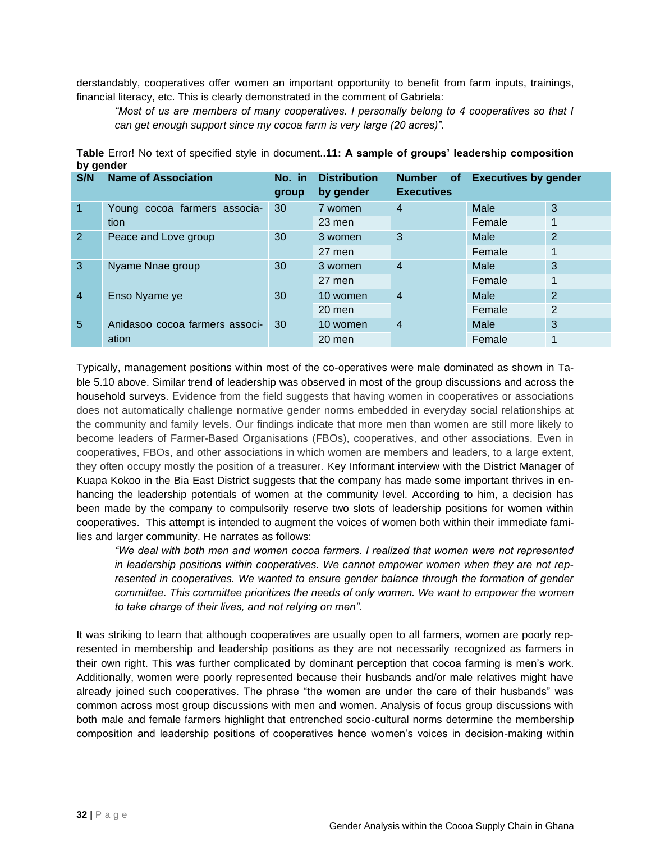derstandably, cooperatives offer women an important opportunity to benefit from farm inputs, trainings, financial literacy, etc. This is clearly demonstrated in the comment of Gabriela:

*"Most of us are members of many cooperatives. I personally belong to 4 cooperatives so that I can get enough support since my cocoa farm is very large (20 acres)".*

| S/N            | <b>Name of Association</b>     | No. in<br>group | <b>Distribution</b><br>by gender | <b>Number</b><br><b>of</b><br><b>Executives</b> | <b>Executives by gender</b> |   |
|----------------|--------------------------------|-----------------|----------------------------------|-------------------------------------------------|-----------------------------|---|
| $\mathbf{1}$   | Young cocoa farmers associa-   | 30              | 7 women                          | 4                                               | Male                        | 3 |
|                | tion                           |                 | 23 men                           |                                                 | Female                      |   |
| $\overline{2}$ | Peace and Love group           | 30              | 3 women                          | 3                                               | Male                        | 2 |
|                |                                | 27 men          |                                  | Female                                          |                             |   |
| 3              | Nyame Nnae group               | 30              | 3 women                          | 4                                               | Male                        | 3 |
|                |                                |                 | 27 men                           |                                                 | Female                      |   |
| $\overline{4}$ | Enso Nyame ye                  | 30              | 10 women                         | 4                                               | Male                        | 2 |
|                |                                | $20$ men        |                                  | Female                                          | 2                           |   |
| 5              | Anidasoo cocoa farmers associ- | 30              | 10 women                         | 4                                               | Male                        | 3 |
|                | ation                          |                 | 20 men                           |                                                 | Female                      |   |

**Table** Error! No text of specified style in document.**.11: A sample of groups' leadership composition by gender**

Typically, management positions within most of the co-operatives were male dominated as shown in Table 5.10 above. Similar trend of leadership was observed in most of the group discussions and across the household surveys. Evidence from the field suggests that having women in cooperatives or associations does not automatically challenge normative gender norms embedded in everyday social relationships at the community and family levels. Our findings indicate that more men than women are still more likely to become leaders of Farmer-Based Organisations (FBOs), cooperatives, and other associations. Even in cooperatives, FBOs, and other associations in which women are members and leaders, to a large extent, they often occupy mostly the position of a treasurer. Key Informant interview with the District Manager of Kuapa Kokoo in the Bia East District suggests that the company has made some important thrives in enhancing the leadership potentials of women at the community level. According to him, a decision has been made by the company to compulsorily reserve two slots of leadership positions for women within cooperatives. This attempt is intended to augment the voices of women both within their immediate families and larger community. He narrates as follows:

*"We deal with both men and women cocoa farmers. I realized that women were not represented in leadership positions within cooperatives. We cannot empower women when they are not rep*resented in cooperatives. We wanted to ensure gender balance through the formation of gender *committee. This committee prioritizes the needs of only women. We want to empower the women to take charge of their lives, and not relying on men".*

It was striking to learn that although cooperatives are usually open to all farmers, women are poorly represented in membership and leadership positions as they are not necessarily recognized as farmers in their own right. This was further complicated by dominant perception that cocoa farming is men's work. Additionally, women were poorly represented because their husbands and/or male relatives might have already joined such cooperatives. The phrase "the women are under the care of their husbands" was common across most group discussions with men and women. Analysis of focus group discussions with both male and female farmers highlight that entrenched socio-cultural norms determine the membership composition and leadership positions of cooperatives hence women's voices in decision-making within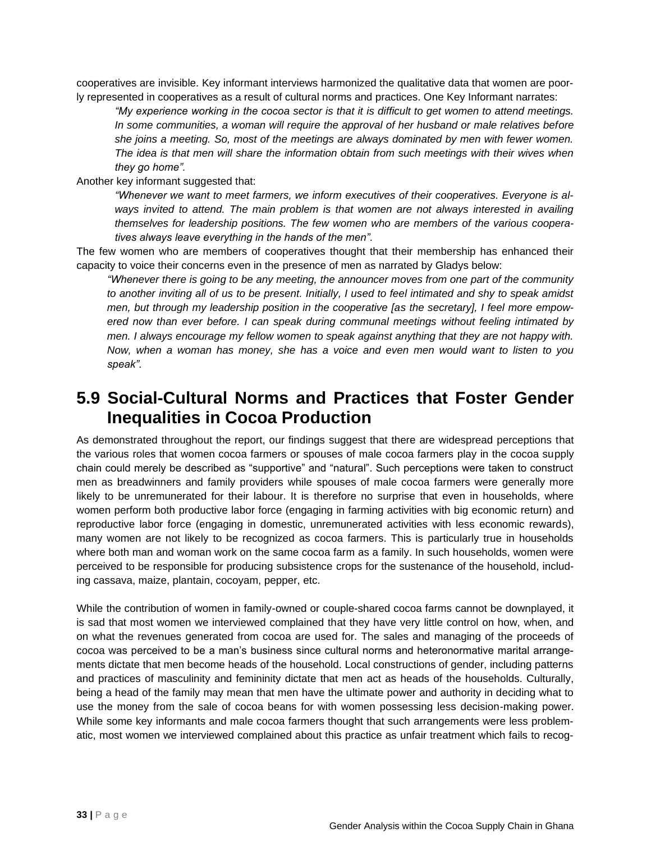cooperatives are invisible. Key informant interviews harmonized the qualitative data that women are poorly represented in cooperatives as a result of cultural norms and practices. One Key Informant narrates:

*"My experience working in the cocoa sector is that it is difficult to get women to attend meetings. In some communities, a woman will require the approval of her husband or male relatives before she joins a meeting. So, most of the meetings are always dominated by men with fewer women. The idea is that men will share the information obtain from such meetings with their wives when they go home".* 

Another key informant suggested that:

*"Whenever we want to meet farmers, we inform executives of their cooperatives. Everyone is always invited to attend. The main problem is that women are not always interested in availing themselves for leadership positions. The few women who are members of the various cooperatives always leave everything in the hands of the men".*

The few women who are members of cooperatives thought that their membership has enhanced their capacity to voice their concerns even in the presence of men as narrated by Gladys below:

*"Whenever there is going to be any meeting, the announcer moves from one part of the community to another inviting all of us to be present. Initially, I used to feel intimated and shy to speak amidst men, but through my leadership position in the cooperative [as the secretary], I feel more empowered now than ever before. I can speak during communal meetings without feeling intimated by men. I always encourage my fellow women to speak against anything that they are not happy with. Now, when a woman has money, she has a voice and even men would want to listen to you speak".* 

#### **5.9 Social-Cultural Norms and Practices that Foster Gender Inequalities in Cocoa Production**

As demonstrated throughout the report, our findings suggest that there are widespread perceptions that the various roles that women cocoa farmers or spouses of male cocoa farmers play in the cocoa supply chain could merely be described as "supportive" and "natural". Such perceptions were taken to construct men as breadwinners and family providers while spouses of male cocoa farmers were generally more likely to be unremunerated for their labour. It is therefore no surprise that even in households, where women perform both productive labor force (engaging in farming activities with big economic return) and reproductive labor force (engaging in domestic, unremunerated activities with less economic rewards), many women are not likely to be recognized as cocoa farmers. This is particularly true in households where both man and woman work on the same cocoa farm as a family. In such households, women were perceived to be responsible for producing subsistence crops for the sustenance of the household, including cassava, maize, plantain, cocoyam, pepper, etc.

While the contribution of women in family-owned or couple-shared cocoa farms cannot be downplayed, it is sad that most women we interviewed complained that they have very little control on how, when, and on what the revenues generated from cocoa are used for. The sales and managing of the proceeds of cocoa was perceived to be a man's business since cultural norms and heteronormative marital arrangements dictate that men become heads of the household. Local constructions of gender, including patterns and practices of masculinity and femininity dictate that men act as heads of the households. Culturally, being a head of the family may mean that men have the ultimate power and authority in deciding what to use the money from the sale of cocoa beans for with women possessing less decision-making power. While some key informants and male cocoa farmers thought that such arrangements were less problematic, most women we interviewed complained about this practice as unfair treatment which fails to recog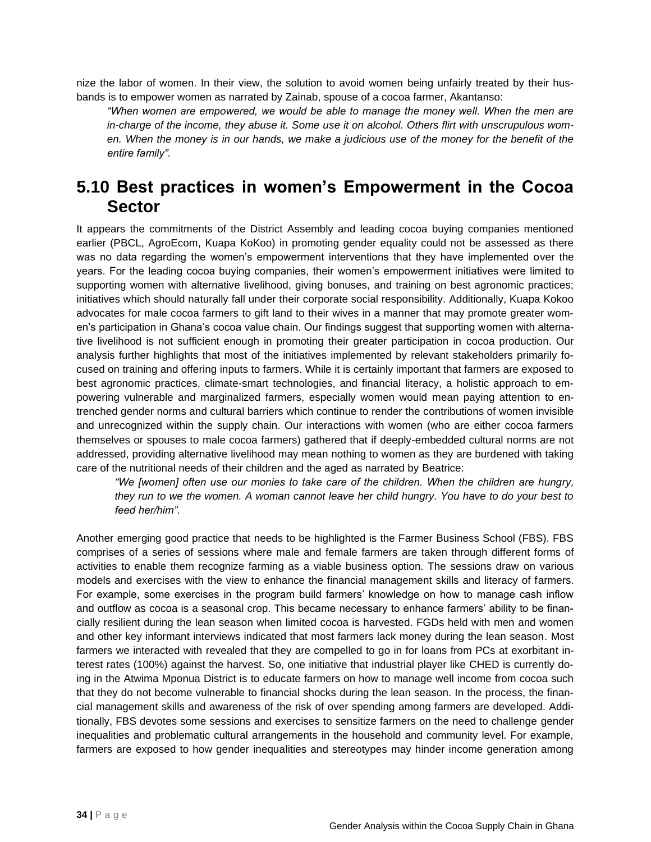nize the labor of women. In their view, the solution to avoid women being unfairly treated by their husbands is to empower women as narrated by Zainab, spouse of a cocoa farmer, Akantanso:

*"When women are empowered, we would be able to manage the money well. When the men are in-charge of the income, they abuse it. Some use it on alcohol. Others flirt with unscrupulous women. When the money is in our hands, we make a judicious use of the money for the benefit of the entire family".*

#### **5.10 Best practices in women's Empowerment in the Cocoa Sector**

It appears the commitments of the District Assembly and leading cocoa buying companies mentioned earlier (PBCL, AgroEcom, Kuapa KoKoo) in promoting gender equality could not be assessed as there was no data regarding the women's empowerment interventions that they have implemented over the years. For the leading cocoa buying companies, their women's empowerment initiatives were limited to supporting women with alternative livelihood, giving bonuses, and training on best agronomic practices; initiatives which should naturally fall under their corporate social responsibility. Additionally, Kuapa Kokoo advocates for male cocoa farmers to gift land to their wives in a manner that may promote greater women's participation in Ghana's cocoa value chain. Our findings suggest that supporting women with alternative livelihood is not sufficient enough in promoting their greater participation in cocoa production. Our analysis further highlights that most of the initiatives implemented by relevant stakeholders primarily focused on training and offering inputs to farmers. While it is certainly important that farmers are exposed to best agronomic practices, climate-smart technologies, and financial literacy, a holistic approach to empowering vulnerable and marginalized farmers, especially women would mean paying attention to entrenched gender norms and cultural barriers which continue to render the contributions of women invisible and unrecognized within the supply chain. Our interactions with women (who are either cocoa farmers themselves or spouses to male cocoa farmers) gathered that if deeply-embedded cultural norms are not addressed, providing alternative livelihood may mean nothing to women as they are burdened with taking care of the nutritional needs of their children and the aged as narrated by Beatrice:

*"We [women] often use our monies to take care of the children. When the children are hungry, they run to we the women. A woman cannot leave her child hungry. You have to do your best to feed her/him".*

Another emerging good practice that needs to be highlighted is the Farmer Business School (FBS). FBS comprises of a series of sessions where male and female farmers are taken through different forms of activities to enable them recognize farming as a viable business option. The sessions draw on various models and exercises with the view to enhance the financial management skills and literacy of farmers. For example, some exercises in the program build farmers' knowledge on how to manage cash inflow and outflow as cocoa is a seasonal crop. This became necessary to enhance farmers' ability to be financially resilient during the lean season when limited cocoa is harvested. FGDs held with men and women and other key informant interviews indicated that most farmers lack money during the lean season. Most farmers we interacted with revealed that they are compelled to go in for loans from PCs at exorbitant interest rates (100%) against the harvest. So, one initiative that industrial player like CHED is currently doing in the Atwima Mponua District is to educate farmers on how to manage well income from cocoa such that they do not become vulnerable to financial shocks during the lean season. In the process, the financial management skills and awareness of the risk of over spending among farmers are developed. Additionally, FBS devotes some sessions and exercises to sensitize farmers on the need to challenge gender inequalities and problematic cultural arrangements in the household and community level. For example, farmers are exposed to how gender inequalities and stereotypes may hinder income generation among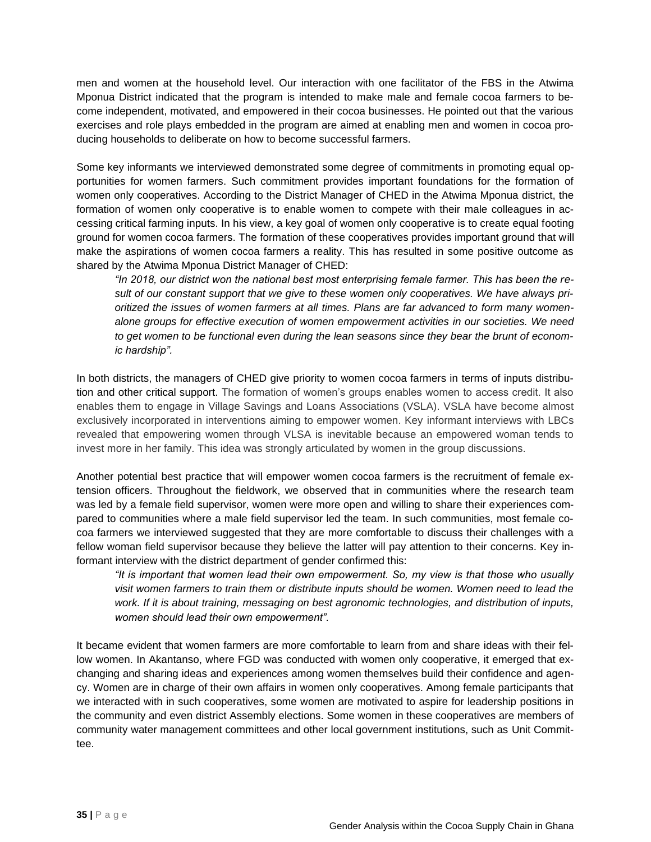men and women at the household level. Our interaction with one facilitator of the FBS in the Atwima Mponua District indicated that the program is intended to make male and female cocoa farmers to become independent, motivated, and empowered in their cocoa businesses. He pointed out that the various exercises and role plays embedded in the program are aimed at enabling men and women in cocoa producing households to deliberate on how to become successful farmers.

Some key informants we interviewed demonstrated some degree of commitments in promoting equal opportunities for women farmers. Such commitment provides important foundations for the formation of women only cooperatives. According to the District Manager of CHED in the Atwima Mponua district, the formation of women only cooperative is to enable women to compete with their male colleagues in accessing critical farming inputs. In his view, a key goal of women only cooperative is to create equal footing ground for women cocoa farmers. The formation of these cooperatives provides important ground that will make the aspirations of women cocoa farmers a reality. This has resulted in some positive outcome as shared by the Atwima Mponua District Manager of CHED:

*"In 2018, our district won the national best most enterprising female farmer. This has been the result of our constant support that we give to these women only cooperatives. We have always prioritized the issues of women farmers at all times. Plans are far advanced to form many womenalone groups for effective execution of women empowerment activities in our societies. We need to get women to be functional even during the lean seasons since they bear the brunt of economic hardship".*

In both districts, the managers of CHED give priority to women cocoa farmers in terms of inputs distribution and other critical support. The formation of women's groups enables women to access credit. It also enables them to engage in Village Savings and Loans Associations (VSLA). VSLA have become almost exclusively incorporated in interventions aiming to empower women. Key informant interviews with LBCs revealed that empowering women through VLSA is inevitable because an empowered woman tends to invest more in her family. This idea was strongly articulated by women in the group discussions.

Another potential best practice that will empower women cocoa farmers is the recruitment of female extension officers. Throughout the fieldwork, we observed that in communities where the research team was led by a female field supervisor, women were more open and willing to share their experiences compared to communities where a male field supervisor led the team. In such communities, most female cocoa farmers we interviewed suggested that they are more comfortable to discuss their challenges with a fellow woman field supervisor because they believe the latter will pay attention to their concerns. Key informant interview with the district department of gender confirmed this:

*"It is important that women lead their own empowerment. So, my view is that those who usually visit women farmers to train them or distribute inputs should be women. Women need to lead the work. If it is about training, messaging on best agronomic technologies, and distribution of inputs, women should lead their own empowerment".*

It became evident that women farmers are more comfortable to learn from and share ideas with their fellow women. In Akantanso, where FGD was conducted with women only cooperative, it emerged that exchanging and sharing ideas and experiences among women themselves build their confidence and agency. Women are in charge of their own affairs in women only cooperatives. Among female participants that we interacted with in such cooperatives, some women are motivated to aspire for leadership positions in the community and even district Assembly elections. Some women in these cooperatives are members of community water management committees and other local government institutions, such as Unit Committee.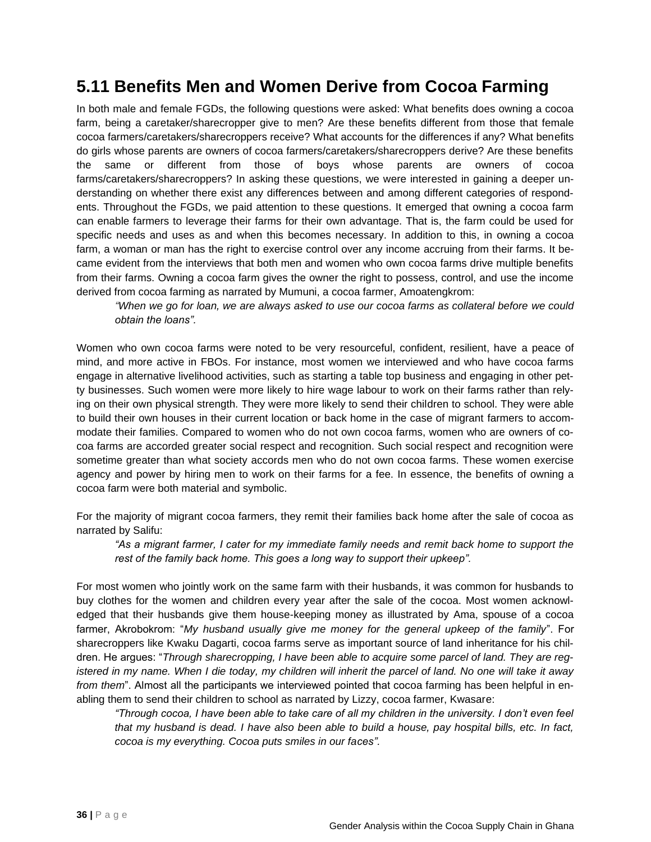## **5.11 Benefits Men and Women Derive from Cocoa Farming**

In both male and female FGDs, the following questions were asked: What benefits does owning a cocoa farm, being a caretaker/sharecropper give to men? Are these benefits different from those that female cocoa farmers/caretakers/sharecroppers receive? What accounts for the differences if any? What benefits do girls whose parents are owners of cocoa farmers/caretakers/sharecroppers derive? Are these benefits the same or different from those of boys whose parents are owners of cocoa farms/caretakers/sharecroppers? In asking these questions, we were interested in gaining a deeper understanding on whether there exist any differences between and among different categories of respondents. Throughout the FGDs, we paid attention to these questions. It emerged that owning a cocoa farm can enable farmers to leverage their farms for their own advantage. That is, the farm could be used for specific needs and uses as and when this becomes necessary. In addition to this, in owning a cocoa farm, a woman or man has the right to exercise control over any income accruing from their farms. It became evident from the interviews that both men and women who own cocoa farms drive multiple benefits from their farms. Owning a cocoa farm gives the owner the right to possess, control, and use the income derived from cocoa farming as narrated by Mumuni, a cocoa farmer, Amoatengkrom:

*"When we go for loan, we are always asked to use our cocoa farms as collateral before we could obtain the loans".* 

Women who own cocoa farms were noted to be very resourceful, confident, resilient, have a peace of mind, and more active in FBOs. For instance, most women we interviewed and who have cocoa farms engage in alternative livelihood activities, such as starting a table top business and engaging in other petty businesses. Such women were more likely to hire wage labour to work on their farms rather than relying on their own physical strength. They were more likely to send their children to school. They were able to build their own houses in their current location or back home in the case of migrant farmers to accommodate their families. Compared to women who do not own cocoa farms, women who are owners of cocoa farms are accorded greater social respect and recognition. Such social respect and recognition were sometime greater than what society accords men who do not own cocoa farms. These women exercise agency and power by hiring men to work on their farms for a fee. In essence, the benefits of owning a cocoa farm were both material and symbolic.

For the majority of migrant cocoa farmers, they remit their families back home after the sale of cocoa as narrated by Salifu:

*"As a migrant farmer, I cater for my immediate family needs and remit back home to support the rest of the family back home. This goes a long way to support their upkeep".* 

For most women who jointly work on the same farm with their husbands, it was common for husbands to buy clothes for the women and children every year after the sale of the cocoa. Most women acknowledged that their husbands give them house-keeping money as illustrated by Ama, spouse of a cocoa farmer, Akrobokrom: "*My husband usually give me money for the general upkeep of the family*". For sharecroppers like Kwaku Dagarti, cocoa farms serve as important source of land inheritance for his children. He argues: "*Through sharecropping, I have been able to acquire some parcel of land. They are registered in my name. When I die today, my children will inherit the parcel of land. No one will take it away from them*". Almost all the participants we interviewed pointed that cocoa farming has been helpful in enabling them to send their children to school as narrated by Lizzy, cocoa farmer, Kwasare:

*"Through cocoa, I have been able to take care of all my children in the university. I don't even feel that my husband is dead. I have also been able to build a house, pay hospital bills, etc. In fact, cocoa is my everything. Cocoa puts smiles in our faces".*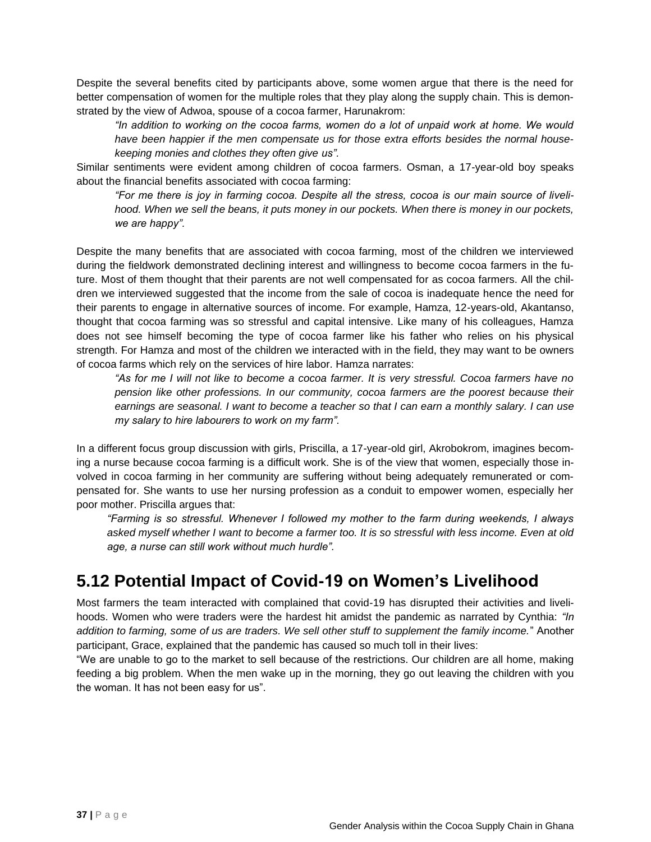Despite the several benefits cited by participants above, some women argue that there is the need for better compensation of women for the multiple roles that they play along the supply chain. This is demonstrated by the view of Adwoa, spouse of a cocoa farmer, Harunakrom:

*"In addition to working on the cocoa farms, women do a lot of unpaid work at home. We would have been happier if the men compensate us for those extra efforts besides the normal housekeeping monies and clothes they often give us".*

Similar sentiments were evident among children of cocoa farmers. Osman, a 17-year-old boy speaks about the financial benefits associated with cocoa farming:

*"For me there is joy in farming cocoa. Despite all the stress, cocoa is our main source of liveli*hood. When we sell the beans, it puts money in our pockets. When there is money in our pockets, *we are happy".* 

Despite the many benefits that are associated with cocoa farming, most of the children we interviewed during the fieldwork demonstrated declining interest and willingness to become cocoa farmers in the future. Most of them thought that their parents are not well compensated for as cocoa farmers. All the children we interviewed suggested that the income from the sale of cocoa is inadequate hence the need for their parents to engage in alternative sources of income. For example, Hamza, 12-years-old, Akantanso, thought that cocoa farming was so stressful and capital intensive. Like many of his colleagues, Hamza does not see himself becoming the type of cocoa farmer like his father who relies on his physical strength. For Hamza and most of the children we interacted with in the field, they may want to be owners of cocoa farms which rely on the services of hire labor. Hamza narrates:

*"As for me I will not like to become a cocoa farmer. It is very stressful. Cocoa farmers have no pension like other professions. In our community, cocoa farmers are the poorest because their earnings are seasonal. I want to become a teacher so that I can earn a monthly salary. I can use my salary to hire labourers to work on my farm".* 

In a different focus group discussion with girls, Priscilla, a 17-year-old girl, Akrobokrom, imagines becoming a nurse because cocoa farming is a difficult work. She is of the view that women, especially those involved in cocoa farming in her community are suffering without being adequately remunerated or compensated for. She wants to use her nursing profession as a conduit to empower women, especially her poor mother. Priscilla argues that:

*"Farming is so stressful. Whenever I followed my mother to the farm during weekends, I always asked myself whether I want to become a farmer too. It is so stressful with less income. Even at old age, a nurse can still work without much hurdle".*

### **5.12 Potential Impact of Covid-19 on Women's Livelihood**

Most farmers the team interacted with complained that covid-19 has disrupted their activities and livelihoods. Women who were traders were the hardest hit amidst the pandemic as narrated by Cynthia: *"In addition to farming, some of us are traders. We sell other stuff to supplement the family income.*" Another participant, Grace, explained that the pandemic has caused so much toll in their lives:

"We are unable to go to the market to sell because of the restrictions. Our children are all home, making feeding a big problem. When the men wake up in the morning, they go out leaving the children with you the woman. It has not been easy for us".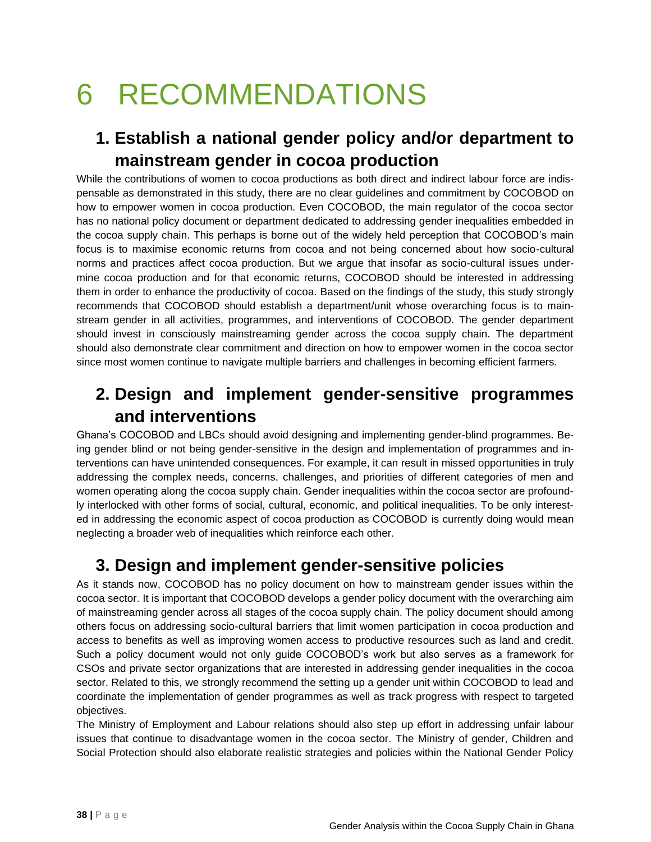# 6 RECOMMENDATIONS

# **1. Establish a national gender policy and/or department to mainstream gender in cocoa production**

While the contributions of women to cocoa productions as both direct and indirect labour force are indispensable as demonstrated in this study, there are no clear guidelines and commitment by COCOBOD on how to empower women in cocoa production. Even COCOBOD, the main regulator of the cocoa sector has no national policy document or department dedicated to addressing gender inequalities embedded in the cocoa supply chain. This perhaps is borne out of the widely held perception that COCOBOD's main focus is to maximise economic returns from cocoa and not being concerned about how socio-cultural norms and practices affect cocoa production. But we argue that insofar as socio-cultural issues undermine cocoa production and for that economic returns, COCOBOD should be interested in addressing them in order to enhance the productivity of cocoa. Based on the findings of the study, this study strongly recommends that COCOBOD should establish a department/unit whose overarching focus is to mainstream gender in all activities, programmes, and interventions of COCOBOD. The gender department should invest in consciously mainstreaming gender across the cocoa supply chain. The department should also demonstrate clear commitment and direction on how to empower women in the cocoa sector since most women continue to navigate multiple barriers and challenges in becoming efficient farmers.

## **2. Design and implement gender-sensitive programmes and interventions**

Ghana's COCOBOD and LBCs should avoid designing and implementing gender-blind programmes. Being gender blind or not being gender-sensitive in the design and implementation of programmes and interventions can have unintended consequences. For example, it can result in missed opportunities in truly addressing the complex needs, concerns, challenges, and priorities of different categories of men and women operating along the cocoa supply chain. Gender inequalities within the cocoa sector are profoundly interlocked with other forms of social, cultural, economic, and political inequalities. To be only interested in addressing the economic aspect of cocoa production as COCOBOD is currently doing would mean neglecting a broader web of inequalities which reinforce each other.

## **3. Design and implement gender-sensitive policies**

As it stands now, COCOBOD has no policy document on how to mainstream gender issues within the cocoa sector. It is important that COCOBOD develops a gender policy document with the overarching aim of mainstreaming gender across all stages of the cocoa supply chain. The policy document should among others focus on addressing socio-cultural barriers that limit women participation in cocoa production and access to benefits as well as improving women access to productive resources such as land and credit. Such a policy document would not only guide COCOBOD's work but also serves as a framework for CSOs and private sector organizations that are interested in addressing gender inequalities in the cocoa sector. Related to this, we strongly recommend the setting up a gender unit within COCOBOD to lead and coordinate the implementation of gender programmes as well as track progress with respect to targeted objectives.

The Ministry of Employment and Labour relations should also step up effort in addressing unfair labour issues that continue to disadvantage women in the cocoa sector. The Ministry of gender, Children and Social Protection should also elaborate realistic strategies and policies within the National Gender Policy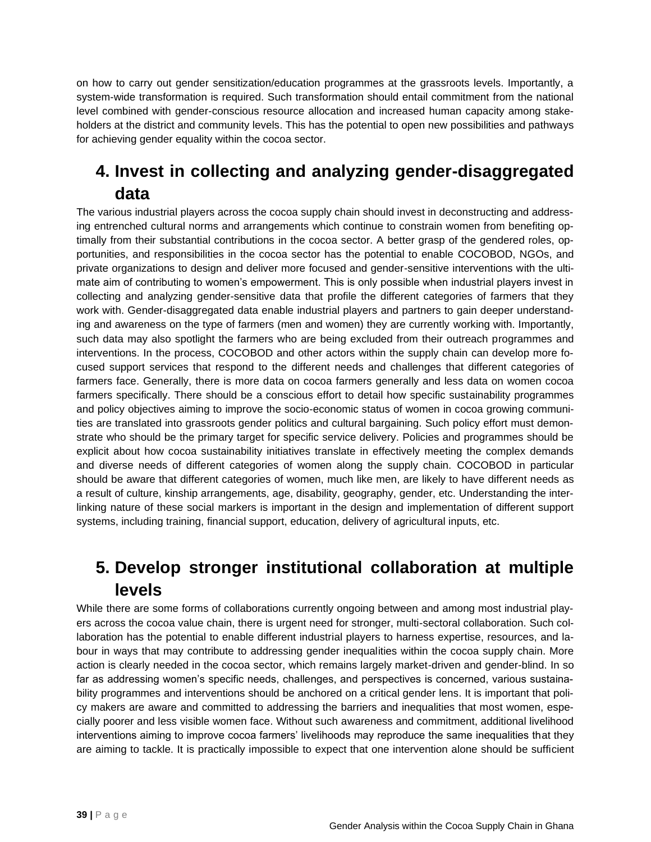on how to carry out gender sensitization/education programmes at the grassroots levels. Importantly, a system-wide transformation is required. Such transformation should entail commitment from the national level combined with gender-conscious resource allocation and increased human capacity among stakeholders at the district and community levels. This has the potential to open new possibilities and pathways for achieving gender equality within the cocoa sector.

## **4. Invest in collecting and analyzing gender-disaggregated data**

The various industrial players across the cocoa supply chain should invest in deconstructing and addressing entrenched cultural norms and arrangements which continue to constrain women from benefiting optimally from their substantial contributions in the cocoa sector. A better grasp of the gendered roles, opportunities, and responsibilities in the cocoa sector has the potential to enable COCOBOD, NGOs, and private organizations to design and deliver more focused and gender-sensitive interventions with the ultimate aim of contributing to women's empowerment. This is only possible when industrial players invest in collecting and analyzing gender-sensitive data that profile the different categories of farmers that they work with. Gender-disaggregated data enable industrial players and partners to gain deeper understanding and awareness on the type of farmers (men and women) they are currently working with. Importantly, such data may also spotlight the farmers who are being excluded from their outreach programmes and interventions. In the process, COCOBOD and other actors within the supply chain can develop more focused support services that respond to the different needs and challenges that different categories of farmers face. Generally, there is more data on cocoa farmers generally and less data on women cocoa farmers specifically. There should be a conscious effort to detail how specific sustainability programmes and policy objectives aiming to improve the socio-economic status of women in cocoa growing communities are translated into grassroots gender politics and cultural bargaining. Such policy effort must demonstrate who should be the primary target for specific service delivery. Policies and programmes should be explicit about how cocoa sustainability initiatives translate in effectively meeting the complex demands and diverse needs of different categories of women along the supply chain. COCOBOD in particular should be aware that different categories of women, much like men, are likely to have different needs as a result of culture, kinship arrangements, age, disability, geography, gender, etc. Understanding the interlinking nature of these social markers is important in the design and implementation of different support systems, including training, financial support, education, delivery of agricultural inputs, etc.

# **5. Develop stronger institutional collaboration at multiple levels**

While there are some forms of collaborations currently ongoing between and among most industrial players across the cocoa value chain, there is urgent need for stronger, multi-sectoral collaboration. Such collaboration has the potential to enable different industrial players to harness expertise, resources, and labour in ways that may contribute to addressing gender inequalities within the cocoa supply chain. More action is clearly needed in the cocoa sector, which remains largely market-driven and gender-blind. In so far as addressing women's specific needs, challenges, and perspectives is concerned, various sustainability programmes and interventions should be anchored on a critical gender lens. It is important that policy makers are aware and committed to addressing the barriers and inequalities that most women, especially poorer and less visible women face. Without such awareness and commitment, additional livelihood interventions aiming to improve cocoa farmers' livelihoods may reproduce the same inequalities that they are aiming to tackle. It is practically impossible to expect that one intervention alone should be sufficient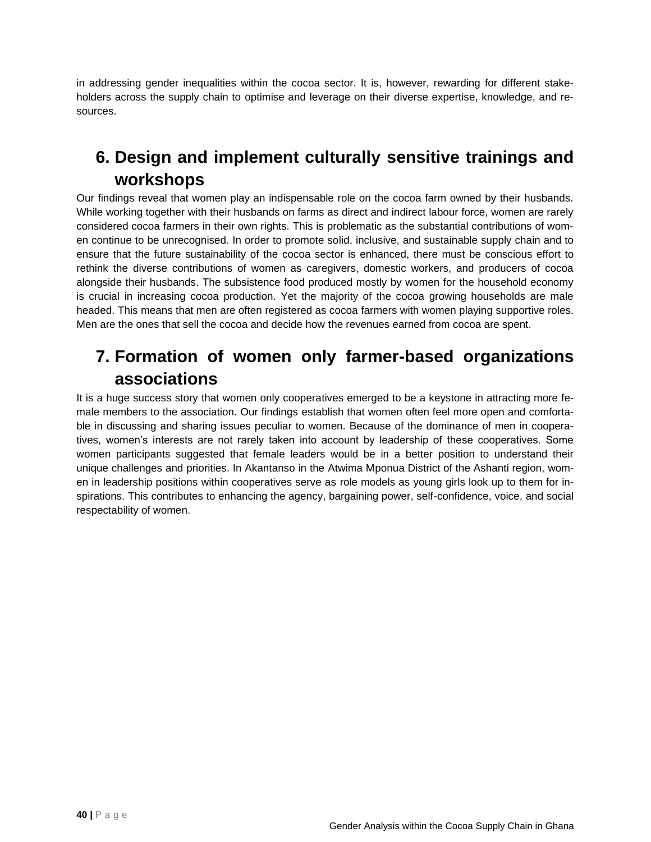in addressing gender inequalities within the cocoa sector. It is, however, rewarding for different stakeholders across the supply chain to optimise and leverage on their diverse expertise, knowledge, and resources.

# **6. Design and implement culturally sensitive trainings and workshops**

Our findings reveal that women play an indispensable role on the cocoa farm owned by their husbands. While working together with their husbands on farms as direct and indirect labour force, women are rarely considered cocoa farmers in their own rights. This is problematic as the substantial contributions of women continue to be unrecognised. In order to promote solid, inclusive, and sustainable supply chain and to ensure that the future sustainability of the cocoa sector is enhanced, there must be conscious effort to rethink the diverse contributions of women as caregivers, domestic workers, and producers of cocoa alongside their husbands. The subsistence food produced mostly by women for the household economy is crucial in increasing cocoa production. Yet the majority of the cocoa growing households are male headed. This means that men are often registered as cocoa farmers with women playing supportive roles. Men are the ones that sell the cocoa and decide how the revenues earned from cocoa are spent.

## **7. Formation of women only farmer-based organizations associations**

It is a huge success story that women only cooperatives emerged to be a keystone in attracting more female members to the association. Our findings establish that women often feel more open and comfortable in discussing and sharing issues peculiar to women. Because of the dominance of men in cooperatives, women's interests are not rarely taken into account by leadership of these cooperatives. Some women participants suggested that female leaders would be in a better position to understand their unique challenges and priorities. In Akantanso in the Atwima Mponua District of the Ashanti region, women in leadership positions within cooperatives serve as role models as young girls look up to them for inspirations. This contributes to enhancing the agency, bargaining power, self-confidence, voice, and social respectability of women.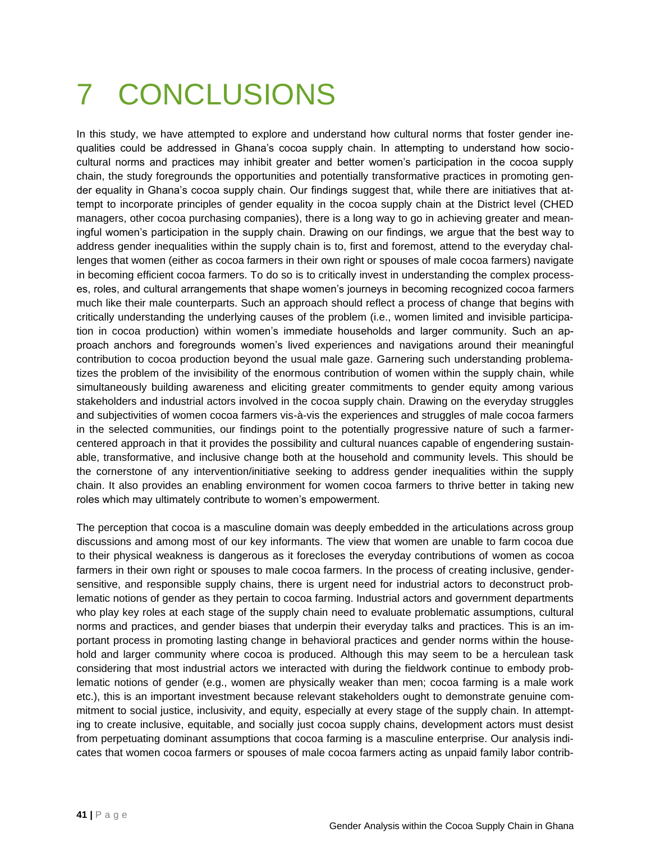# 7 CONCLUSIONS

In this study, we have attempted to explore and understand how cultural norms that foster gender inequalities could be addressed in Ghana's cocoa supply chain. In attempting to understand how sociocultural norms and practices may inhibit greater and better women's participation in the cocoa supply chain, the study foregrounds the opportunities and potentially transformative practices in promoting gender equality in Ghana's cocoa supply chain. Our findings suggest that, while there are initiatives that attempt to incorporate principles of gender equality in the cocoa supply chain at the District level (CHED managers, other cocoa purchasing companies), there is a long way to go in achieving greater and meaningful women's participation in the supply chain. Drawing on our findings, we argue that the best way to address gender inequalities within the supply chain is to, first and foremost, attend to the everyday challenges that women (either as cocoa farmers in their own right or spouses of male cocoa farmers) navigate in becoming efficient cocoa farmers. To do so is to critically invest in understanding the complex processes, roles, and cultural arrangements that shape women's journeys in becoming recognized cocoa farmers much like their male counterparts. Such an approach should reflect a process of change that begins with critically understanding the underlying causes of the problem (i.e., women limited and invisible participation in cocoa production) within women's immediate households and larger community. Such an approach anchors and foregrounds women's lived experiences and navigations around their meaningful contribution to cocoa production beyond the usual male gaze. Garnering such understanding problematizes the problem of the invisibility of the enormous contribution of women within the supply chain, while simultaneously building awareness and eliciting greater commitments to gender equity among various stakeholders and industrial actors involved in the cocoa supply chain. Drawing on the everyday struggles and subjectivities of women cocoa farmers vis-à-vis the experiences and struggles of male cocoa farmers in the selected communities, our findings point to the potentially progressive nature of such a farmercentered approach in that it provides the possibility and cultural nuances capable of engendering sustainable, transformative, and inclusive change both at the household and community levels. This should be the cornerstone of any intervention/initiative seeking to address gender inequalities within the supply chain. It also provides an enabling environment for women cocoa farmers to thrive better in taking new roles which may ultimately contribute to women's empowerment.

The perception that cocoa is a masculine domain was deeply embedded in the articulations across group discussions and among most of our key informants. The view that women are unable to farm cocoa due to their physical weakness is dangerous as it forecloses the everyday contributions of women as cocoa farmers in their own right or spouses to male cocoa farmers. In the process of creating inclusive, gendersensitive, and responsible supply chains, there is urgent need for industrial actors to deconstruct problematic notions of gender as they pertain to cocoa farming. Industrial actors and government departments who play key roles at each stage of the supply chain need to evaluate problematic assumptions, cultural norms and practices, and gender biases that underpin their everyday talks and practices. This is an important process in promoting lasting change in behavioral practices and gender norms within the household and larger community where cocoa is produced. Although this may seem to be a herculean task considering that most industrial actors we interacted with during the fieldwork continue to embody problematic notions of gender (e.g., women are physically weaker than men; cocoa farming is a male work etc.), this is an important investment because relevant stakeholders ought to demonstrate genuine commitment to social justice, inclusivity, and equity, especially at every stage of the supply chain. In attempting to create inclusive, equitable, and socially just cocoa supply chains, development actors must desist from perpetuating dominant assumptions that cocoa farming is a masculine enterprise. Our analysis indicates that women cocoa farmers or spouses of male cocoa farmers acting as unpaid family labor contrib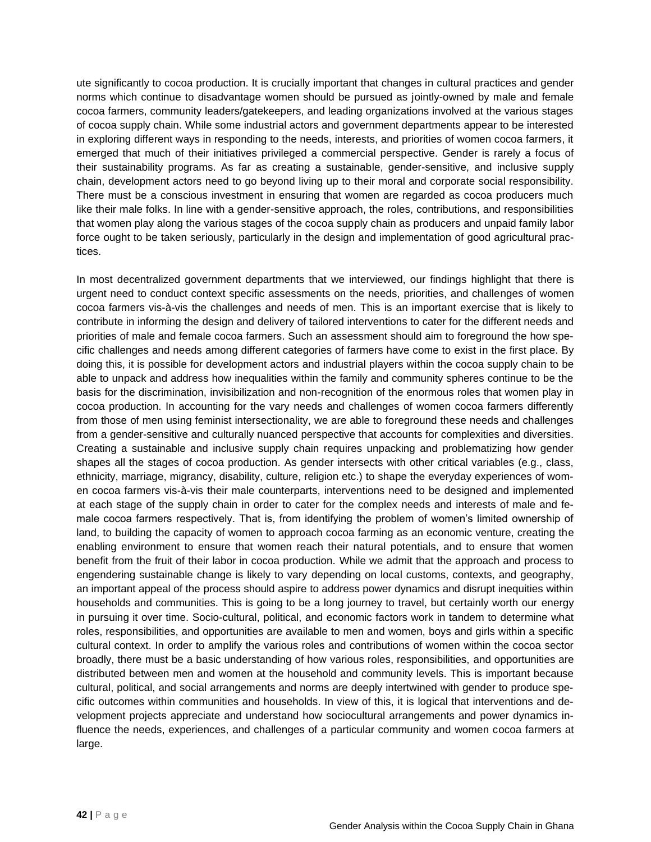ute significantly to cocoa production. It is crucially important that changes in cultural practices and gender norms which continue to disadvantage women should be pursued as jointly-owned by male and female cocoa farmers, community leaders/gatekeepers, and leading organizations involved at the various stages of cocoa supply chain. While some industrial actors and government departments appear to be interested in exploring different ways in responding to the needs, interests, and priorities of women cocoa farmers, it emerged that much of their initiatives privileged a commercial perspective. Gender is rarely a focus of their sustainability programs. As far as creating a sustainable, gender-sensitive, and inclusive supply chain, development actors need to go beyond living up to their moral and corporate social responsibility. There must be a conscious investment in ensuring that women are regarded as cocoa producers much like their male folks. In line with a gender-sensitive approach, the roles, contributions, and responsibilities that women play along the various stages of the cocoa supply chain as producers and unpaid family labor force ought to be taken seriously, particularly in the design and implementation of good agricultural practices.

In most decentralized government departments that we interviewed, our findings highlight that there is urgent need to conduct context specific assessments on the needs, priorities, and challenges of women cocoa farmers vis-à-vis the challenges and needs of men. This is an important exercise that is likely to contribute in informing the design and delivery of tailored interventions to cater for the different needs and priorities of male and female cocoa farmers. Such an assessment should aim to foreground the how specific challenges and needs among different categories of farmers have come to exist in the first place. By doing this, it is possible for development actors and industrial players within the cocoa supply chain to be able to unpack and address how inequalities within the family and community spheres continue to be the basis for the discrimination, invisibilization and non-recognition of the enormous roles that women play in cocoa production. In accounting for the vary needs and challenges of women cocoa farmers differently from those of men using feminist intersectionality, we are able to foreground these needs and challenges from a gender-sensitive and culturally nuanced perspective that accounts for complexities and diversities. Creating a sustainable and inclusive supply chain requires unpacking and problematizing how gender shapes all the stages of cocoa production. As gender intersects with other critical variables (e.g., class, ethnicity, marriage, migrancy, disability, culture, religion etc.) to shape the everyday experiences of women cocoa farmers vis-à-vis their male counterparts, interventions need to be designed and implemented at each stage of the supply chain in order to cater for the complex needs and interests of male and female cocoa farmers respectively. That is, from identifying the problem of women's limited ownership of land, to building the capacity of women to approach cocoa farming as an economic venture, creating the enabling environment to ensure that women reach their natural potentials, and to ensure that women benefit from the fruit of their labor in cocoa production. While we admit that the approach and process to engendering sustainable change is likely to vary depending on local customs, contexts, and geography, an important appeal of the process should aspire to address power dynamics and disrupt inequities within households and communities. This is going to be a long journey to travel, but certainly worth our energy in pursuing it over time. Socio-cultural, political, and economic factors work in tandem to determine what roles, responsibilities, and opportunities are available to men and women, boys and girls within a specific cultural context. In order to amplify the various roles and contributions of women within the cocoa sector broadly, there must be a basic understanding of how various roles, responsibilities, and opportunities are distributed between men and women at the household and community levels. This is important because cultural, political, and social arrangements and norms are deeply intertwined with gender to produce specific outcomes within communities and households. In view of this, it is logical that interventions and development projects appreciate and understand how sociocultural arrangements and power dynamics influence the needs, experiences, and challenges of a particular community and women cocoa farmers at large.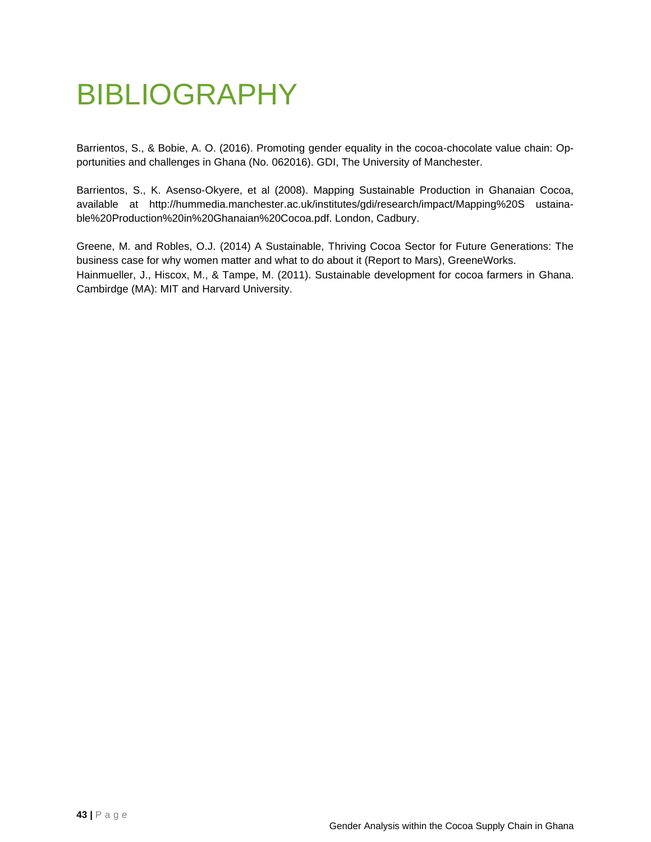# BIBLIOGRAPHY

Barrientos, S., & Bobie, A. O. (2016). Promoting gender equality in the cocoa-chocolate value chain: Opportunities and challenges in Ghana (No. 062016). GDI, The University of Manchester.

Barrientos, S., K. Asenso-Okyere, et al (2008). Mapping Sustainable Production in Ghanaian Cocoa, available at http://hummedia.manchester.ac.uk/institutes/gdi/research/impact/Mapping%20S ustainable%20Production%20in%20Ghanaian%20Cocoa.pdf. London, Cadbury.

Greene, M. and Robles, O.J. (2014) A Sustainable, Thriving Cocoa Sector for Future Generations: The business case for why women matter and what to do about it (Report to Mars), GreeneWorks. Hainmueller, J., Hiscox, M., & Tampe, M. (2011). Sustainable development for cocoa farmers in Ghana. Cambirdge (MA): MIT and Harvard University.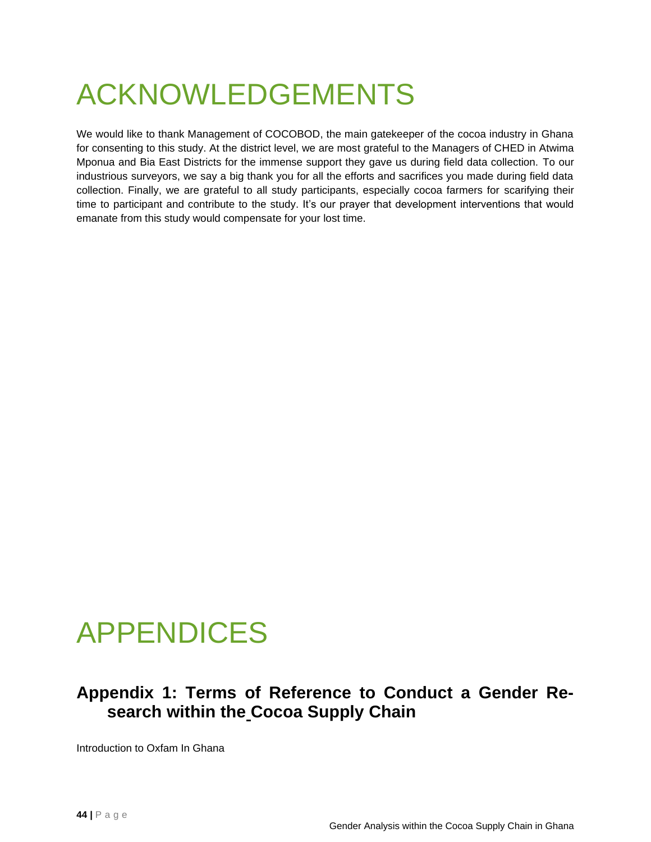# ACKNOWLEDGEMENTS

We would like to thank Management of COCOBOD, the main gatekeeper of the cocoa industry in Ghana for consenting to this study. At the district level, we are most grateful to the Managers of CHED in Atwima Mponua and Bia East Districts for the immense support they gave us during field data collection. To our industrious surveyors, we say a big thank you for all the efforts and sacrifices you made during field data collection. Finally, we are grateful to all study participants, especially cocoa farmers for scarifying their time to participant and contribute to the study. It's our prayer that development interventions that would emanate from this study would compensate for your lost time.

# APPENDICES

#### **Appendix 1: Terms of Reference to Conduct a Gender Research within the Cocoa Supply Chain**

Introduction to Oxfam In Ghana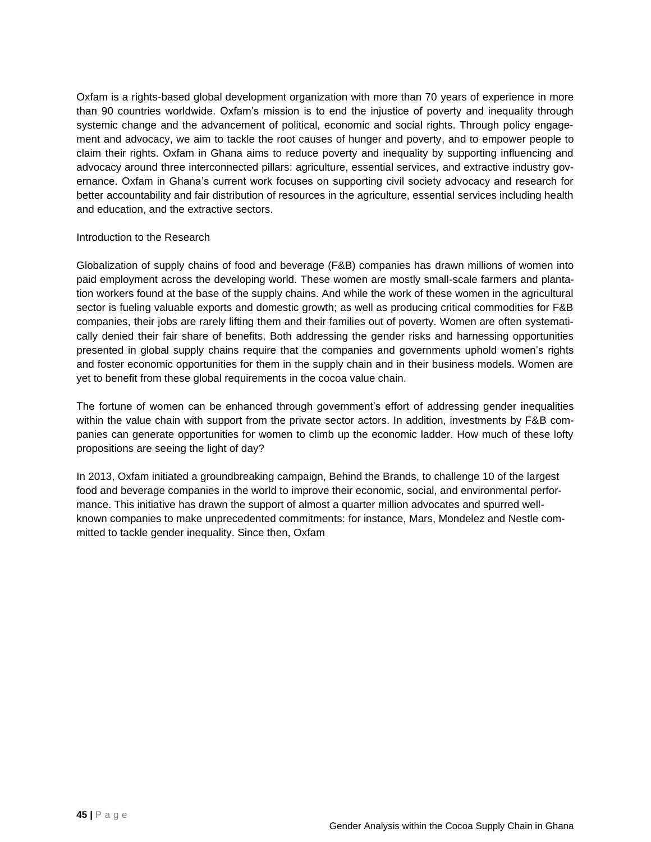Oxfam is a rights-based global development organization with more than 70 years of experience in more than 90 countries worldwide. Oxfam's mission is to end the injustice of poverty and inequality through systemic change and the advancement of political, economic and social rights. Through policy engagement and advocacy, we aim to tackle the root causes of hunger and poverty, and to empower people to claim their rights. Oxfam in Ghana aims to reduce poverty and inequality by supporting influencing and advocacy around three interconnected pillars: agriculture, essential services, and extractive industry governance. Oxfam in Ghana's current work focuses on supporting civil society advocacy and research for better accountability and fair distribution of resources in the agriculture, essential services including health and education, and the extractive sectors.

#### Introduction to the Research

Globalization of supply chains of food and beverage (F&B) companies has drawn millions of women into paid employment across the developing world. These women are mostly small-scale farmers and plantation workers found at the base of the supply chains. And while the work of these women in the agricultural sector is fueling valuable exports and domestic growth; as well as producing critical commodities for F&B companies, their jobs are rarely lifting them and their families out of poverty. Women are often systematically denied their fair share of benefits. Both addressing the gender risks and harnessing opportunities presented in global supply chains require that the companies and governments uphold women's rights and foster economic opportunities for them in the supply chain and in their business models. Women are yet to benefit from these global requirements in the cocoa value chain.

The fortune of women can be enhanced through government's effort of addressing gender inequalities within the value chain with support from the private sector actors. In addition, investments by F&B companies can generate opportunities for women to climb up the economic ladder. How much of these lofty propositions are seeing the light of day?

In 2013, Oxfam initiated a groundbreaking campaign, Behind the Brands, to challenge 10 of the largest food and beverage companies in the world to improve their economic, social, and environmental performance. This initiative has drawn the support of almost a quarter million advocates and spurred wellknown companies to make unprecedented commitments: for instance, Mars, Mondelez and Nestle committed to tackle gender inequality. Since then, Oxfam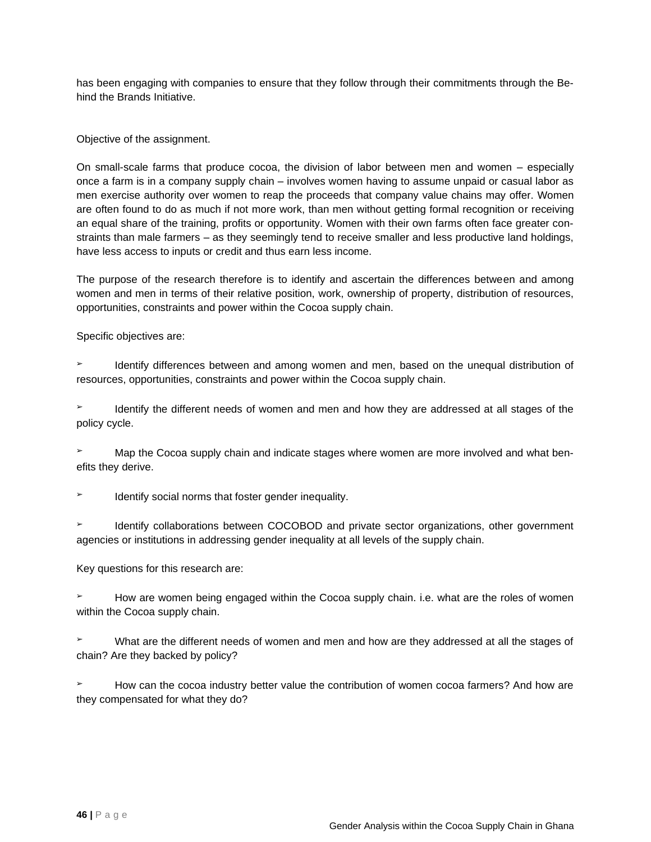has been engaging with companies to ensure that they follow through their commitments through the Behind the Brands Initiative.

#### Objective of the assignment.

On small-scale farms that produce cocoa, the division of labor between men and women – especially once a farm is in a company supply chain – involves women having to assume unpaid or casual labor as men exercise authority over women to reap the proceeds that company value chains may offer. Women are often found to do as much if not more work, than men without getting formal recognition or receiving an equal share of the training, profits or opportunity. Women with their own farms often face greater constraints than male farmers – as they seemingly tend to receive smaller and less productive land holdings, have less access to inputs or credit and thus earn less income.

The purpose of the research therefore is to identify and ascertain the differences between and among women and men in terms of their relative position, work, ownership of property, distribution of resources, opportunities, constraints and power within the Cocoa supply chain.

Specific objectives are:

Identify differences between and among women and men, based on the unequal distribution of resources, opportunities, constraints and power within the Cocoa supply chain.

Identify the different needs of women and men and how they are addressed at all stages of the policy cycle.

➢ Map the Cocoa supply chain and indicate stages where women are more involved and what benefits they derive.

Identify social norms that foster gender inequality.

**EXECO** Identify collaborations between COCOBOD and private sector organizations, other government agencies or institutions in addressing gender inequality at all levels of the supply chain.

Key questions for this research are:

How are women being engaged within the Cocoa supply chain. i.e. what are the roles of women within the Cocoa supply chain.

What are the different needs of women and men and how are they addressed at all the stages of chain? Are they backed by policy?

How can the cocoa industry better value the contribution of women cocoa farmers? And how are they compensated for what they do?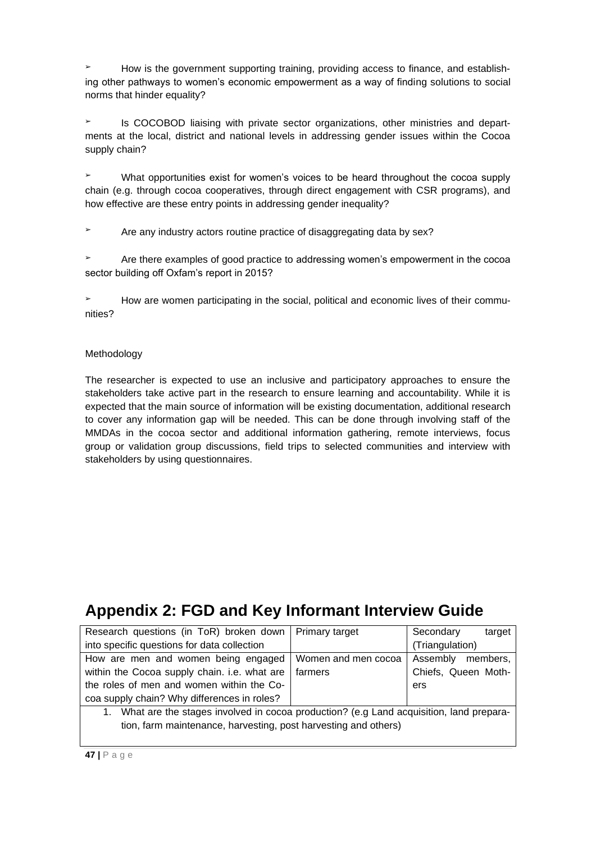How is the government supporting training, providing access to finance, and establishing other pathways to women's economic empowerment as a way of finding solutions to social norms that hinder equality?

➢ Is COCOBOD liaising with private sector organizations, other ministries and departments at the local, district and national levels in addressing gender issues within the Cocoa supply chain?

What opportunities exist for women's voices to be heard throughout the cocoa supply chain (e.g. through cocoa cooperatives, through direct engagement with CSR programs), and how effective are these entry points in addressing gender inequality?

Are any industry actors routine practice of disaggregating data by sex?

➢ Are there examples of good practice to addressing women's empowerment in the cocoa sector building off Oxfam's report in 2015?

➢ How are women participating in the social, political and economic lives of their communities?

#### Methodology

The researcher is expected to use an inclusive and participatory approaches to ensure the stakeholders take active part in the research to ensure learning and accountability. While it is expected that the main source of information will be existing documentation, additional research to cover any information gap will be needed. This can be done through involving staff of the MMDAs in the cocoa sector and additional information gathering, remote interviews, focus group or validation group discussions, field trips to selected communities and interview with stakeholders by using questionnaires.

## **Appendix 2: FGD and Key Informant Interview Guide**

| Research questions (in ToR) broken down   Primary target                                  |                     | Secondary<br>target  |
|-------------------------------------------------------------------------------------------|---------------------|----------------------|
| into specific questions for data collection                                               |                     | (Triangulation)      |
| How are men and women being engaged                                                       | Women and men cocoa | Assembly<br>members. |
| within the Cocoa supply chain. i.e. what are                                              | farmers             | Chiefs, Queen Moth-  |
| the roles of men and women within the Co-                                                 |                     | ers                  |
| coa supply chain? Why differences in roles?                                               |                     |                      |
| 1. What are the stages involved in cocoa production? (e.g Land acquisition, land prepara- |                     |                      |
| tion, farm maintenance, harvesting, post harvesting and others)                           |                     |                      |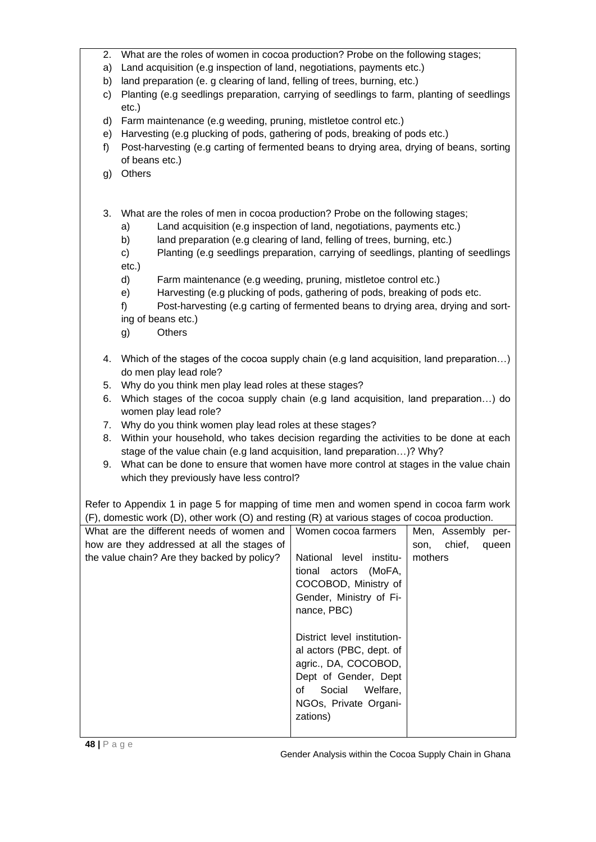- 2. What are the roles of women in cocoa production? Probe on the following stages;
- a) Land acquisition (e.g inspection of land, negotiations, payments etc.)
- b) land preparation (e. g clearing of land, felling of trees, burning, etc.)
- c) Planting (e.g seedlings preparation, carrying of seedlings to farm, planting of seedlings etc.)
- d) Farm maintenance (e.g weeding, pruning, mistletoe control etc.)
- e) Harvesting (e.g plucking of pods, gathering of pods, breaking of pods etc.)
- f) Post-harvesting (e.g carting of fermented beans to drying area, drying of beans, sorting of beans etc.)
- g) Others
- 3. What are the roles of men in cocoa production? Probe on the following stages;
	- a) Land acquisition (e.g inspection of land, negotiations, payments etc.)
	- b) land preparation (e.g clearing of land, felling of trees, burning, etc.)
	- c) Planting (e.g seedlings preparation, carrying of seedlings, planting of seedlings etc.)
	- d) Farm maintenance (e.g weeding, pruning, mistletoe control etc.)
	- e) Harvesting (e.g plucking of pods, gathering of pods, breaking of pods etc.
	- f) Post-harvesting (e.g carting of fermented beans to drying area, drying and sorting of beans etc.)
	- g) Others
- 4. Which of the stages of the cocoa supply chain (e.g land acquisition, land preparation…) do men play lead role?
- 5. Why do you think men play lead roles at these stages?
- 6. Which stages of the cocoa supply chain (e.g land acquisition, land preparation…) do women play lead role?
- 7. Why do you think women play lead roles at these stages?
- 8. Within your household, who takes decision regarding the activities to be done at each stage of the value chain (e.g land acquisition, land preparation…)? Why?
- 9. What can be done to ensure that women have more control at stages in the value chain which they previously have less control?

Refer to Appendix 1 in page 5 for mapping of time men and women spend in cocoa farm work (F), domestic work (D), other work (O) and resting (R) at various stages of cocoa production.

| What are the different needs of women and   | Women cocoa farmers                                                                                                                                                                                                                                   | Men, Assembly per-      |
|---------------------------------------------|-------------------------------------------------------------------------------------------------------------------------------------------------------------------------------------------------------------------------------------------------------|-------------------------|
| how are they addressed at all the stages of |                                                                                                                                                                                                                                                       | chief,<br>queen<br>son, |
| the value chain? Are they backed by policy? | National level institu-<br>tional actors (MoFA,<br>COCOBOD, Ministry of<br>Gender, Ministry of Fi-<br>nance, PBC)<br>District level institution-<br>al actors (PBC, dept. of<br>agric., DA, COCOBOD,<br>Dept of Gender, Dept<br>Social Welfare,<br>of | mothers                 |
|                                             | NGOs, Private Organi-                                                                                                                                                                                                                                 |                         |
|                                             | zations)                                                                                                                                                                                                                                              |                         |
|                                             |                                                                                                                                                                                                                                                       |                         |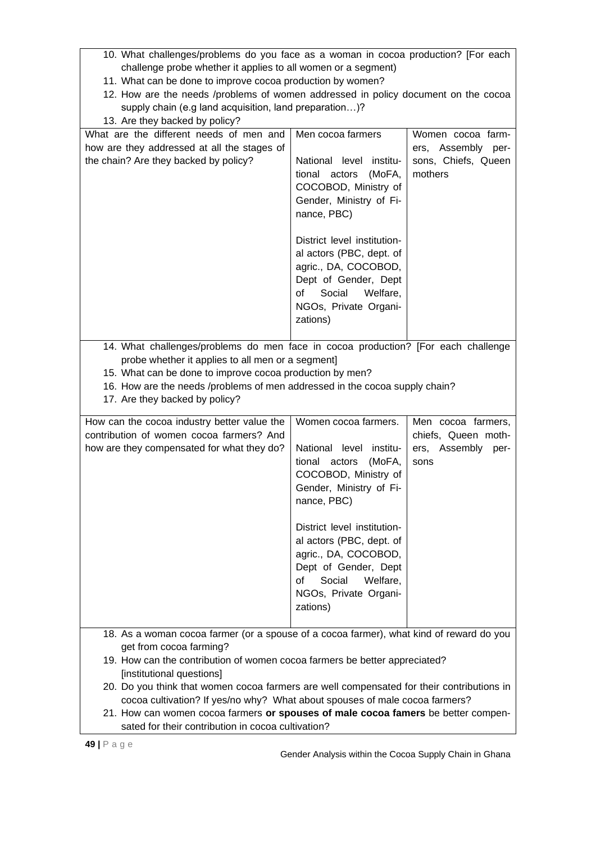- 10. What challenges/problems do you face as a woman in cocoa production? [For each challenge probe whether it applies to all women or a segment)
- 11. What can be done to improve cocoa production by women?
- 12. How are the needs /problems of women addressed in policy document on the cocoa supply chain (e.g land acquisition, land preparation…)?

| 13. Are they backed by policy?                                                                                                                                                                                                                                                                                                                                                                                                                                                                                                                       |                                                                                                                                                                                                                                                                                                                             |                                                                           |
|------------------------------------------------------------------------------------------------------------------------------------------------------------------------------------------------------------------------------------------------------------------------------------------------------------------------------------------------------------------------------------------------------------------------------------------------------------------------------------------------------------------------------------------------------|-----------------------------------------------------------------------------------------------------------------------------------------------------------------------------------------------------------------------------------------------------------------------------------------------------------------------------|---------------------------------------------------------------------------|
| What are the different needs of men and<br>how are they addressed at all the stages of<br>the chain? Are they backed by policy?                                                                                                                                                                                                                                                                                                                                                                                                                      | Men cocoa farmers<br>National level institu-<br>(MoFA,<br>tional actors<br>COCOBOD, Ministry of<br>Gender, Ministry of Fi-<br>nance, PBC)<br>District level institution-<br>al actors (PBC, dept. of<br>agric., DA, COCOBOD,<br>Dept of Gender, Dept<br>Social<br>Welfare,<br>of<br>NGOs, Private Organi-<br>zations)       | Women cocoa farm-<br>ers, Assembly per-<br>sons, Chiefs, Queen<br>mothers |
| 14. What challenges/problems do men face in cocoa production? [For each challenge<br>probe whether it applies to all men or a segment]<br>15. What can be done to improve cocoa production by men?<br>16. How are the needs /problems of men addressed in the cocoa supply chain?<br>17. Are they backed by policy?                                                                                                                                                                                                                                  |                                                                                                                                                                                                                                                                                                                             |                                                                           |
| How can the cocoa industry better value the<br>contribution of women cocoa farmers? And<br>how are they compensated for what they do?                                                                                                                                                                                                                                                                                                                                                                                                                | Women cocoa farmers.<br>National level institu-<br>actors<br>(MoFA,<br>tional<br>COCOBOD, Ministry of<br>Gender, Ministry of Fi-<br>nance, PBC)<br>District level institution-<br>al actors (PBC, dept. of<br>agric., DA, COCOBOD,<br>Dept of Gender, Dept<br>Social<br>Welfare,<br>οf<br>NGOs, Private Organi-<br>zations) | Men cocoa farmers,<br>chiefs, Queen moth-<br>ers, Assembly per-<br>sons   |
| 18. As a woman cocoa farmer (or a spouse of a cocoa farmer), what kind of reward do you<br>get from cocoa farming?<br>19. How can the contribution of women cocoa farmers be better appreciated?<br>[institutional questions]<br>20. Do you think that women cocoa farmers are well compensated for their contributions in<br>cocoa cultivation? If yes/no why? What about spouses of male cocoa farmers?<br>21. How can women cocoa farmers or spouses of male cocoa famers be better compen-<br>sated for their contribution in cocoa cultivation? |                                                                                                                                                                                                                                                                                                                             |                                                                           |

Gender Analysis within the Cocoa Supply Chain in Ghana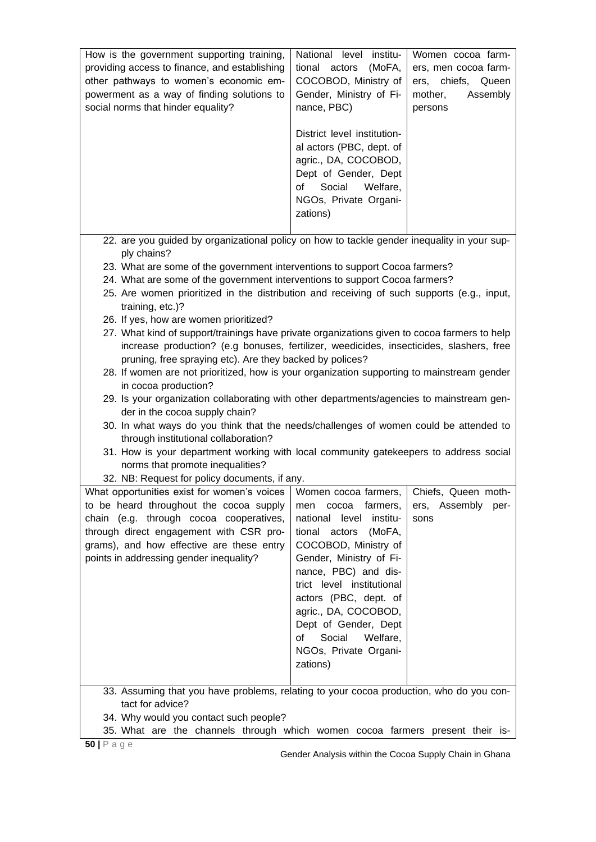| How is the government supporting training,<br>providing access to finance, and establishing<br>other pathways to women's economic em-<br>powerment as a way of finding solutions to<br>social norms that hinder equality?                                                                                                                                                                                                                                                                                                                                                                                                                                                                                                                                                                                                                                                             | National level institu-<br>(MoFA,<br>tional actors<br>COCOBOD, Ministry of<br>Gender, Ministry of Fi-<br>nance, PBC)<br>District level institution-<br>al actors (PBC, dept. of<br>agric., DA, COCOBOD,<br>Dept of Gender, Dept<br>of<br>Social<br>Welfare,<br>NGOs, Private Organi-<br>zations)                                 | Women cocoa farm-<br>ers, men cocoa farm-<br>ers, chiefs, Queen<br>mother,<br>Assembly<br>persons |
|---------------------------------------------------------------------------------------------------------------------------------------------------------------------------------------------------------------------------------------------------------------------------------------------------------------------------------------------------------------------------------------------------------------------------------------------------------------------------------------------------------------------------------------------------------------------------------------------------------------------------------------------------------------------------------------------------------------------------------------------------------------------------------------------------------------------------------------------------------------------------------------|----------------------------------------------------------------------------------------------------------------------------------------------------------------------------------------------------------------------------------------------------------------------------------------------------------------------------------|---------------------------------------------------------------------------------------------------|
| 22. are you guided by organizational policy on how to tackle gender inequality in your sup-<br>ply chains?<br>23. What are some of the government interventions to support Cocoa farmers?<br>24. What are some of the government interventions to support Cocoa farmers?<br>25. Are women prioritized in the distribution and receiving of such supports (e.g., input,                                                                                                                                                                                                                                                                                                                                                                                                                                                                                                                |                                                                                                                                                                                                                                                                                                                                  |                                                                                                   |
| training, etc.)?<br>26. If yes, how are women prioritized?<br>27. What kind of support/trainings have private organizations given to cocoa farmers to help<br>increase production? (e.g bonuses, fertilizer, weedicides, insecticides, slashers, free<br>pruning, free spraying etc). Are they backed by polices?<br>28. If women are not prioritized, how is your organization supporting to mainstream gender<br>in cocoa production?<br>29. Is your organization collaborating with other departments/agencies to mainstream gen-<br>der in the cocoa supply chain?<br>30. In what ways do you think that the needs/challenges of women could be attended to<br>through institutional collaboration?<br>31. How is your department working with local community gatekeepers to address social<br>norms that promote inequalities?<br>32. NB: Request for policy documents, if any. |                                                                                                                                                                                                                                                                                                                                  |                                                                                                   |
| What opportunities exist for women's voices   Women cocoa farmers,   Chiefs, Queen moth<br>to be heard throughout the cocoa supply<br>chain (e.g. through cocoa cooperatives,<br>through direct engagement with CSR pro-<br>grams), and how effective are these entry<br>points in addressing gender inequality?                                                                                                                                                                                                                                                                                                                                                                                                                                                                                                                                                                      | men cocoa farmers,<br>national<br>level<br>institu-<br>tional actors<br>(MoFA,<br>COCOBOD, Ministry of<br>Gender, Ministry of Fi-<br>nance, PBC) and dis-<br>trict level institutional<br>actors (PBC, dept. of<br>agric., DA, COCOBOD,<br>Dept of Gender, Dept<br>Social<br>Welfare,<br>of<br>NGOs, Private Organi-<br>zations) | ers, Assembly per-<br>sons                                                                        |
| 33. Assuming that you have problems, relating to your cocoa production, who do you con-<br>tact for advice?<br>34. Why would you contact such people?<br>35. What are the channels through which women cocoa farmers present their is-                                                                                                                                                                                                                                                                                                                                                                                                                                                                                                                                                                                                                                                |                                                                                                                                                                                                                                                                                                                                  |                                                                                                   |

Gender Analysis within the Cocoa Supply Chain in Ghana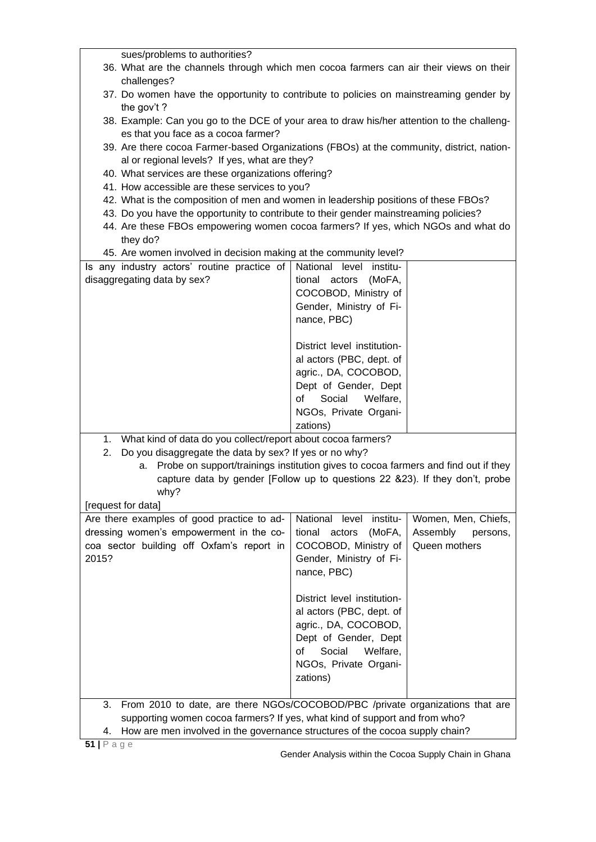| sues/problems to authorities?                                                                         |                             |                      |
|-------------------------------------------------------------------------------------------------------|-----------------------------|----------------------|
| 36. What are the channels through which men cocoa farmers can air their views on their                |                             |                      |
| challenges?<br>37. Do women have the opportunity to contribute to policies on mainstreaming gender by |                             |                      |
| the gov't?                                                                                            |                             |                      |
| 38. Example: Can you go to the DCE of your area to draw his/her attention to the challeng-            |                             |                      |
| es that you face as a cocoa farmer?                                                                   |                             |                      |
| 39. Are there cocoa Farmer-based Organizations (FBOs) at the community, district, nation-             |                             |                      |
| al or regional levels? If yes, what are they?<br>40. What services are these organizations offering?  |                             |                      |
| 41. How accessible are these services to you?                                                         |                             |                      |
| 42. What is the composition of men and women in leadership positions of these FBOs?                   |                             |                      |
| 43. Do you have the opportunity to contribute to their gender mainstreaming policies?                 |                             |                      |
| 44. Are these FBOs empowering women cocoa farmers? If yes, which NGOs and what do                     |                             |                      |
| they do?                                                                                              |                             |                      |
| 45. Are women involved in decision making at the community level?                                     |                             |                      |
| Is any industry actors' routine practice of                                                           | National level<br>institu-  |                      |
| disaggregating data by sex?                                                                           | tional actors<br>(MoFA,     |                      |
|                                                                                                       | COCOBOD, Ministry of        |                      |
|                                                                                                       | Gender, Ministry of Fi-     |                      |
|                                                                                                       | nance, PBC)                 |                      |
|                                                                                                       | District level institution- |                      |
|                                                                                                       | al actors (PBC, dept. of    |                      |
|                                                                                                       | agric., DA, COCOBOD,        |                      |
|                                                                                                       | Dept of Gender, Dept        |                      |
|                                                                                                       | Social<br>of<br>Welfare,    |                      |
|                                                                                                       | NGOs, Private Organi-       |                      |
|                                                                                                       | zations)                    |                      |
| What kind of data do you collect/report about cocoa farmers?<br>1.                                    |                             |                      |
| Do you disaggregate the data by sex? If yes or no why?<br>2.                                          |                             |                      |
| Probe on support/trainings institution gives to cocoa farmers and find out if they<br>а.              |                             |                      |
| capture data by gender [Follow up to questions 22 &23). If they don't, probe                          |                             |                      |
| why?                                                                                                  |                             |                      |
| [request for data]                                                                                    |                             |                      |
| Are there examples of good practice to ad-                                                            | National<br>level institu-  | Women, Men, Chiefs,  |
| dressing women's empowerment in the co-                                                               | tional actors<br>(MoFA,     | Assembly<br>persons, |
| coa sector building off Oxfam's report in<br>2015?                                                    | COCOBOD, Ministry of        | Queen mothers        |
|                                                                                                       | Gender, Ministry of Fi-     |                      |
|                                                                                                       | nance, PBC)                 |                      |
|                                                                                                       | District level institution- |                      |
|                                                                                                       | al actors (PBC, dept. of    |                      |
|                                                                                                       | agric., DA, COCOBOD,        |                      |
|                                                                                                       | Dept of Gender, Dept        |                      |
|                                                                                                       | of<br>Social<br>Welfare,    |                      |
|                                                                                                       | NGOs, Private Organi-       |                      |
|                                                                                                       | zations)                    |                      |
|                                                                                                       |                             |                      |
| From 2010 to date, are there NGOs/COCOBOD/PBC /private organizations that are<br>3.                   |                             |                      |
| supporting women cocoa farmers? If yes, what kind of support and from who?                            |                             |                      |
| How are men involved in the governance structures of the cocoa supply chain?<br>4.                    |                             |                      |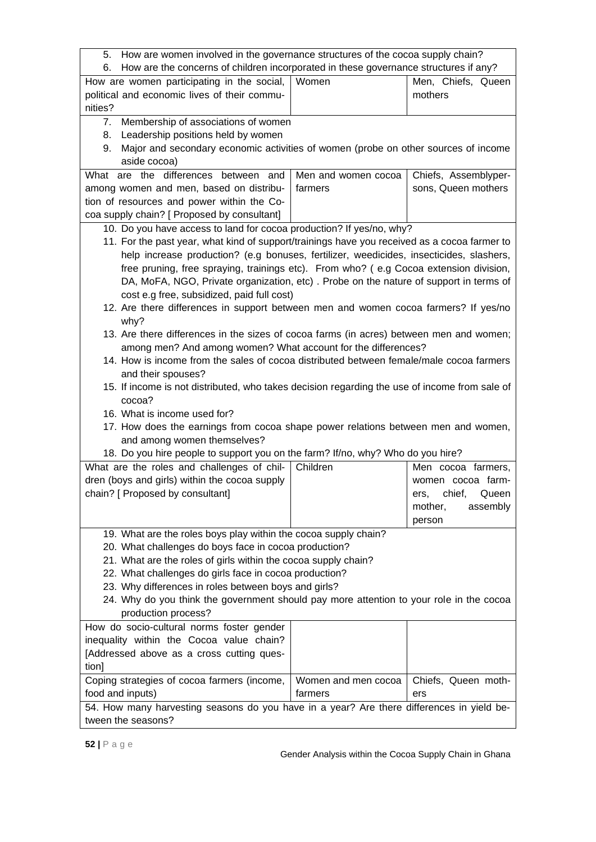5. How are women involved in the governance structures of the cocoa supply chain?

| 6. How are the concerns of children incorporated in these governance structures if any?       |                     |                         |
|-----------------------------------------------------------------------------------------------|---------------------|-------------------------|
| How are women participating in the social,                                                    | Women               | Men, Chiefs, Queen      |
| political and economic lives of their commu-                                                  |                     | mothers                 |
| nities?                                                                                       |                     |                         |
| 7. Membership of associations of women                                                        |                     |                         |
| Leadership positions held by women<br>8.                                                      |                     |                         |
| Major and secondary economic activities of women (probe on other sources of income<br>9.      |                     |                         |
| aside cocoa)                                                                                  |                     |                         |
| What are the differences between<br>and                                                       | Men and women cocoa | Chiefs, Assemblyper-    |
| among women and men, based on distribu-                                                       | farmers             | sons, Queen mothers     |
| tion of resources and power within the Co-                                                    |                     |                         |
| coa supply chain? [ Proposed by consultant]                                                   |                     |                         |
| 10. Do you have access to land for cocoa production? If yes/no, why?                          |                     |                         |
| 11. For the past year, what kind of support/trainings have you received as a cocoa farmer to  |                     |                         |
| help increase production? (e.g bonuses, fertilizer, weedicides, insecticides, slashers,       |                     |                         |
| free pruning, free spraying, trainings etc). From who? (e.g Cocoa extension division,         |                     |                         |
| DA, MoFA, NGO, Private organization, etc) . Probe on the nature of support in terms of        |                     |                         |
| cost e.g free, subsidized, paid full cost)                                                    |                     |                         |
| 12. Are there differences in support between men and women cocoa farmers? If yes/no           |                     |                         |
| why?                                                                                          |                     |                         |
| 13. Are there differences in the sizes of cocoa farms (in acres) between men and women;       |                     |                         |
| among men? And among women? What account for the differences?                                 |                     |                         |
| 14. How is income from the sales of cocoa distributed between female/male cocoa farmers       |                     |                         |
| and their spouses?                                                                            |                     |                         |
| 15. If income is not distributed, who takes decision regarding the use of income from sale of |                     |                         |
| cocoa?                                                                                        |                     |                         |
| 16. What is income used for?                                                                  |                     |                         |
| 17. How does the earnings from cocoa shape power relations between men and women,             |                     |                         |
| and among women themselves?                                                                   |                     |                         |
| 18. Do you hire people to support you on the farm? If/no, why? Who do you hire?               |                     |                         |
| What are the roles and challenges of chil-                                                    | Children            | Men cocoa farmers,      |
| dren (boys and girls) within the cocoa supply                                                 |                     | women cocoa farm-       |
| chain? [ Proposed by consultant]                                                              |                     | chief,<br>Queen<br>ers, |
|                                                                                               |                     | mother,<br>assembly     |
|                                                                                               |                     | person                  |
| 19. What are the roles boys play within the cocoa supply chain?                               |                     |                         |
| 20. What challenges do boys face in cocoa production?                                         |                     |                         |
| 21. What are the roles of girls within the cocoa supply chain?                                |                     |                         |
| 22. What challenges do girls face in cocoa production?                                        |                     |                         |
| 23. Why differences in roles between boys and girls?                                          |                     |                         |
| 24. Why do you think the government should pay more attention to your role in the cocoa       |                     |                         |
| production process?                                                                           |                     |                         |
| How do socio-cultural norms foster gender                                                     |                     |                         |
| inequality within the Cocoa value chain?                                                      |                     |                         |
| [Addressed above as a cross cutting ques-                                                     |                     |                         |
| tion]                                                                                         |                     |                         |
| Coping strategies of cocoa farmers (income,                                                   | Women and men cocoa | Chiefs, Queen moth-     |
| food and inputs)                                                                              | farmers             | ers                     |
| 54. How many harvesting seasons do you have in a year? Are there differences in yield be-     |                     |                         |
| tween the seasons?                                                                            |                     |                         |
|                                                                                               |                     |                         |

 $\lceil$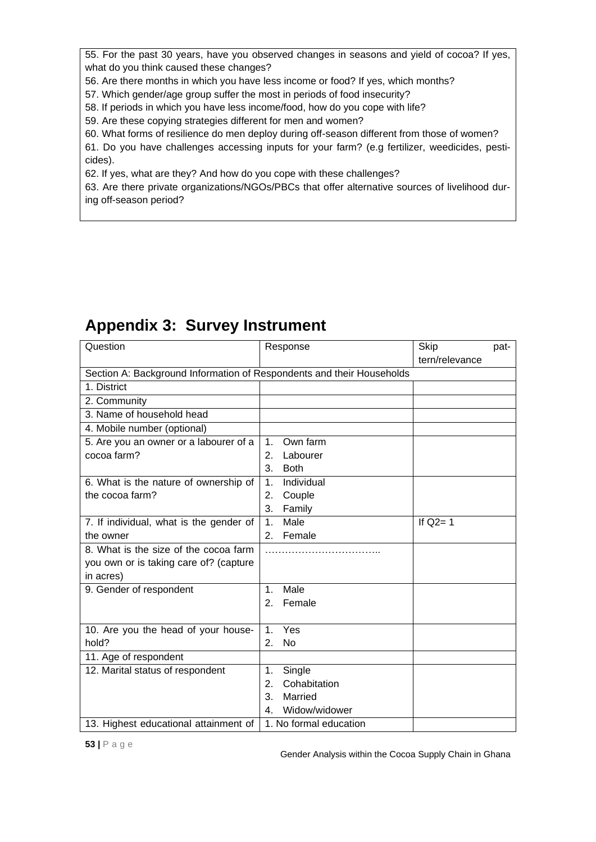55. For the past 30 years, have you observed changes in seasons and yield of cocoa? If yes, what do you think caused these changes?

56. Are there months in which you have less income or food? If yes, which months?

57. Which gender/age group suffer the most in periods of food insecurity?

58. If periods in which you have less income/food, how do you cope with life?

59. Are these copying strategies different for men and women?

60. What forms of resilience do men deploy during off-season different from those of women?

61. Do you have challenges accessing inputs for your farm? (e.g fertilizer, weedicides, pesticides).

62. If yes, what are they? And how do you cope with these challenges?

63. Are there private organizations/NGOs/PBCs that offer alternative sources of livelihood during off-season period?

| Question                                                              | Response                    | Skip<br>tern/relevance | pat- |
|-----------------------------------------------------------------------|-----------------------------|------------------------|------|
| Section A: Background Information of Respondents and their Households |                             |                        |      |
| 1. District                                                           |                             |                        |      |
| 2. Community                                                          |                             |                        |      |
| 3. Name of household head                                             |                             |                        |      |
| 4. Mobile number (optional)                                           |                             |                        |      |
| 5. Are you an owner or a labourer of a                                | Own farm<br>1 <sub>1</sub>  |                        |      |
| cocoa farm?                                                           | Labourer<br>2.              |                        |      |
|                                                                       | 3.<br><b>Both</b>           |                        |      |
| 6. What is the nature of ownership of                                 | Individual<br>$\mathbf 1$ . |                        |      |
| the cocoa farm?                                                       | 2.<br>Couple                |                        |      |
|                                                                       | 3.<br>Family                |                        |      |
| 7. If individual, what is the gender of                               | Male<br>1.                  | If $Q2 = 1$            |      |
| the owner                                                             | Female<br>2.                |                        |      |
| 8. What is the size of the cocoa farm                                 |                             |                        |      |
| you own or is taking care of? (capture                                |                             |                        |      |
| in acres)                                                             |                             |                        |      |
| 9. Gender of respondent                                               | Male<br>1 <sub>1</sub>      |                        |      |
|                                                                       | 2.<br>Female                |                        |      |
|                                                                       |                             |                        |      |
| 10. Are you the head of your house-                                   | Yes<br>$\mathbf 1$ .        |                        |      |
| hold?                                                                 | <b>No</b><br>2.             |                        |      |
| 11. Age of respondent                                                 |                             |                        |      |
| 12. Marital status of respondent                                      | Single<br>1 <sub>1</sub>    |                        |      |
|                                                                       | Cohabitation<br>2.          |                        |      |
|                                                                       | 3.<br>Married               |                        |      |
|                                                                       | Widow/widower<br>4.         |                        |      |
| 13. Highest educational attainment of                                 | 1. No formal education      |                        |      |

# **Appendix 3: Survey Instrument**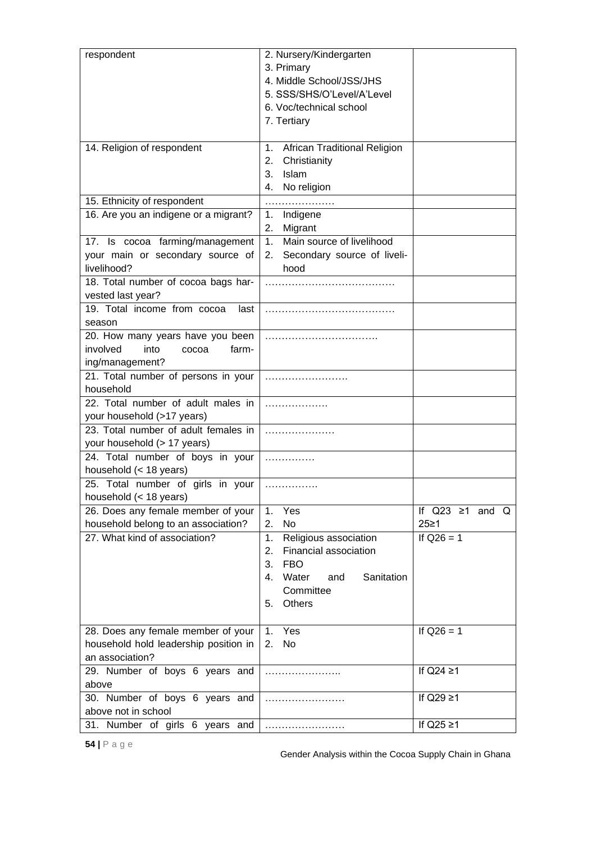| respondent                                                                                | 2. Nursery/Kindergarten<br>3. Primary<br>4. Middle School/JSS/JHS<br>5. SSS/SHS/O'Level/A'Level<br>6. Voc/technical school<br>7. Tertiary              |                              |
|-------------------------------------------------------------------------------------------|--------------------------------------------------------------------------------------------------------------------------------------------------------|------------------------------|
| 14. Religion of respondent                                                                | <b>African Traditional Religion</b><br>1 <sub>1</sub><br>Christianity<br>2.<br>Islam<br>3.                                                             |                              |
| 15. Ethnicity of respondent                                                               | No religion<br>4.                                                                                                                                      |                              |
| 16. Are you an indigene or a migrant?                                                     | Indigene<br>1.                                                                                                                                         |                              |
|                                                                                           | 2.<br>Migrant                                                                                                                                          |                              |
| 17. Is cocoa farming/management                                                           | 1. Main source of livelihood                                                                                                                           |                              |
| your main or secondary source of<br>livelihood?                                           | Secondary source of liveli-<br>2.<br>hood                                                                                                              |                              |
| 18. Total number of cocoa bags har-<br>vested last year?                                  |                                                                                                                                                        |                              |
| 19. Total income from cocoa<br>last<br>season                                             |                                                                                                                                                        |                              |
| 20. How many years have you been<br>involved<br>into<br>farm-<br>cocoa<br>ing/management? |                                                                                                                                                        |                              |
| 21. Total number of persons in your<br>household                                          |                                                                                                                                                        |                              |
| 22. Total number of adult males in<br>your household (>17 years)                          | .                                                                                                                                                      |                              |
| 23. Total number of adult females in<br>your household (> 17 years)                       |                                                                                                                                                        |                              |
| 24. Total number of boys in your<br>household (< 18 years)                                | .                                                                                                                                                      |                              |
| 25. Total number of girls in your<br>household $(< 18$ years)                             | .                                                                                                                                                      |                              |
| 26. Does any female member of your<br>household belong to an association?                 | Yes<br>1.<br>2.<br>No                                                                                                                                  | If $Q23 \ge 1$ and Q<br>25≥1 |
| 27. What kind of association?                                                             | 1.<br>Religious association<br>Financial association<br>2.<br>3.<br><b>FBO</b><br>Water<br>Sanitation<br>4.<br>and<br>Committee<br><b>Others</b><br>5. | If $Q26 = 1$                 |
| 28. Does any female member of your<br>household hold leadership position in               | Yes<br>1.<br>No<br>2.                                                                                                                                  | If $Q26 = 1$                 |
| an association?                                                                           |                                                                                                                                                        |                              |
| 29. Number of boys 6 years and<br>above                                                   |                                                                                                                                                        | If $Q24 \geq 1$              |
| 30. Number of boys 6 years and<br>above not in school                                     | .                                                                                                                                                      | If $Q29 \geq 1$              |
| Number of girls 6 years<br>31.<br>and                                                     |                                                                                                                                                        | If $Q25 \geq 1$              |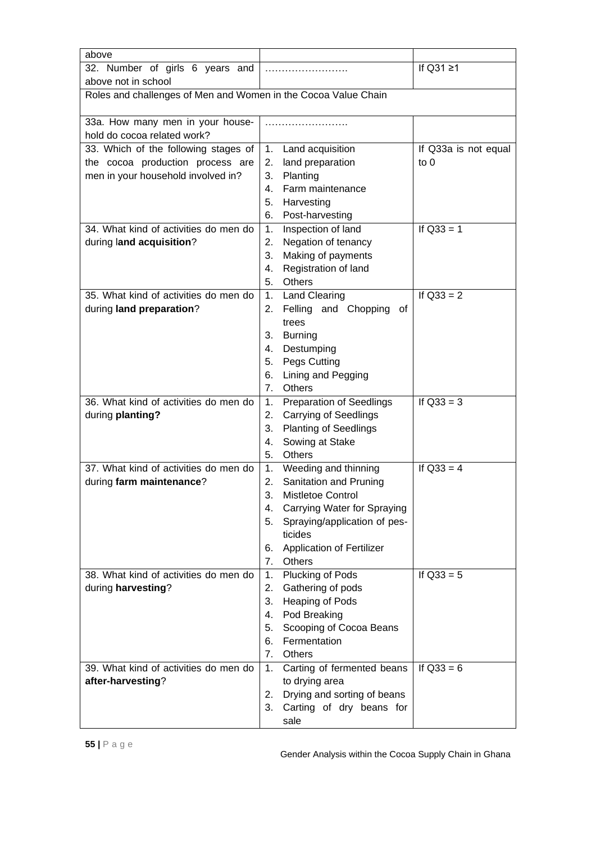| above                                                          |                                              |                      |
|----------------------------------------------------------------|----------------------------------------------|----------------------|
| 32. Number of girls 6 years and                                |                                              | If $Q31 \geq 1$      |
| above not in school                                            |                                              |                      |
| Roles and challenges of Men and Women in the Cocoa Value Chain |                                              |                      |
| 33a. How many men in your house-                               |                                              |                      |
| hold do cocoa related work?                                    |                                              |                      |
| 33. Which of the following stages of                           | Land acquisition<br>1.                       | If Q33a is not equal |
| the cocoa production process are                               | 2.<br>land preparation                       | to $0$               |
| men in your household involved in?                             | Planting<br>3.                               |                      |
|                                                                | Farm maintenance<br>4.                       |                      |
|                                                                | 5.<br>Harvesting                             |                      |
|                                                                | 6.<br>Post-harvesting                        |                      |
| 34. What kind of activities do men do                          | Inspection of land<br>1.                     | If $Q33 = 1$         |
| during land acquisition?                                       | Negation of tenancy<br>2.                    |                      |
|                                                                | 3.<br>Making of payments                     |                      |
|                                                                | 4.<br>Registration of land                   |                      |
|                                                                | 5.<br><b>Others</b>                          |                      |
| 35. What kind of activities do men do                          | <b>Land Clearing</b><br>1.                   | If $Q33 = 2$         |
| during land preparation?                                       | Felling and Chopping<br>2.<br>of             |                      |
|                                                                | trees                                        |                      |
|                                                                | <b>Burning</b><br>3.                         |                      |
|                                                                | 4.<br>Destumping                             |                      |
|                                                                | Pegs Cutting<br>5.                           |                      |
|                                                                | Lining and Pegging<br>6.<br>7.<br>Others     |                      |
| 36. What kind of activities do men do                          | <b>Preparation of Seedlings</b><br>1.        | If $Q33 = 3$         |
| during planting?                                               | 2.<br><b>Carrying of Seedlings</b>           |                      |
|                                                                | <b>Planting of Seedlings</b><br>3.           |                      |
|                                                                | Sowing at Stake<br>4.                        |                      |
|                                                                | 5.<br>Others                                 |                      |
| 37. What kind of activities do men do                          | Weeding and thinning<br>1.                   | If $Q33 = 4$         |
| during farm maintenance?                                       | Sanitation and Pruning<br>2.                 |                      |
|                                                                | 3.<br>Mistletoe Control                      |                      |
|                                                                | Carrying Water for Spraying<br>4.            |                      |
|                                                                | 5.<br>Spraying/application of pes-           |                      |
|                                                                | ticides                                      |                      |
|                                                                | <b>Application of Fertilizer</b><br>6.       |                      |
|                                                                | 7.<br>Others                                 |                      |
| 38. What kind of activities do men do                          | 1. Plucking of Pods                          | If $Q33 = 5$         |
| during harvesting?                                             | 2.<br>Gathering of pods                      |                      |
|                                                                | 3.<br>Heaping of Pods                        |                      |
|                                                                | Pod Breaking<br>4.                           |                      |
|                                                                | Scooping of Cocoa Beans<br>5.                |                      |
|                                                                | Fermentation<br>6.                           |                      |
| 39. What kind of activities do men do                          | 7.<br>Others<br>1.                           | If $Q33 = 6$         |
| after-harvesting?                                              | Carting of fermented beans<br>to drying area |                      |
|                                                                | Drying and sorting of beans<br>2.            |                      |
|                                                                | 3.<br>Carting of dry beans for               |                      |
|                                                                | sale                                         |                      |
|                                                                |                                              |                      |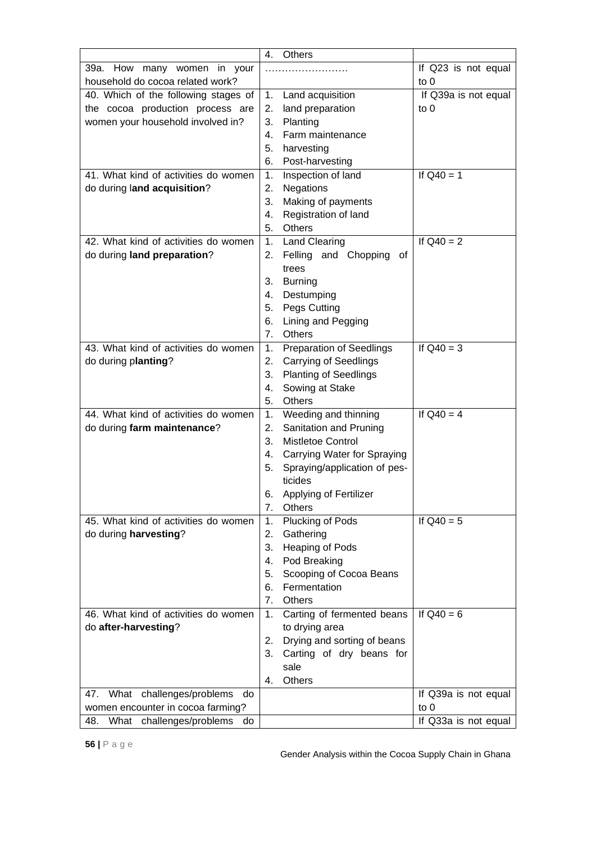|                                       | Others<br>4.                          |                      |
|---------------------------------------|---------------------------------------|----------------------|
| 39a. How<br>many women in your        |                                       | If Q23 is not equal  |
| household do cocoa related work?      |                                       | to $0$               |
| 40. Which of the following stages of  | Land acquisition<br>1.                | If Q39a is not equal |
| the cocoa production process are      | land preparation<br>2.                | to $0$               |
| women your household involved in?     | 3.<br>Planting                        |                      |
|                                       | Farm maintenance<br>4.                |                      |
|                                       | 5.<br>harvesting                      |                      |
|                                       | 6.<br>Post-harvesting                 |                      |
| 41. What kind of activities do women  | Inspection of land<br>1.              | If $Q40 = 1$         |
| do during land acquisition?           | 2.<br><b>Negations</b>                |                      |
|                                       | Making of payments<br>3.              |                      |
|                                       | Registration of land<br>4.            |                      |
|                                       | 5.<br>Others                          |                      |
| 42. What kind of activities do women  | <b>Land Clearing</b><br>1.            | If $Q40 = 2$         |
| do during land preparation?           | Felling and Chopping<br>2.<br>0t      |                      |
|                                       | trees                                 |                      |
|                                       | 3.<br><b>Burning</b>                  |                      |
|                                       | 4.<br>Destumping                      |                      |
|                                       | 5.<br>Pegs Cutting                    |                      |
|                                       | Lining and Pegging<br>6.              |                      |
|                                       | Others<br>7.                          |                      |
| 43. What kind of activities do women  |                                       |                      |
|                                       | <b>Preparation of Seedlings</b><br>1. | If $Q40 = 3$         |
| do during planting?                   | <b>Carrying of Seedlings</b><br>2.    |                      |
|                                       | 3.<br><b>Planting of Seedlings</b>    |                      |
|                                       | Sowing at Stake<br>4.                 |                      |
|                                       | 5.<br>Others                          |                      |
| 44. What kind of activities do women  | 1.<br>Weeding and thinning            | If $Q40 = 4$         |
| do during farm maintenance?           | 2.<br>Sanitation and Pruning          |                      |
|                                       | 3.<br><b>Mistletoe Control</b>        |                      |
|                                       | 4. Carrying Water for Spraying        |                      |
|                                       | 5.<br>Spraying/application of pes-    |                      |
|                                       | ticides                               |                      |
|                                       | 6.<br>Applying of Fertilizer          |                      |
|                                       | 7.<br>Others                          |                      |
| 45. What kind of activities do women  | Plucking of Pods<br>1.                | If $Q40 = 5$         |
| do during harvesting?                 | 2.<br>Gathering                       |                      |
|                                       | 3.<br>Heaping of Pods                 |                      |
|                                       | Pod Breaking<br>4.                    |                      |
|                                       | 5.<br>Scooping of Cocoa Beans         |                      |
|                                       | Fermentation<br>6.                    |                      |
|                                       | 7.<br>Others                          |                      |
| 46. What kind of activities do women  | Carting of fermented beans<br>1.      | If $Q40 = 6$         |
| do after-harvesting?                  | to drying area                        |                      |
|                                       | 2.<br>Drying and sorting of beans     |                      |
|                                       | 3.<br>Carting of dry beans for        |                      |
|                                       | sale                                  |                      |
|                                       | Others<br>4.                          |                      |
| What challenges/problems<br>47.<br>do |                                       | If Q39a is not equal |
| women encounter in cocoa farming?     |                                       | to 0                 |
| What challenges/problems<br>48.<br>do |                                       | If Q33a is not equal |
|                                       |                                       |                      |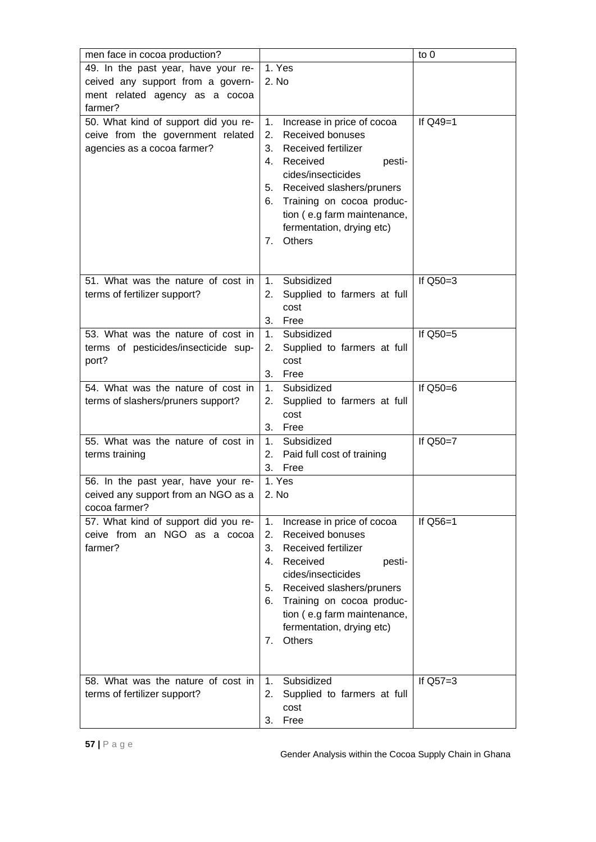| men face in cocoa production?        |                                                  | to 0       |
|--------------------------------------|--------------------------------------------------|------------|
| 49. In the past year, have your re-  | 1. Yes                                           |            |
| ceived any support from a govern-    | 2. No                                            |            |
| ment related agency as a cocoa       |                                                  |            |
| farmer?                              |                                                  |            |
| 50. What kind of support did you re- | 1.<br>Increase in price of cocoa                 | If $Q49=1$ |
| ceive from the government related    | <b>Received bonuses</b><br>2.                    |            |
| agencies as a cocoa farmer?          | Received fertilizer<br>3.                        |            |
|                                      | Received<br>4.<br>pesti-                         |            |
|                                      | cides/insecticides                               |            |
|                                      | 5. Received slashers/pruners                     |            |
|                                      | 6. Training on cocoa produc-                     |            |
|                                      | tion (e.g farm maintenance,                      |            |
|                                      | fermentation, drying etc)                        |            |
|                                      | Others<br>7.                                     |            |
|                                      |                                                  |            |
|                                      |                                                  |            |
| 51. What was the nature of cost in   | Subsidized<br>1.                                 | If $Q50=3$ |
| terms of fertilizer support?         | 2.<br>Supplied to farmers at full<br>cost        |            |
|                                      | 3.<br>Free                                       |            |
| 53. What was the nature of cost in   | 1.<br>Subsidized                                 | If Q50=5   |
| terms of pesticides/insecticide sup- | 2.<br>Supplied to farmers at full                |            |
| port?                                | cost                                             |            |
|                                      | 3.<br>Free                                       |            |
| 54. What was the nature of cost in   | 1.<br>Subsidized                                 | If Q50=6   |
| terms of slashers/pruners support?   | Supplied to farmers at full<br>2.                |            |
|                                      | cost                                             |            |
|                                      | Free<br>3.                                       |            |
| 55. What was the nature of cost in   | 1 <sub>1</sub><br>Subsidized                     | If Q50=7   |
| terms training                       | 2.<br>Paid full cost of training                 |            |
|                                      | 3.<br>Free                                       |            |
| 56. In the past year, have your re-  | 1. Yes                                           |            |
| ceived any support from an NGO as a  | 2. No                                            |            |
| cocoa farmer?                        |                                                  |            |
| 57. What kind of support did you re- | Increase in price of cocoa<br>1.                 | If $Q56=1$ |
| ceive from an NGO as a cocoa         | Received bonuses<br>2.                           |            |
| farmer?                              | <b>Received fertilizer</b><br>3.                 |            |
|                                      | Received<br>4.<br>pesti-                         |            |
|                                      | cides/insecticides                               |            |
|                                      | 5. Received slashers/pruners                     |            |
|                                      | 6. Training on cocoa produc-                     |            |
|                                      | tion (e.g farm maintenance,                      |            |
|                                      | fermentation, drying etc)<br><b>Others</b><br>7. |            |
|                                      |                                                  |            |
|                                      |                                                  |            |
| 58. What was the nature of cost in   | Subsidized<br>1 <sub>1</sub>                     | If $Q57=3$ |
| terms of fertilizer support?         | 2.<br>Supplied to farmers at full                |            |
|                                      | cost                                             |            |
|                                      | Free<br>3.                                       |            |
|                                      |                                                  |            |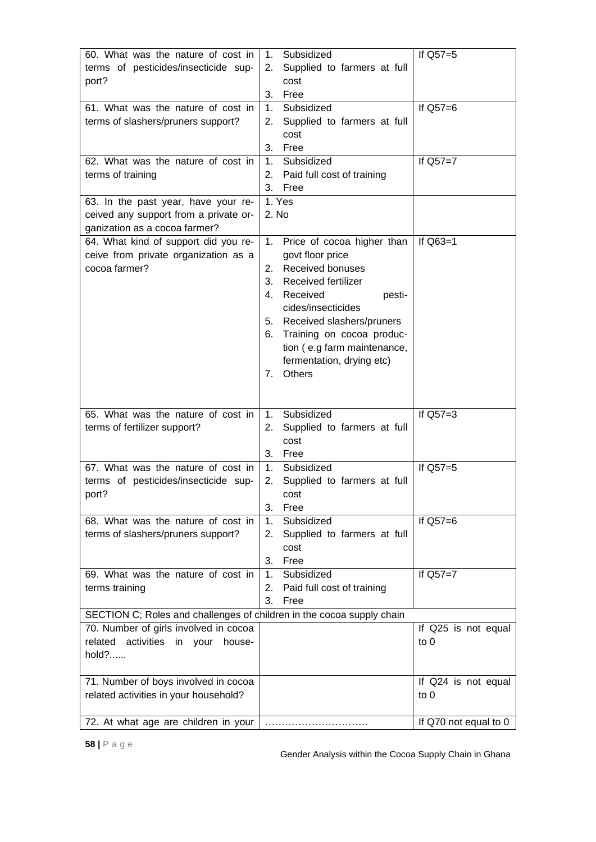| 60. What was the nature of cost in<br>terms of pesticides/insecticide sup-<br>port?                                                                          | Subsidized<br>1.<br>Supplied to farmers at full<br>2.<br>cost<br>3.<br>Free                                                                                                                                                                                                                                  | If $Q57=5$                    |
|--------------------------------------------------------------------------------------------------------------------------------------------------------------|--------------------------------------------------------------------------------------------------------------------------------------------------------------------------------------------------------------------------------------------------------------------------------------------------------------|-------------------------------|
| 61. What was the nature of cost in<br>terms of slashers/pruners support?                                                                                     | Subsidized<br>1.<br>Supplied to farmers at full<br>2.<br>cost<br>3.<br>Free                                                                                                                                                                                                                                  | If $Q57=6$                    |
| 62. What was the nature of cost in<br>terms of training                                                                                                      | Subsidized<br>1.<br>Paid full cost of training<br>2.<br>3.<br>Free                                                                                                                                                                                                                                           | If $Q57=7$                    |
| 63. In the past year, have your re-<br>ceived any support from a private or-<br>ganization as a cocoa farmer?                                                | 1. Yes<br>2. No                                                                                                                                                                                                                                                                                              |                               |
| 64. What kind of support did you re-<br>ceive from private organization as a<br>cocoa farmer?                                                                | Price of cocoa higher than<br>1.<br>govt floor price<br>Received bonuses<br>2.<br>3.<br>Received fertilizer<br>4.<br>Received<br>pesti-<br>cides/insecticides<br>5. Received slashers/pruners<br>Training on cocoa produc-<br>6.<br>tion (e.g farm maintenance,<br>fermentation, drying etc)<br>Others<br>7. | If Q63=1                      |
| 65. What was the nature of cost in<br>terms of fertilizer support?                                                                                           | Subsidized<br>1.<br>Supplied to farmers at full<br>2.<br>cost<br>3.<br>Free                                                                                                                                                                                                                                  | If $Q57=3$                    |
| 67. What was the nature of cost in<br>terms of pesticides/insecticide sup-<br>port?                                                                          | Subsidized<br>1.<br>2.<br>Supplied to farmers at full<br>cost<br>3.<br>Free                                                                                                                                                                                                                                  | If Q57=5                      |
| 68. What was the nature of cost in<br>terms of slashers/pruners support?                                                                                     | Subsidized<br>1.<br>Supplied to farmers at full<br>2.<br>cost<br>3.<br>Free                                                                                                                                                                                                                                  | If $Q57=6$                    |
| 69. What was the nature of cost in<br>terms training                                                                                                         | Subsidized<br>1.<br>2.<br>Paid full cost of training<br>3.<br>Free                                                                                                                                                                                                                                           | If $Q57=7$                    |
| SECTION C; Roles and challenges of children in the cocoa supply chain<br>70. Number of girls involved in cocoa<br>activities<br>related<br>in your<br>house- |                                                                                                                                                                                                                                                                                                              | If Q25 is not equal<br>to $0$ |
| hold?<br>71. Number of boys involved in cocoa                                                                                                                |                                                                                                                                                                                                                                                                                                              | If Q24 is not equal           |
| related activities in your household?                                                                                                                        |                                                                                                                                                                                                                                                                                                              | to 0                          |
| 72. At what age are children in your                                                                                                                         |                                                                                                                                                                                                                                                                                                              | If Q70 not equal to 0         |

Gender Analysis within the Cocoa Supply Chain in Ghana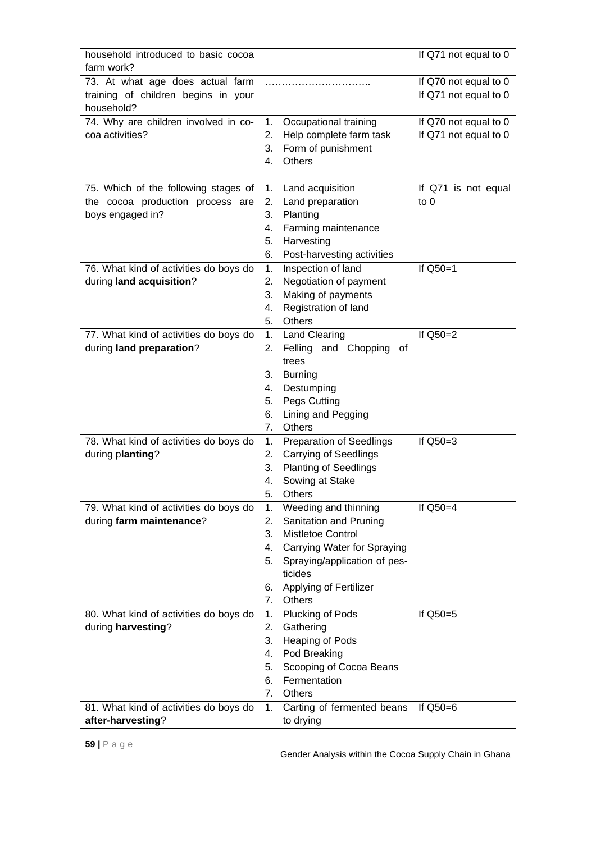| household introduced to basic cocoa               |                                             | If Q71 not equal to 0 |
|---------------------------------------------------|---------------------------------------------|-----------------------|
| farm work?                                        |                                             |                       |
| 73. At what age does actual farm                  |                                             | If Q70 not equal to 0 |
| training of children begins in your<br>household? |                                             | If Q71 not equal to 0 |
| 74. Why are children involved in co-              | Occupational training<br>1.                 | If Q70 not equal to 0 |
| coa activities?                                   | 2.<br>Help complete farm task               | If Q71 not equal to 0 |
|                                                   | 3.<br>Form of punishment                    |                       |
|                                                   | Others<br>4.                                |                       |
|                                                   |                                             |                       |
| 75. Which of the following stages of              | Land acquisition<br>1.                      | If Q71 is not equal   |
| the cocoa production process are                  | Land preparation<br>2.                      | to $0$                |
| boys engaged in?                                  | 3.<br>Planting                              |                       |
|                                                   | Farming maintenance<br>4.                   |                       |
|                                                   | 5.<br>Harvesting                            |                       |
|                                                   | 6.<br>Post-harvesting activities            |                       |
| 76. What kind of activities do boys do            | Inspection of land<br>1.                    | If Q50=1              |
| during land acquisition?                          | Negotiation of payment<br>2.                |                       |
|                                                   | 3.<br>Making of payments                    |                       |
|                                                   | Registration of land<br>4.                  |                       |
|                                                   | 5.<br><b>Others</b>                         |                       |
| 77. What kind of activities do boys do            | <b>Land Clearing</b><br>1.                  | If Q50=2              |
| during land preparation?                          | Felling and Chopping<br>2.<br>of            |                       |
|                                                   | trees<br>3.                                 |                       |
|                                                   | <b>Burning</b><br>4.                        |                       |
|                                                   | Destumping<br>5.<br>Pegs Cutting            |                       |
|                                                   | Lining and Pegging<br>6.                    |                       |
|                                                   | Others<br>7 <sub>1</sub>                    |                       |
| 78. What kind of activities do boys do            | <b>Preparation of Seedlings</b><br>1.       | If $Q50=3$            |
| during planting?                                  | <b>Carrying of Seedlings</b><br>2.          |                       |
|                                                   | <b>Planting of Seedlings</b><br>3.          |                       |
|                                                   | Sowing at Stake<br>4.                       |                       |
|                                                   | 5.<br>Others                                |                       |
| 79. What kind of activities do boys do            | Weeding and thinning<br>1.                  | If $Q50=4$            |
| during farm maintenance?                          | Sanitation and Pruning<br>2.                |                       |
|                                                   | 3.<br>Mistletoe Control                     |                       |
|                                                   | Carrying Water for Spraying<br>4.           |                       |
|                                                   | 5.<br>Spraying/application of pes-          |                       |
|                                                   | ticides                                     |                       |
|                                                   | 6.<br>Applying of Fertilizer                |                       |
|                                                   | Others<br>7.                                |                       |
| 80. What kind of activities do boys do            | Plucking of Pods<br>1.                      | If Q50=5              |
| during harvesting?                                | 2.<br>Gathering                             |                       |
|                                                   | 3.<br>Heaping of Pods<br>Pod Breaking<br>4. |                       |
|                                                   | 5.<br>Scooping of Cocoa Beans               |                       |
|                                                   | Fermentation<br>6.                          |                       |
|                                                   | 7.<br>Others                                |                       |
| 81. What kind of activities do boys do            | Carting of fermented beans<br>1.            | If $Q50=6$            |
| after-harvesting?                                 | to drying                                   |                       |
|                                                   |                                             |                       |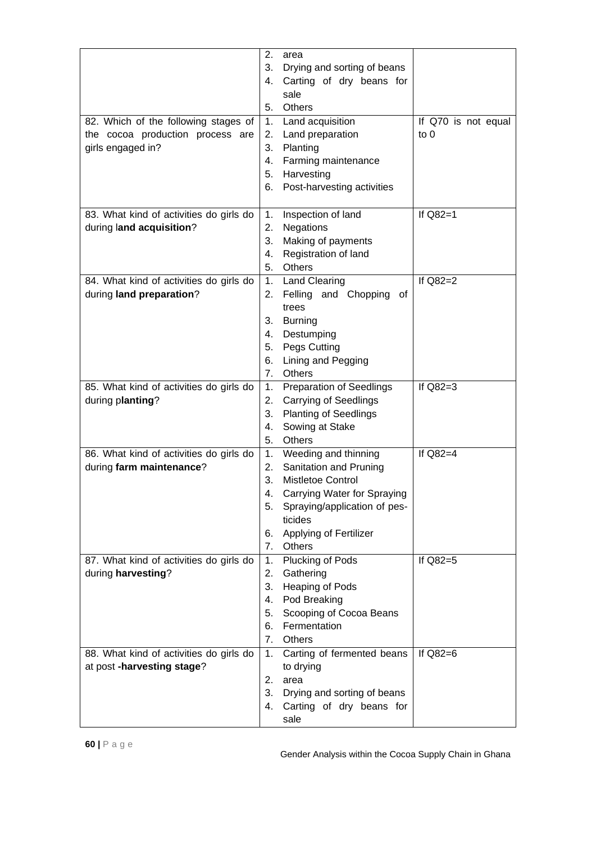| 82. Which of the following stages of<br>the cocoa production process are<br>girls engaged in? | 2.<br>area<br>3.<br>Drying and sorting of beans<br>Carting of dry beans for<br>4.<br>sale<br><b>Others</b><br>5.<br>Land acquisition<br>1.<br>2. Land preparation<br>3. Planting<br>Farming maintenance<br>4.<br>5.<br>Harvesting<br>Post-harvesting activities<br>6. | If Q70 is not equal<br>$\mathfrak{g}$ to 0 |
|-----------------------------------------------------------------------------------------------|-----------------------------------------------------------------------------------------------------------------------------------------------------------------------------------------------------------------------------------------------------------------------|--------------------------------------------|
| 83. What kind of activities do girls do<br>during land acquisition?                           | Inspection of land<br>1.<br>Negations<br>2.<br>Making of payments<br>3.<br>Registration of land<br>4.<br>5.<br>Others                                                                                                                                                 | If Q82=1                                   |
| 84. What kind of activities do girls do<br>during land preparation?                           | 1. Land Clearing<br>Felling and Chopping of<br>2.<br>trees<br>3.<br><b>Burning</b><br>4.<br>Destumping<br>5.<br>Pegs Cutting<br>Lining and Pegging<br>6.<br>Others<br>7.                                                                                              | If $Q82=2$                                 |
| 85. What kind of activities do girls do<br>during planting?                                   | <b>Preparation of Seedlings</b><br>1.<br>2.<br><b>Carrying of Seedlings</b><br>3.<br><b>Planting of Seedlings</b><br>Sowing at Stake<br>4.<br>5.<br><b>Others</b>                                                                                                     | If $Q82=3$                                 |
| 86. What kind of activities do girls do<br>during farm maintenance?                           | 1. Weeding and thinning<br>Sanitation and Pruning<br>2.<br>Mistletoe Control<br>3.<br>4.<br>Carrying Water for Spraying<br>Spraying/application of pes-<br>5.<br>ticides<br>Applying of Fertilizer<br>6.<br>7.<br>Others                                              | If $Q82=4$                                 |
| 87. What kind of activities do girls do<br>during harvesting?                                 | Plucking of Pods<br>1.<br>2.<br>Gathering<br>Heaping of Pods<br>3.<br>4.<br>Pod Breaking<br>Scooping of Cocoa Beans<br>5.<br>Fermentation<br>6.<br>7.<br>Others                                                                                                       | If Q82=5                                   |
| 88. What kind of activities do girls do<br>at post -harvesting stage?                         | Carting of fermented beans<br>1.<br>to drying<br>2.<br>area<br>3.<br>Drying and sorting of beans<br>Carting of dry beans for<br>4.<br>sale                                                                                                                            | If $Q82=6$                                 |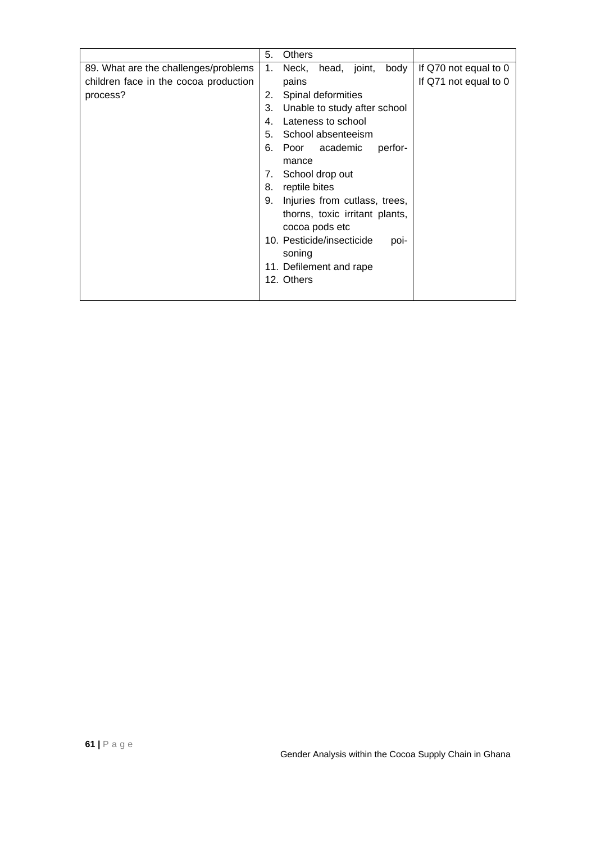|                                       | 5. | <b>Others</b>                                       |
|---------------------------------------|----|-----------------------------------------------------|
| 89. What are the challenges/problems  | 1. | Neck, head, joint,<br>body<br>If Q70 not equal to 0 |
| children face in the cocoa production |    | If Q71 not equal to 0<br>pains                      |
| process?                              | 2. | Spinal deformities                                  |
|                                       | 3. | Unable to study after school                        |
|                                       | 4. | Lateness to school                                  |
|                                       | 5. | School absenteeism                                  |
|                                       | 6. | Poor academic<br>perfor-                            |
|                                       |    | mance                                               |
|                                       | 7. | School drop out                                     |
|                                       | 8. | reptile bites                                       |
|                                       | 9. | Injuries from cutlass, trees,                       |
|                                       |    | thorns, toxic irritant plants,                      |
|                                       |    | cocoa pods etc                                      |
|                                       |    | 10. Pesticide/insecticide<br>poi-                   |
|                                       |    | soning                                              |
|                                       |    | 11. Defilement and rape                             |
|                                       |    | 12. Others                                          |
|                                       |    |                                                     |